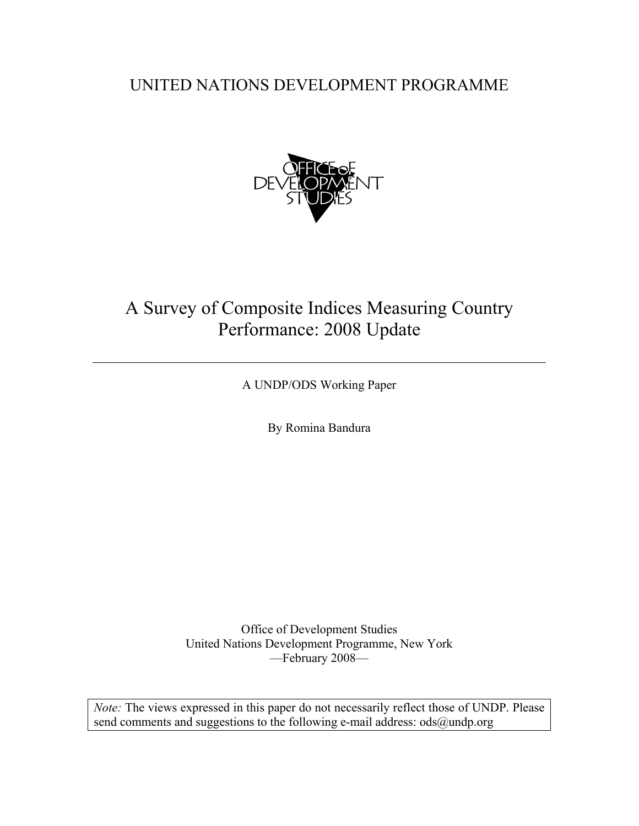## UNITED NATIONS DEVELOPMENT PROGRAMME



# A Survey of Composite Indices Measuring Country Performance: 2008 Update

A UNDP/ODS Working Paper

By Romina Bandura

Office of Development Studies United Nations Development Programme, New York —February 2008—

*Note:* The views expressed in this paper do not necessarily reflect those of UNDP. Please send comments and suggestions to the following e-mail address: ods@undp.org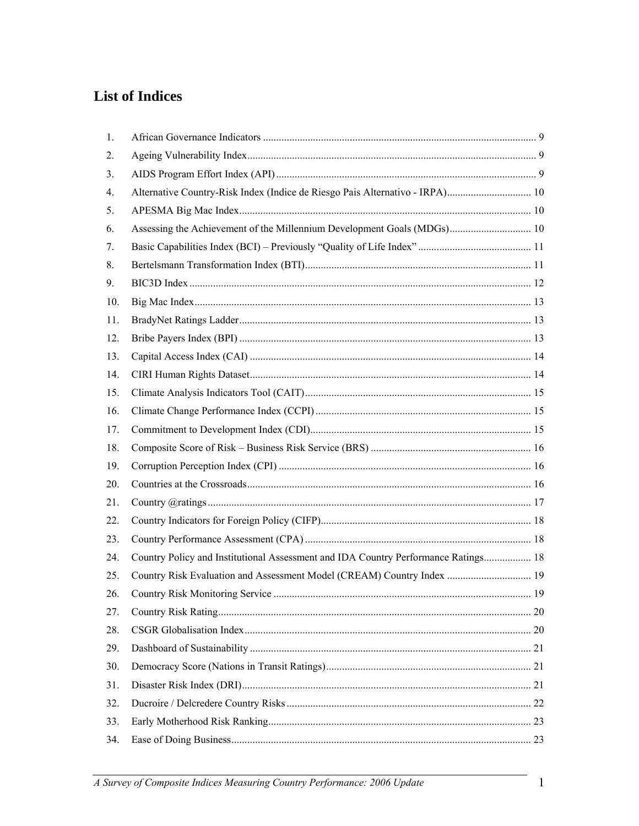# **List of Indices**

| 1.  |                                                                                    |  |
|-----|------------------------------------------------------------------------------------|--|
| 2.  |                                                                                    |  |
| 3.  |                                                                                    |  |
| 4.  | Alternative Country-Risk Index (Indice de Riesgo Pais Alternativo - IRPA) 10       |  |
| 5.  |                                                                                    |  |
| 6.  | Assessing the Achievement of the Millennium Development Goals (MDGs) 10            |  |
| 7.  |                                                                                    |  |
| 8.  |                                                                                    |  |
| 9.  |                                                                                    |  |
| 10. |                                                                                    |  |
| 11. |                                                                                    |  |
| 12. |                                                                                    |  |
| 13. |                                                                                    |  |
| 14. |                                                                                    |  |
| 15. |                                                                                    |  |
| 16. |                                                                                    |  |
| 17. |                                                                                    |  |
| 18. |                                                                                    |  |
| 19. |                                                                                    |  |
| 20. |                                                                                    |  |
| 21. |                                                                                    |  |
| 22. |                                                                                    |  |
| 23. |                                                                                    |  |
| 24. | Country Policy and Institutional Assessment and IDA Country Performance Ratings 18 |  |
| 25. | Country Risk Evaluation and Assessment Model (CREAM) Country Index  19             |  |
| 26. |                                                                                    |  |
| 27. |                                                                                    |  |
| 28. |                                                                                    |  |
| 29. |                                                                                    |  |
| 30. |                                                                                    |  |
| 31. |                                                                                    |  |
| 32. |                                                                                    |  |
| 33. |                                                                                    |  |
| 34. |                                                                                    |  |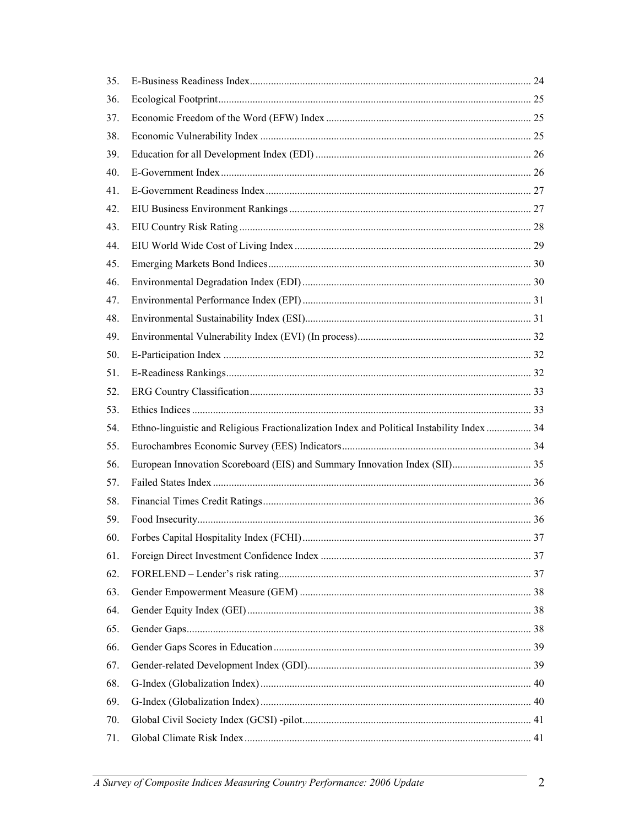| 35. |                                                                                            |  |
|-----|--------------------------------------------------------------------------------------------|--|
| 36. |                                                                                            |  |
| 37. |                                                                                            |  |
| 38. |                                                                                            |  |
| 39. |                                                                                            |  |
| 40. |                                                                                            |  |
| 41. |                                                                                            |  |
| 42. |                                                                                            |  |
| 43. |                                                                                            |  |
| 44. |                                                                                            |  |
| 45. |                                                                                            |  |
| 46. |                                                                                            |  |
| 47. |                                                                                            |  |
| 48. |                                                                                            |  |
| 49. |                                                                                            |  |
| 50. |                                                                                            |  |
| 51. |                                                                                            |  |
| 52. |                                                                                            |  |
| 53. |                                                                                            |  |
| 54. | Ethno-linguistic and Religious Fractionalization Index and Political Instability Index  34 |  |
| 55. |                                                                                            |  |
| 56. |                                                                                            |  |
| 57. |                                                                                            |  |
| 58. |                                                                                            |  |
| 59. |                                                                                            |  |
| 60. |                                                                                            |  |
| 61. |                                                                                            |  |
| 62. |                                                                                            |  |
| 63. |                                                                                            |  |
| 64. |                                                                                            |  |
| 65. |                                                                                            |  |
| 66. |                                                                                            |  |
| 67. |                                                                                            |  |
| 68. |                                                                                            |  |
| 69. |                                                                                            |  |
| 70. |                                                                                            |  |
| 71. |                                                                                            |  |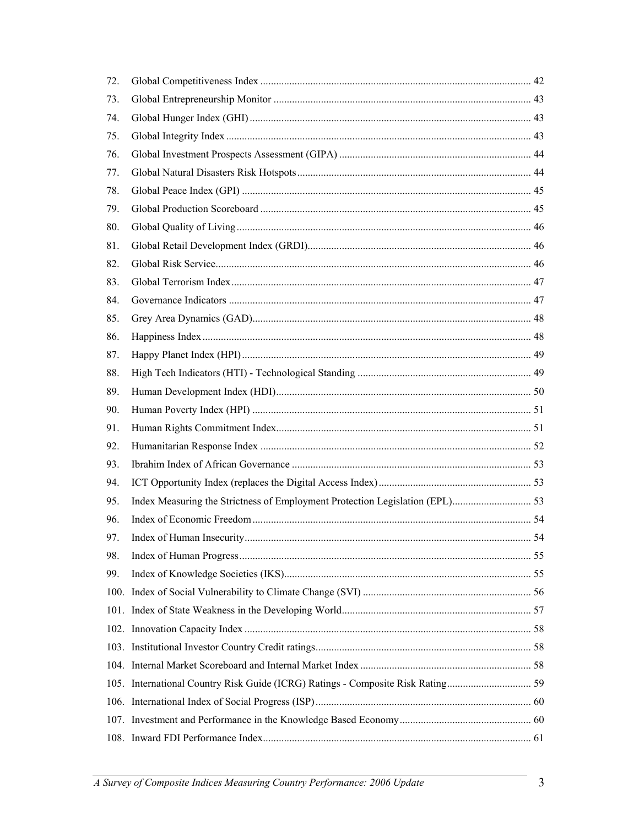| 72. |                                                                                 |  |
|-----|---------------------------------------------------------------------------------|--|
| 73. |                                                                                 |  |
| 74. |                                                                                 |  |
| 75. |                                                                                 |  |
| 76. |                                                                                 |  |
| 77. |                                                                                 |  |
| 78. |                                                                                 |  |
| 79. |                                                                                 |  |
| 80. |                                                                                 |  |
| 81. |                                                                                 |  |
| 82. |                                                                                 |  |
| 83. |                                                                                 |  |
| 84. |                                                                                 |  |
| 85. |                                                                                 |  |
| 86. |                                                                                 |  |
| 87. |                                                                                 |  |
| 88. |                                                                                 |  |
| 89. |                                                                                 |  |
| 90. |                                                                                 |  |
| 91. |                                                                                 |  |
| 92. |                                                                                 |  |
| 93. |                                                                                 |  |
| 94. |                                                                                 |  |
| 95. |                                                                                 |  |
| 96. |                                                                                 |  |
| 97. |                                                                                 |  |
| 98. |                                                                                 |  |
| 99. |                                                                                 |  |
|     |                                                                                 |  |
|     |                                                                                 |  |
|     |                                                                                 |  |
|     |                                                                                 |  |
|     |                                                                                 |  |
|     | 105. International Country Risk Guide (ICRG) Ratings - Composite Risk Rating 59 |  |
|     |                                                                                 |  |
|     |                                                                                 |  |
|     |                                                                                 |  |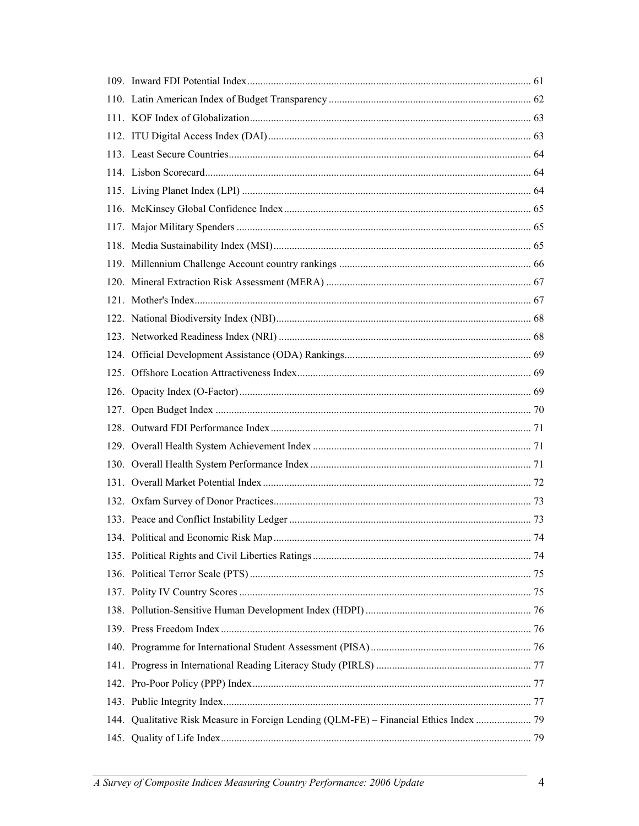| 144. Qualitative Risk Measure in Foreign Lending (QLM-FE) - Financial Ethics Index |  |
|------------------------------------------------------------------------------------|--|
|                                                                                    |  |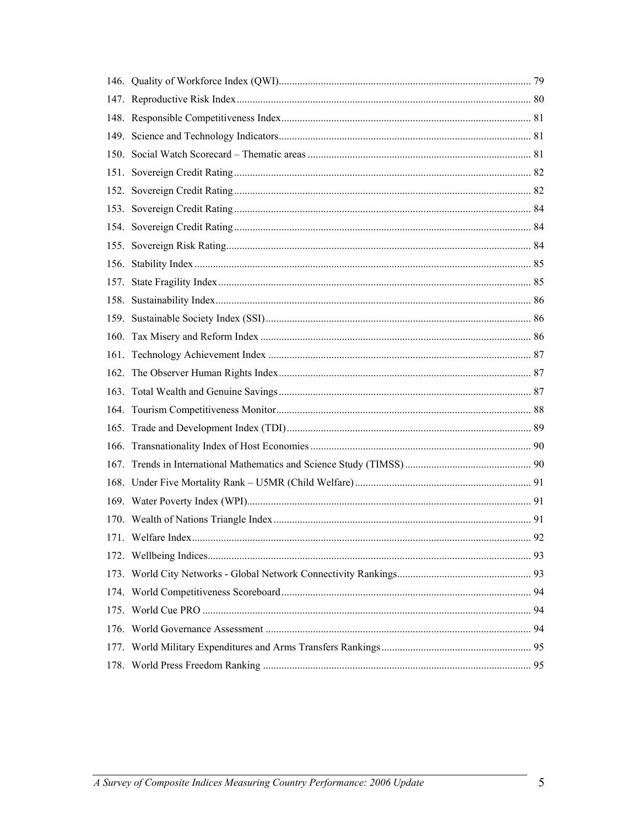| 166. |  |
|------|--|
|      |  |
|      |  |
|      |  |
|      |  |
|      |  |
|      |  |
|      |  |
|      |  |
|      |  |
|      |  |
|      |  |
| 178. |  |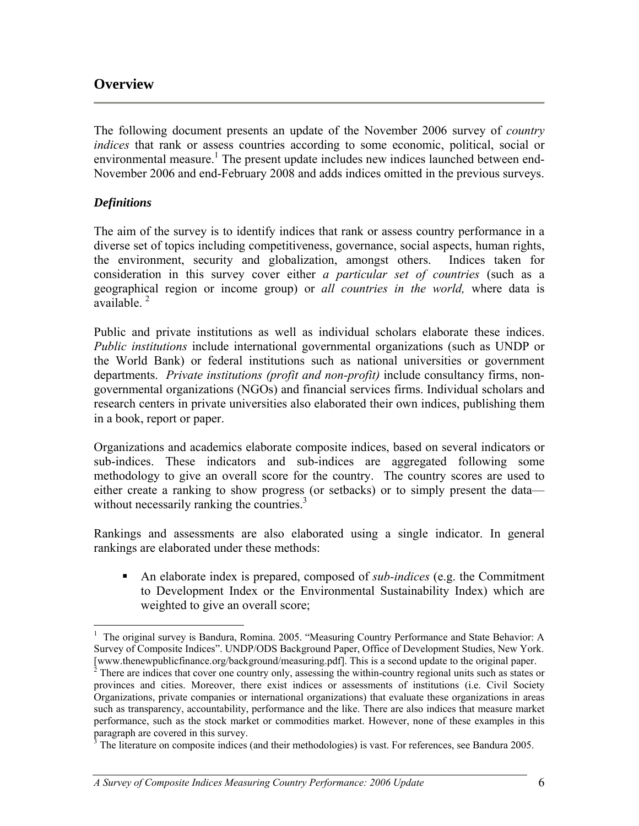### **Overview**

The following document presents an update of the November 2006 survey of *country indices* that rank or assess countries according to some economic, political, social or environmental measure.<sup>1</sup> The present update includes new indices launched between end-November 2006 and end-February 2008 and adds indices omitted in the previous surveys.

### *Definitions*

The aim of the survey is to identify indices that rank or assess country performance in a diverse set of topics including competitiveness, governance, social aspects, human rights, the environment, security and globalization, amongst others. Indices taken for consideration in this survey cover either *a particular set of countries* (such as a geographical region or income group) or *all countries in the world,* where data is available $^2$ 

Public and private institutions as well as individual scholars elaborate these indices. *Public institutions* include international governmental organizations (such as UNDP or the World Bank) or federal institutions such as national universities or government departments. *Private institutions (profit and non-profit)* include consultancy firms, nongovernmental organizations (NGOs) and financial services firms. Individual scholars and research centers in private universities also elaborated their own indices, publishing them in a book, report or paper.

Organizations and academics elaborate composite indices, based on several indicators or sub-indices. These indicators and sub-indices are aggregated following some methodology to give an overall score for the country. The country scores are used to either create a ranking to show progress (or setbacks) or to simply present the data without necessarily ranking the countries.<sup>3</sup>

Rankings and assessments are also elaborated using a single indicator. In general rankings are elaborated under these methods:

 An elaborate index is prepared, composed of *sub-indices* (e.g. the Commitment to Development Index or the Environmental Sustainability Index) which are weighted to give an overall score;

 $\overline{a}$ <sup>1</sup> The original survey is Bandura, Romina. 2005. "Measuring Country Performance and State Behavior: A Survey of Composite Indices". UNDP/ODS Background Paper, Office of Development Studies, New York. [www.thenewpublicfinance.org/background/measuring.pdf]. This is a second update to the original paper.

 $\overline{2}$  There are indices that cover one country only, assessing the within-country regional units such as states or provinces and cities. Moreover, there exist indices or assessments of institutions (i.e. Civil Society Organizations, private companies or international organizations) that evaluate these organizations in areas such as transparency, accountability, performance and the like. There are also indices that measure market performance, such as the stock market or commodities market. However, none of these examples in this paragraph are covered in this survey.<br><sup>3</sup> The literature on composite indicate

The literature on composite indices (and their methodologies) is vast. For references, see Bandura 2005.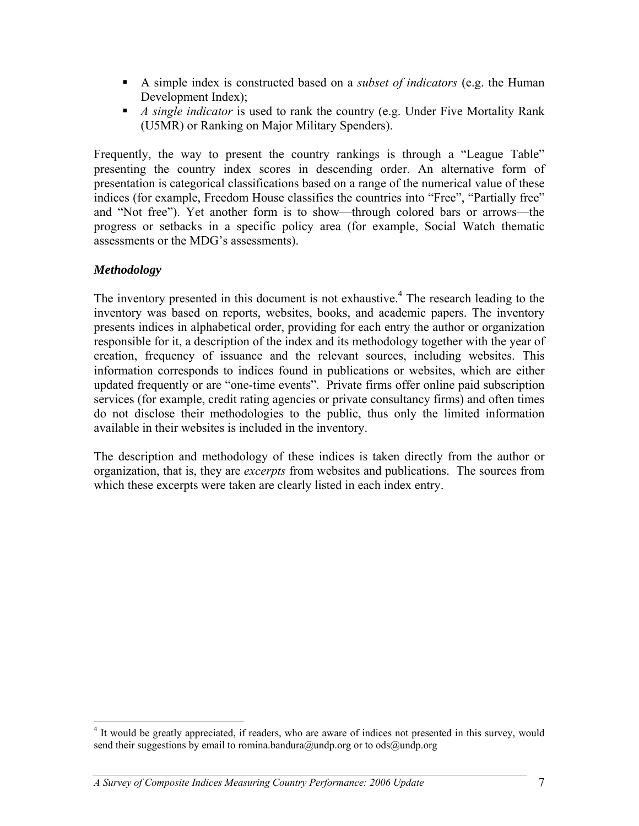- A simple index is constructed based on a *subset of indicators* (e.g. the Human Development Index);
- *A single indicator* is used to rank the country (e.g. Under Five Mortality Rank (U5MR) or Ranking on Major Military Spenders).

Frequently, the way to present the country rankings is through a "League Table" presenting the country index scores in descending order. An alternative form of presentation is categorical classifications based on a range of the numerical value of these indices (for example, Freedom House classifies the countries into "Free", "Partially free" and "Not free"). Yet another form is to show—through colored bars or arrows—the progress or setbacks in a specific policy area (for example, Social Watch thematic assessments or the MDG's assessments).

### *Methodology*

The inventory presented in this document is not exhaustive.<sup>4</sup> The research leading to the inventory was based on reports, websites, books, and academic papers. The inventory presents indices in alphabetical order, providing for each entry the author or organization responsible for it, a description of the index and its methodology together with the year of creation, frequency of issuance and the relevant sources, including websites. This information corresponds to indices found in publications or websites, which are either updated frequently or are "one-time events". Private firms offer online paid subscription services (for example, credit rating agencies or private consultancy firms) and often times do not disclose their methodologies to the public, thus only the limited information available in their websites is included in the inventory.

The description and methodology of these indices is taken directly from the author or organization, that is, they are *excerpts* from websites and publications. The sources from which these excerpts were taken are clearly listed in each index entry.

<sup>&</sup>lt;sup>4</sup> It would be greatly appreciated, if readers, who are aware of indices not presented in this survey, would send their suggestions by email to romina.bandura@undp.org or to ods@undp.org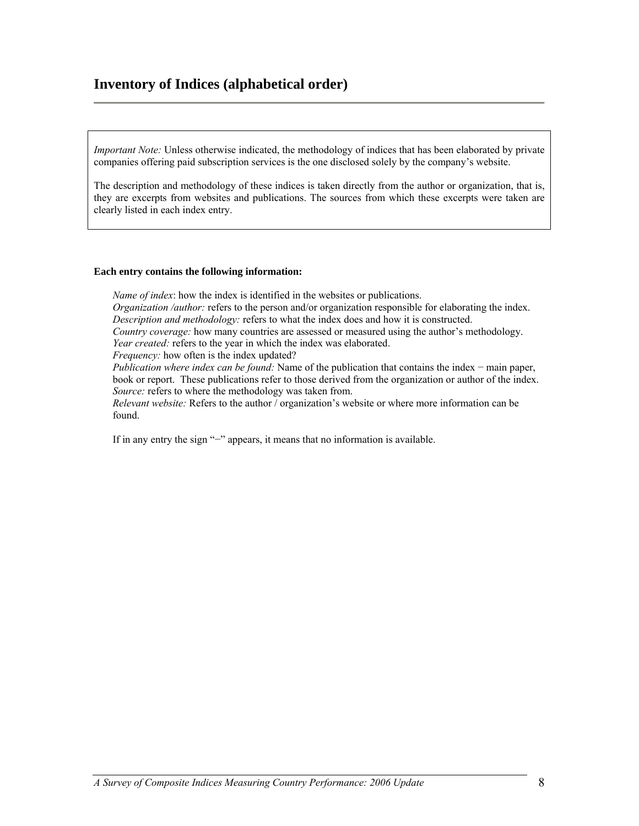## **Inventory of Indices (alphabetical order)**

*Important Note:* Unless otherwise indicated, the methodology of indices that has been elaborated by private companies offering paid subscription services is the one disclosed solely by the company's website.

The description and methodology of these indices is taken directly from the author or organization, that is, they are excerpts from websites and publications. The sources from which these excerpts were taken are clearly listed in each index entry.

#### **Each entry contains the following information:**

*Name of index*: how the index is identified in the websites or publications.

*Organization /author:* refers to the person and/or organization responsible for elaborating the index. *Description and methodology:* refers to what the index does and how it is constructed.

*Country coverage:* how many countries are assessed or measured using the author's methodology. *Year created:* refers to the year in which the index was elaborated.

*Frequency:* how often is the index updated?

*Publication where index can be found:* Name of the publication that contains the index − main paper, book or report. These publications refer to those derived from the organization or author of the index. *Source:* refers to where the methodology was taken from.

*Relevant website:* Refers to the author / organization's website or where more information can be found.

If in any entry the sign "−" appears, it means that no information is available.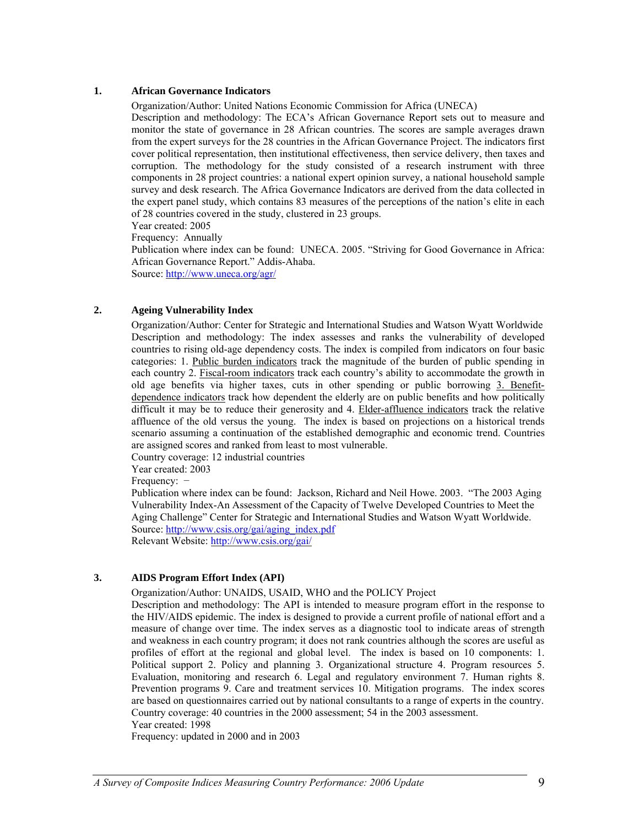#### **1. African Governance Indicators**

Organization/Author: United Nations Economic Commission for Africa (UNECA)

Description and methodology: The ECA's African Governance Report sets out to measure and monitor the state of governance in 28 African countries. The scores are sample averages drawn from the expert surveys for the 28 countries in the African Governance Project. The indicators first cover political representation, then institutional effectiveness, then service delivery, then taxes and corruption. The methodology for the study consisted of a research instrument with three components in 28 project countries: a national expert opinion survey, a national household sample survey and desk research. The Africa Governance Indicators are derived from the data collected in the expert panel study, which contains 83 measures of the perceptions of the nation's elite in each of 28 countries covered in the study, clustered in 23 groups.

Year created: 2005

Frequency: Annually

Publication where index can be found: UNECA. 2005. "Striving for Good Governance in Africa: African Governance Report." Addis-Ahaba.

Source: http://www.uneca.org/agr/

#### **2. Ageing Vulnerability Index**

Organization/Author: Center for Strategic and International Studies and Watson Wyatt Worldwide Description and methodology: The index assesses and ranks the vulnerability of developed countries to rising old-age dependency costs. The index is compiled from indicators on four basic categories: 1. Public burden indicators track the magnitude of the burden of public spending in each country 2. Fiscal-room indicators track each country's ability to accommodate the growth in old age benefits via higher taxes, cuts in other spending or public borrowing 3. Benefitdependence indicators track how dependent the elderly are on public benefits and how politically difficult it may be to reduce their generosity and 4. Elder-affluence indicators track the relative affluence of the old versus the young. The index is based on projections on a historical trends scenario assuming a continuation of the established demographic and economic trend. Countries are assigned scores and ranked from least to most vulnerable.

Country coverage: 12 industrial countries

Year created: 2003

Frequency:  $−$ 

Publication where index can be found: Jackson, Richard and Neil Howe. 2003. "The 2003 Aging Vulnerability Index-An Assessment of the Capacity of Twelve Developed Countries to Meet the Aging Challenge" Center for Strategic and International Studies and Watson Wyatt Worldwide. Source: http://www.csis.org/gai/aging\_index.pdf Relevant Website: http://www.csis.org/gai/

#### **3. AIDS Program Effort Index (API)**

Organization/Author: UNAIDS, USAID, WHO and the POLICY Project

Description and methodology: The API is intended to measure program effort in the response to the HIV/AIDS epidemic. The index is designed to provide a current profile of national effort and a measure of change over time. The index serves as a diagnostic tool to indicate areas of strength and weakness in each country program; it does not rank countries although the scores are useful as profiles of effort at the regional and global level. The index is based on 10 components: 1. Political support 2. Policy and planning 3. Organizational structure 4. Program resources 5. Evaluation, monitoring and research 6. Legal and regulatory environment 7. Human rights 8. Prevention programs 9. Care and treatment services 10. Mitigation programs. The index scores are based on questionnaires carried out by national consultants to a range of experts in the country. Country coverage: 40 countries in the 2000 assessment; 54 in the 2003 assessment.

Year created: 1998

Frequency: updated in 2000 and in 2003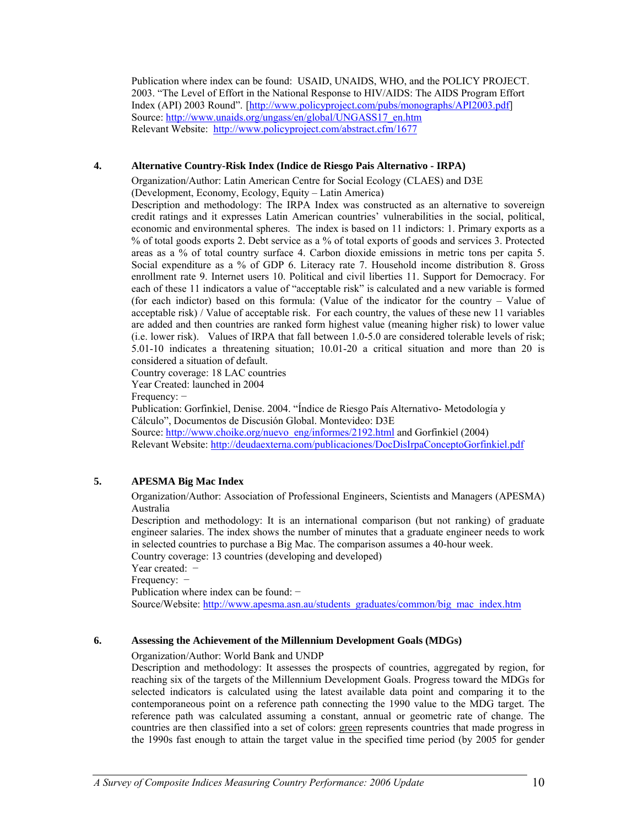Publication where index can be found: USAID, UNAIDS, WHO, and the POLICY PROJECT. 2003. "The Level of Effort in the National Response to HIV/AIDS: The AIDS Program Effort Index (API) 2003 Round". [http://www.policyproject.com/pubs/monographs/API2003.pdf] Source: http://www.unaids.org/ungass/en/global/UNGASS17\_en.htm Relevant Website: http://www.policyproject.com/abstract.cfm/1677

#### **4. Alternative Country-Risk Index (Indice de Riesgo Pais Alternativo - IRPA)**

Organization/Author: Latin American Centre for Social Ecology (CLAES) and D3E (Development, Economy, Ecology, Equity – Latin America) Description and methodology: The IRPA Index was constructed as an alternative to sovereign

credit ratings and it expresses Latin American countries' vulnerabilities in the social, political, economic and environmental spheres. The index is based on 11 indictors: 1. Primary exports as a % of total goods exports 2. Debt service as a % of total exports of goods and services 3. Protected areas as a % of total country surface 4. Carbon dioxide emissions in metric tons per capita 5. Social expenditure as a % of GDP 6. Literacy rate 7. Household income distribution 8. Gross enrollment rate 9. Internet users 10. Political and civil liberties 11. Support for Democracy. For each of these 11 indicators a value of "acceptable risk" is calculated and a new variable is formed (for each indictor) based on this formula: (Value of the indicator for the country – Value of acceptable risk) / Value of acceptable risk. For each country, the values of these new 11 variables are added and then countries are ranked form highest value (meaning higher risk) to lower value (i.e. lower risk). Values of IRPA that fall between 1.0-5.0 are considered tolerable levels of risk; 5.01-10 indicates a threatening situation; 10.01-20 a critical situation and more than 20 is considered a situation of default.

Country coverage: 18 LAC countries

Year Created: launched in 2004

Frequency: −

Publication: Gorfinkiel, Denise. 2004. "Índice de Riesgo País Alternativo- Metodología y Cálculo", Documentos de Discusión Global. Montevideo: D3E Source: http://www.choike.org/nuevo\_eng/informes/2192.html and Gorfinkiel (2004) Relevant Website: http://deudaexterna.com/publicaciones/DocDisIrpaConceptoGorfinkiel.pdf

### **5. APESMA Big Mac Index**

Organization/Author: Association of Professional Engineers, Scientists and Managers (APESMA) Australia

Description and methodology: It is an international comparison (but not ranking) of graduate engineer salaries. The index shows the number of minutes that a graduate engineer needs to work in selected countries to purchase a Big Mac. The comparison assumes a 40-hour week.

Country coverage: 13 countries (developing and developed)

Year created: -

Frequency: −

Publication where index can be found: −

Source/Website: http://www.apesma.asn.au/students\_graduates/common/big\_mac\_index.htm

#### **6. Assessing the Achievement of the Millennium Development Goals (MDGs)**

Organization/Author: World Bank and UNDP

Description and methodology: It assesses the prospects of countries, aggregated by region, for reaching six of the targets of the Millennium Development Goals. Progress toward the MDGs for selected indicators is calculated using the latest available data point and comparing it to the contemporaneous point on a reference path connecting the 1990 value to the MDG target. The reference path was calculated assuming a constant, annual or geometric rate of change. The countries are then classified into a set of colors: green represents countries that made progress in the 1990s fast enough to attain the target value in the specified time period (by 2005 for gender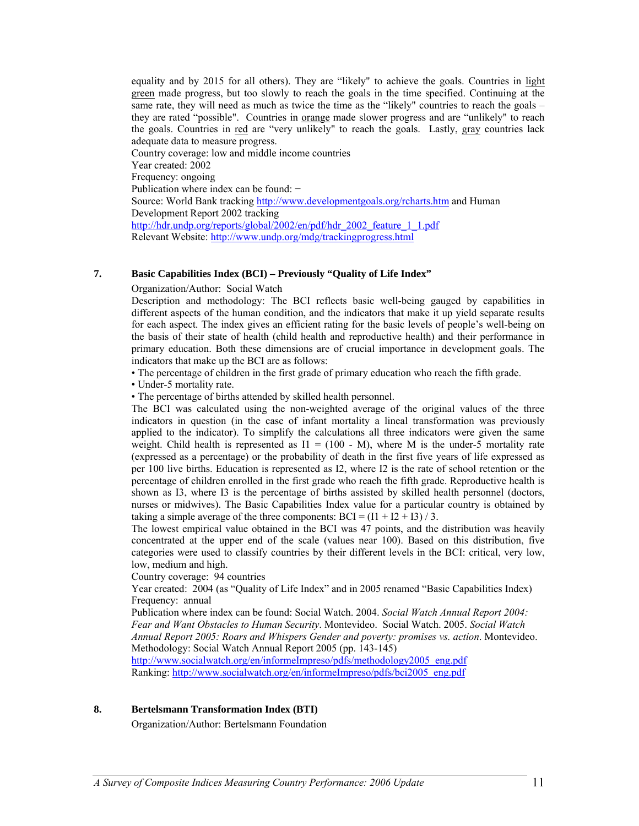equality and by 2015 for all others). They are "likely" to achieve the goals. Countries in light green made progress, but too slowly to reach the goals in the time specified. Continuing at the same rate, they will need as much as twice the time as the "likely" countries to reach the goals – they are rated "possible". Countries in <u>orange</u> made slower progress and are "unlikely" to reach the goals. Countries in red are "very unlikely" to reach the goals. Lastly, gray countries lack adequate data to measure progress.

 Country coverage: low and middle income countries Year created: 2002 Frequency: ongoing Publication where index can be found: – Source: World Bank tracking http://www.developmentgoals.org/rcharts.htm and Human Development Report 2002 tracking http://hdr.undp.org/reports/global/2002/en/pdf/hdr\_2002\_feature\_1\_1.pdf Relevant Website: http://www.undp.org/mdg/trackingprogress.html

#### **7. Basic Capabilities Index (BCI) – Previously "Quality of Life Index"**

#### Organization/Author: Social Watch

Description and methodology: The BCI reflects basic well-being gauged by capabilities in different aspects of the human condition, and the indicators that make it up yield separate results for each aspect. The index gives an efficient rating for the basic levels of people's well-being on the basis of their state of health (child health and reproductive health) and their performance in primary education. Both these dimensions are of crucial importance in development goals. The indicators that make up the BCI are as follows:

• The percentage of children in the first grade of primary education who reach the fifth grade.

• Under-5 mortality rate.

• The percentage of births attended by skilled health personnel.

The BCI was calculated using the non-weighted average of the original values of the three indicators in question (in the case of infant mortality a lineal transformation was previously applied to the indicator). To simplify the calculations all three indicators were given the same weight. Child health is represented as  $I1 = (100 - M)$ , where M is the under-5 mortality rate (expressed as a percentage) or the probability of death in the first five years of life expressed as per 100 live births. Education is represented as I2, where I2 is the rate of school retention or the percentage of children enrolled in the first grade who reach the fifth grade. Reproductive health is shown as I3, where I3 is the percentage of births assisted by skilled health personnel (doctors, nurses or midwives). The Basic Capabilities Index value for a particular country is obtained by taking a simple average of the three components:  $BCI = (I1 + I2 + I3) / 3$ .

The lowest empirical value obtained in the BCI was 47 points, and the distribution was heavily concentrated at the upper end of the scale (values near 100). Based on this distribution, five categories were used to classify countries by their different levels in the BCI: critical, very low, low, medium and high.

Country coverage: 94 countries

 Year created: 2004 (as "Quality of Life Index" and in 2005 renamed "Basic Capabilities Index) Frequency: annual

Publication where index can be found: Social Watch. 2004. *Social Watch Annual Report 2004: Fear and Want Obstacles to Human Security*. Montevideo. Social Watch. 2005. *Social Watch Annual Report 2005: Roars and Whispers Gender and poverty: promises vs. action*. Montevideo. Methodology: Social Watch Annual Report 2005 (pp. 143-145)

http://www.socialwatch.org/en/informeImpreso/pdfs/methodology2005\_eng.pdf Ranking: http://www.socialwatch.org/en/informeImpreso/pdfs/bci2005\_eng.pdf

#### **8. Bertelsmann Transformation Index (BTI)**

Organization/Author: Bertelsmann Foundation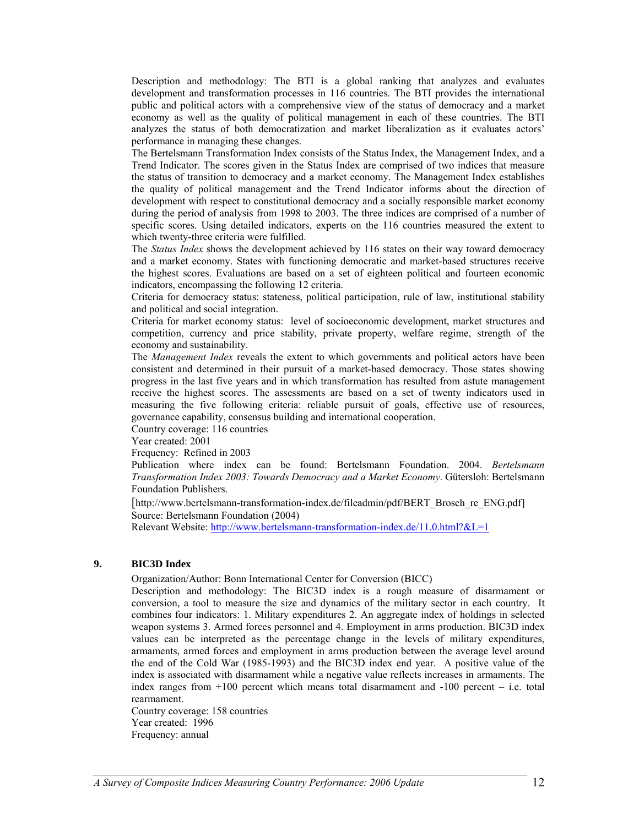Description and methodology: The BTI is a global ranking that analyzes and evaluates development and transformation processes in 116 countries. The BTI provides the international public and political actors with a comprehensive view of the status of democracy and a market economy as well as the quality of political management in each of these countries. The BTI analyzes the status of both democratization and market liberalization as it evaluates actors' performance in managing these changes.

The Bertelsmann Transformation Index consists of the Status Index, the Management Index, and a Trend Indicator. The scores given in the Status Index are comprised of two indices that measure the status of transition to democracy and a market economy. The Management Index establishes the quality of political management and the Trend Indicator informs about the direction of development with respect to constitutional democracy and a socially responsible market economy during the period of analysis from 1998 to 2003. The three indices are comprised of a number of specific scores. Using detailed indicators, experts on the 116 countries measured the extent to which twenty-three criteria were fulfilled.

The *Status Index* shows the development achieved by 116 states on their way toward democracy and a market economy. States with functioning democratic and market-based structures receive the highest scores. Evaluations are based on a set of eighteen political and fourteen economic indicators, encompassing the following 12 criteria.

Criteria for democracy status: stateness, political participation, rule of law, institutional stability and political and social integration.

Criteria for market economy status: level of socioeconomic development, market structures and competition, currency and price stability, private property, welfare regime, strength of the economy and sustainability.

The *Management Index* reveals the extent to which governments and political actors have been consistent and determined in their pursuit of a market-based democracy. Those states showing progress in the last five years and in which transformation has resulted from astute management receive the highest scores. The assessments are based on a set of twenty indicators used in measuring the five following criteria: reliable pursuit of goals, effective use of resources, governance capability, consensus building and international cooperation.

Country coverage: 116 countries

Year created: 2001

Frequency: Refined in 2003

Publication where index can be found: Bertelsmann Foundation. 2004. *Bertelsmann Transformation Index 2003: Towards Democracy and a Market Economy*. Gütersloh: Bertelsmann Foundation Publishers.

[http://www.bertelsmann-transformation-index.de/fileadmin/pdf/BERT\_Brosch\_re\_ENG.pdf] Source: Bertelsmann Foundation (2004)

Relevant Website: http://www.bertelsmann-transformation-index.de/11.0.html?&L=1

#### **9. BIC3D Index**

Organization/Author: Bonn International Center for Conversion (BICC)

Description and methodology: The BIC3D index is a rough measure of disarmament or conversion, a tool to measure the size and dynamics of the military sector in each country. It combines four indicators: 1. Military expenditures 2. An aggregate index of holdings in selected weapon systems 3. Armed forces personnel and 4. Employment in arms production. BIC3D index values can be interpreted as the percentage change in the levels of military expenditures, armaments, armed forces and employment in arms production between the average level around the end of the Cold War (1985-1993) and the BIC3D index end year. A positive value of the index is associated with disarmament while a negative value reflects increases in armaments. The index ranges from +100 percent which means total disarmament and -100 percent – i.e. total rearmament.

 Country coverage: 158 countries Year created: 1996 Frequency: annual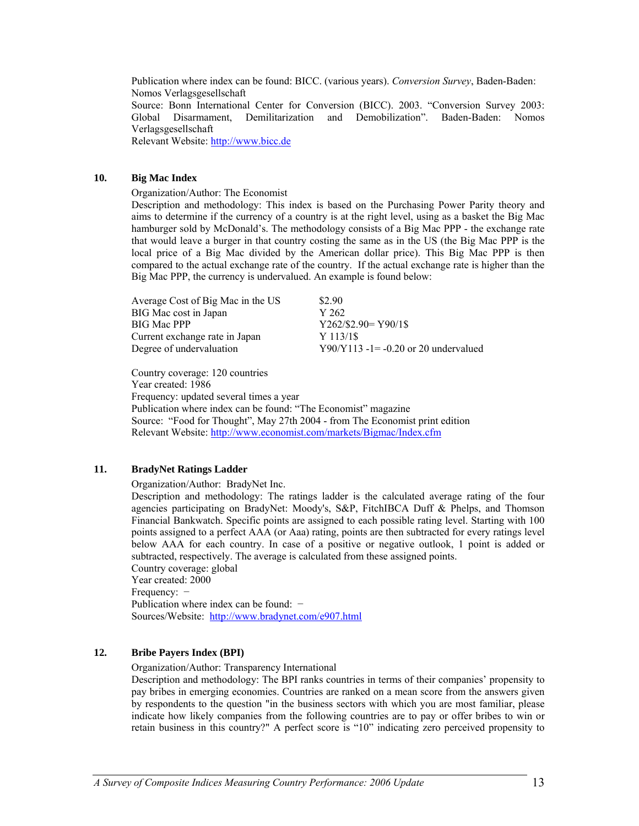Publication where index can be found: BICC. (various years). *Conversion Survey*, Baden-Baden: Nomos Verlagsgesellschaft Source: Bonn International Center for Conversion (BICC). 2003. "Conversion Survey 2003:

Global Disarmament, Demilitarization and Demobilization". Baden-Baden: Nomos Verlagsgesellschaft

Relevant Website: http://www.bicc.de

#### **10. Big Mac Index**

Organization/Author: The Economist

Description and methodology: This index is based on the Purchasing Power Parity theory and aims to determine if the currency of a country is at the right level, using as a basket the Big Mac hamburger sold by McDonald's. The methodology consists of a Big Mac PPP - the exchange rate that would leave a burger in that country costing the same as in the US (the Big Mac PPP is the local price of a Big Mac divided by the American dollar price). This Big Mac PPP is then compared to the actual exchange rate of the country. If the actual exchange rate is higher than the Big Mac PPP, the currency is undervalued. An example is found below:

| Average Cost of Big Mac in the US | \$2.90                                   |
|-----------------------------------|------------------------------------------|
| BIG Mac cost in Japan             | Y 262                                    |
| <b>BIG Mac PPP</b>                | $Y262/S2.90 = Y90/1$ \$                  |
| Current exchange rate in Japan    | $Y$ 113/1\$                              |
| Degree of undervaluation          | $Y90/Y113 - 1 = -0.20$ or 20 undervalued |
|                                   |                                          |

 Country coverage: 120 countries Year created: 1986 Frequency: updated several times a year Publication where index can be found: "The Economist" magazine Source: "Food for Thought", May 27th 2004 - from The Economist print edition Relevant Website: http://www.economist.com/markets/Bigmac/Index.cfm

#### **11. BradyNet Ratings Ladder**

Organization/Author: BradyNet Inc.

Description and methodology: The ratings ladder is the calculated average rating of the four agencies participating on BradyNet: Moody's, S&P, FitchIBCA Duff & Phelps, and Thomson Financial Bankwatch. Specific points are assigned to each possible rating level. Starting with 100 points assigned to a perfect AAA (or Aaa) rating, points are then subtracted for every ratings level below AAA for each country. In case of a positive or negative outlook, 1 point is added or subtracted, respectively. The average is calculated from these assigned points. Country coverage: global Year created: 2000

 Frequency: − Publication where index can be found: −

Sources/Website: http://www.bradynet.com/e907.html

#### **12. Bribe Payers Index (BPI)**

Organization/Author: Transparency International

Description and methodology: The BPI ranks countries in terms of their companies' propensity to pay bribes in emerging economies. Countries are ranked on a mean score from the answers given by respondents to the question "in the business sectors with which you are most familiar, please indicate how likely companies from the following countries are to pay or offer bribes to win or retain business in this country?" A perfect score is "10" indicating zero perceived propensity to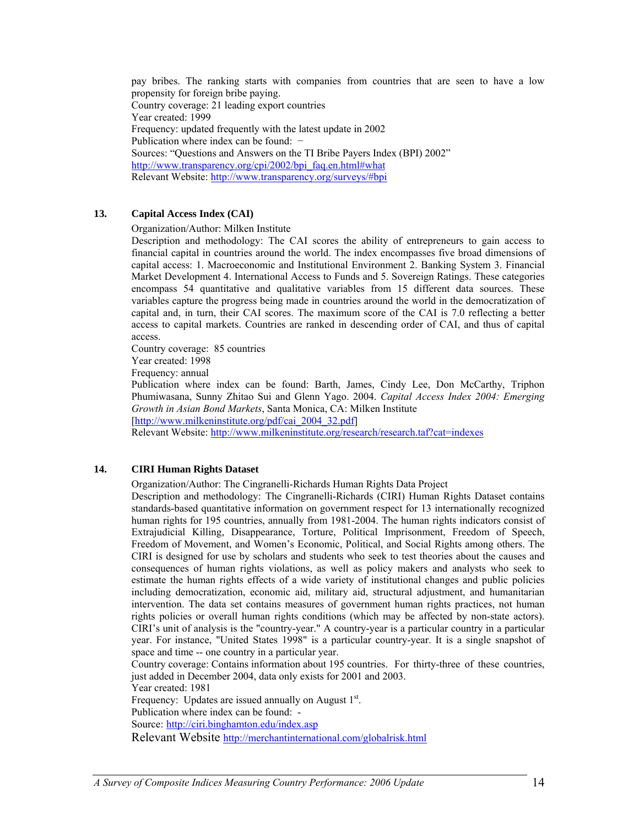pay bribes. The ranking starts with companies from countries that are seen to have a low propensity for foreign bribe paying. Country coverage: 21 leading export countries Year created: 1999 Frequency: updated frequently with the latest update in 2002 Publication where index can be found: − Sources: "Questions and Answers on the TI Bribe Payers Index (BPI) 2002" http://www.transparency.org/cpi/2002/bpi\_faq.en.html#what Relevant Website: http://www.transparency.org/surveys/#bpi

#### **13. Capital Access Index (CAI)**

Organization/Author: Milken Institute

Description and methodology: The CAI scores the ability of entrepreneurs to gain access to financial capital in countries around the world. The index encompasses five broad dimensions of capital access: 1. Macroeconomic and Institutional Environment 2. Banking System 3. Financial Market Development 4. International Access to Funds and 5. Sovereign Ratings. These categories encompass 54 quantitative and qualitative variables from 15 different data sources. These variables capture the progress being made in countries around the world in the democratization of capital and, in turn, their CAI scores. The maximum score of the CAI is 7.0 reflecting a better access to capital markets. Countries are ranked in descending order of CAI, and thus of capital access.

Country coverage: 85 countries

Year created: 1998

Frequency: annual

Publication where index can be found: Barth, James, Cindy Lee, Don McCarthy, Triphon Phumiwasana, Sunny Zhitao Sui and Glenn Yago. 2004. *Capital Access Index 2004: Emerging Growth in Asian Bond Markets*, Santa Monica, CA: Milken Institute [http://www.milkeninstitute.org/pdf/cai\_2004\_32.pdf]

Relevant Website: http://www.milkeninstitute.org/research/research.taf?cat=indexes

#### **14. CIRI Human Rights Dataset**

Organization/Author: The Cingranelli-Richards Human Rights Data Project

Description and methodology: The Cingranelli-Richards (CIRI) Human Rights Dataset contains standards-based quantitative information on government respect for 13 internationally recognized human rights for 195 countries, annually from 1981-2004. The human rights indicators consist of Extrajudicial Killing, Disappearance, Torture, Political Imprisonment, Freedom of Speech, Freedom of Movement, and Women's Economic, Political, and Social Rights among others. The CIRI is designed for use by scholars and students who seek to test theories about the causes and consequences of human rights violations, as well as policy makers and analysts who seek to estimate the human rights effects of a wide variety of institutional changes and public policies including democratization, economic aid, military aid, structural adjustment, and humanitarian intervention. The data set contains measures of government human rights practices, not human rights policies or overall human rights conditions (which may be affected by non-state actors). CIRI's unit of analysis is the "country-year." A country-year is a particular country in a particular year. For instance, "United States 1998" is a particular country-year. It is a single snapshot of space and time -- one country in a particular year.

 Country coverage: Contains information about 195 countries. For thirty-three of these countries, just added in December 2004, data only exists for 2001 and 2003. Year created: 1981 Frequency: Updates are issued annually on August 1<sup>st</sup>. Publication where index can be found: -

Source: http://ciri.binghamton.edu/index.asp

Relevant Website http://merchantinternational.com/globalrisk.html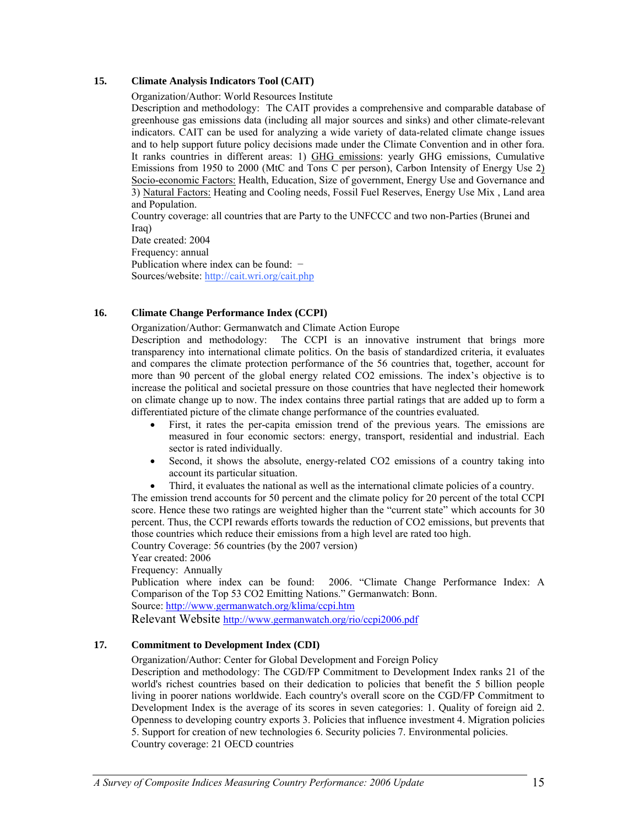#### **15. Climate Analysis Indicators Tool (CAIT)**

Organization/Author: World Resources Institute

Description and methodology: The CAIT provides a comprehensive and comparable database of greenhouse gas emissions data (including all major sources and sinks) and other climate-relevant indicators. CAIT can be used for analyzing a wide variety of data-related climate change issues and to help support future policy decisions made under the Climate Convention and in other fora. It ranks countries in different areas: 1) GHG emissions: yearly GHG emissions, Cumulative Emissions from 1950 to 2000 (MtC and Tons C per person), Carbon Intensity of Energy Use 2) Socio-economic Factors: Health, Education, Size of government, Energy Use and Governance and 3) Natural Factors: Heating and Cooling needs, Fossil Fuel Reserves, Energy Use Mix , Land area and Population.

Country coverage: all countries that are Party to the UNFCCC and two non-Parties (Brunei and Iraq)

Date created: 2004 Frequency: annual Publication where index can be found: − Sources/website: http://cait.wri.org/cait.php

#### **16. Climate Change Performance Index (CCPI)**

Organization/Author: Germanwatch and Climate Action Europe

Description and methodology: The CCPI is an innovative instrument that brings more transparency into international climate politics. On the basis of standardized criteria, it evaluates and compares the climate protection performance of the 56 countries that, together, account for more than 90 percent of the global energy related CO2 emissions. The index's objective is to increase the political and societal pressure on those countries that have neglected their homework on climate change up to now. The index contains three partial ratings that are added up to form a differentiated picture of the climate change performance of the countries evaluated.

- First, it rates the per-capita emission trend of the previous years. The emissions are measured in four economic sectors: energy, transport, residential and industrial. Each sector is rated individually.
- Second, it shows the absolute, energy-related CO2 emissions of a country taking into account its particular situation.
- Third, it evaluates the national as well as the international climate policies of a country.

The emission trend accounts for 50 percent and the climate policy for 20 percent of the total CCPI score. Hence these two ratings are weighted higher than the "current state" which accounts for 30 percent. Thus, the CCPI rewards efforts towards the reduction of CO2 emissions, but prevents that those countries which reduce their emissions from a high level are rated too high.

Country Coverage: 56 countries (by the 2007 version)

Year created: 2006

Frequency: Annually

Publication where index can be found: 2006. "Climate Change Performance Index: A Comparison of the Top 53 CO2 Emitting Nations." Germanwatch: Bonn. Source: http://www.germanwatch.org/klima/ccpi.htm

Relevant Website http://www.germanwatch.org/rio/ccpi2006.pdf

#### **17. Commitment to Development Index (CDI)**

Organization/Author: Center for Global Development and Foreign Policy

Description and methodology: The CGD/FP Commitment to Development Index ranks 21 of the world's richest countries based on their dedication to policies that benefit the 5 billion people living in poorer nations worldwide. Each country's overall score on the CGD/FP Commitment to Development Index is the average of its scores in seven categories: 1. Quality of foreign aid 2. Openness to developing country exports 3. Policies that influence investment 4. Migration policies 5. Support for creation of new technologies 6. Security policies 7. Environmental policies. Country coverage: 21 OECD countries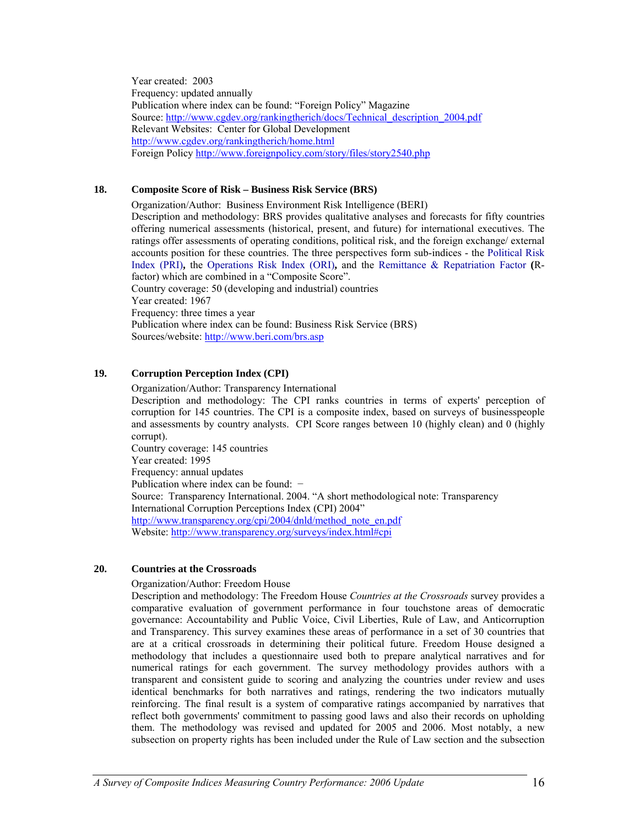Year created: 2003 Frequency: updated annually Publication where index can be found: "Foreign Policy" Magazine Source: http://www.cgdev.org/rankingtherich/docs/Technical\_description\_2004.pdf Relevant Websites: Center for Global Development http://www.cgdev.org/rankingtherich/home.html Foreign Policy http://www.foreignpolicy.com/story/files/story2540.php

#### **18. Composite Score of Risk – Business Risk Service (BRS)**

 Organization/Author: Business Environment Risk Intelligence (BERI) Description and methodology: BRS provides qualitative analyses and forecasts for fifty countries offering numerical assessments (historical, present, and future) for international executives. The ratings offer assessments of operating conditions, political risk, and the foreign exchange/ external accounts position for these countries. The three perspectives form sub-indices - the Political Risk Index (PRI)**,** the Operations Risk Index (ORI)**,** and the Remittance & Repatriation Factor **(**Rfactor) which are combined in a "Composite Score". Country coverage: 50 (developing and industrial) countries Year created: 1967

 Frequency: three times a year Publication where index can be found: Business Risk Service (BRS) Sources/website: http://www.beri.com/brs.asp

#### **19. Corruption Perception Index (CPI)**

Organization/Author: Transparency International

Description and methodology: The CPI ranks countries in terms of experts' perception of corruption for 145 countries. The CPI is a composite index, based on surveys of businesspeople and assessments by country analysts. CPI Score ranges between 10 (highly clean) and 0 (highly corrupt).

 Country coverage: 145 countries Year created: 1995 Frequency: annual updates Publication where index can be found: − Source: Transparency International. 2004. "A short methodological note: Transparency International Corruption Perceptions Index (CPI) 2004" http://www.transparency.org/cpi/2004/dnld/method\_note\_en.pdf Website: http://www.transparency.org/surveys/index.html#cpi

#### **20. Countries at the Crossroads**

Organization/Author: Freedom House

Description and methodology: The Freedom House *Countries at the Crossroads* survey provides a comparative evaluation of government performance in four touchstone areas of democratic governance: Accountability and Public Voice, Civil Liberties, Rule of Law, and Anticorruption and Transparency. This survey examines these areas of performance in a set of 30 countries that are at a critical crossroads in determining their political future. Freedom House designed a methodology that includes a questionnaire used both to prepare analytical narratives and for numerical ratings for each government. The survey methodology provides authors with a transparent and consistent guide to scoring and analyzing the countries under review and uses identical benchmarks for both narratives and ratings, rendering the two indicators mutually reinforcing. The final result is a system of comparative ratings accompanied by narratives that reflect both governments' commitment to passing good laws and also their records on upholding them. The methodology was revised and updated for 2005 and 2006. Most notably, a new subsection on property rights has been included under the Rule of Law section and the subsection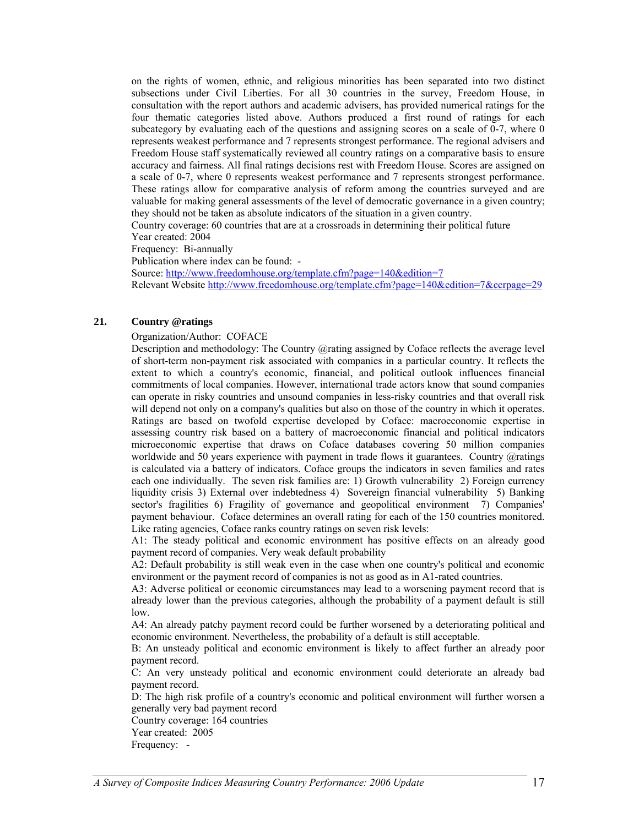on the rights of women, ethnic, and religious minorities has been separated into two distinct subsections under Civil Liberties. For all 30 countries in the survey, Freedom House, in consultation with the report authors and academic advisers, has provided numerical ratings for the four thematic categories listed above. Authors produced a first round of ratings for each subcategory by evaluating each of the questions and assigning scores on a scale of 0-7, where 0 represents weakest performance and 7 represents strongest performance. The regional advisers and Freedom House staff systematically reviewed all country ratings on a comparative basis to ensure accuracy and fairness. All final ratings decisions rest with Freedom House. Scores are assigned on a scale of 0-7, where 0 represents weakest performance and 7 represents strongest performance. These ratings allow for comparative analysis of reform among the countries surveyed and are valuable for making general assessments of the level of democratic governance in a given country; they should not be taken as absolute indicators of the situation in a given country.

 Country coverage: 60 countries that are at a crossroads in determining their political future Year created: 2004

Frequency: Bi-annually

Publication where index can be found: -

Source: http://www.freedomhouse.org/template.cfm?page=140&edition=7 Relevant Website http://www.freedomhouse.org/template.cfm?page=140&edition=7&ccrpage=29

#### **21. Country @ratings**

Organization/Author: COFACE

Description and methodology: The Country @rating assigned by Coface reflects the average level of short-term non-payment risk associated with companies in a particular country. It reflects the extent to which a country's economic, financial, and political outlook influences financial commitments of local companies. However, international trade actors know that sound companies can operate in risky countries and unsound companies in less-risky countries and that overall risk will depend not only on a company's qualities but also on those of the country in which it operates. Ratings are based on twofold expertise developed by Coface: macroeconomic expertise in assessing country risk based on a battery of macroeconomic financial and political indicators microeconomic expertise that draws on Coface databases covering 50 million companies worldwide and 50 years experience with payment in trade flows it guarantees. Country @ratings is calculated via a battery of indicators. Coface groups the indicators in seven families and rates each one individually. The seven risk families are: 1) Growth vulnerability 2) Foreign currency liquidity crisis 3) External over indebtedness 4) Sovereign financial vulnerability 5) Banking sector's fragilities 6) Fragility of governance and geopolitical environment 7) Companies' payment behaviour. Coface determines an overall rating for each of the 150 countries monitored. Like rating agencies, Coface ranks country ratings on seven risk levels:

A1: The steady political and economic environment has positive effects on an already good payment record of companies. Very weak default probability

A2: Default probability is still weak even in the case when one country's political and economic environment or the payment record of companies is not as good as in A1-rated countries.

A3: Adverse political or economic circumstances may lead to a worsening payment record that is already lower than the previous categories, although the probability of a payment default is still low.

A4: An already patchy payment record could be further worsened by a deteriorating political and economic environment. Nevertheless, the probability of a default is still acceptable.

B: An unsteady political and economic environment is likely to affect further an already poor payment record.

C: An very unsteady political and economic environment could deteriorate an already bad payment record.

D: The high risk profile of a country's economic and political environment will further worsen a generally very bad payment record

 Country coverage: 164 countries Year created: 2005

Frequency: -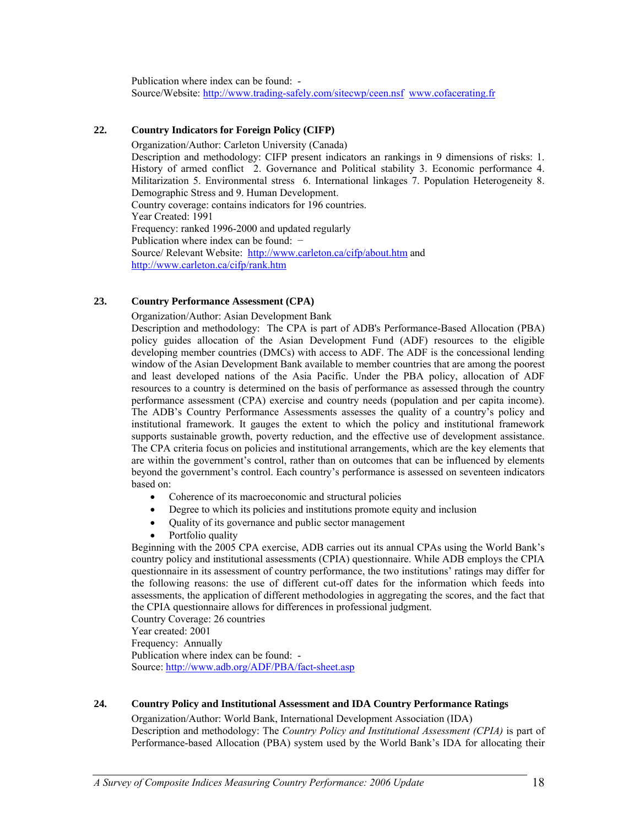Publication where index can be found: - Source/Website: http://www.trading-safely.com/sitecwp/ceen.nsf www.cofacerating.fr

#### **22. Country Indicators for Foreign Policy (CIFP)**

Organization/Author: Carleton University (Canada)

Description and methodology: CIFP present indicators an rankings in 9 dimensions of risks: 1. History of armed conflict 2. Governance and Political stability 3. Economic performance 4. Militarization 5. Environmental stress 6. International linkages 7. Population Heterogeneity 8. Demographic Stress and 9. Human Development. Country coverage: contains indicators for 196 countries. Year Created: 1991 Frequency: ranked 1996-2000 and updated regularly Publication where index can be found: −

 Source/ Relevant Website: http://www.carleton.ca/cifp/about.htm and http://www.carleton.ca/cifp/rank.htm

#### **23. Country Performance Assessment (CPA)**

Organization/Author: Asian Development Bank

Description and methodology: The CPA is part of ADB's Performance-Based Allocation (PBA) policy guides allocation of the Asian Development Fund (ADF) resources to the eligible developing member countries (DMCs) with access to ADF. The ADF is the concessional lending window of the Asian Development Bank available to member countries that are among the poorest and least developed nations of the Asia Pacific. Under the PBA policy, allocation of ADF resources to a country is determined on the basis of performance as assessed through the country performance assessment (CPA) exercise and country needs (population and per capita income). The ADB's Country Performance Assessments assesses the quality of a country's policy and institutional framework. It gauges the extent to which the policy and institutional framework supports sustainable growth, poverty reduction, and the effective use of development assistance. The CPA criteria focus on policies and institutional arrangements, which are the key elements that are within the government's control, rather than on outcomes that can be influenced by elements beyond the government's control. Each country's performance is assessed on seventeen indicators based on:

- Coherence of its macroeconomic and structural policies
- Degree to which its policies and institutions promote equity and inclusion
- Quality of its governance and public sector management
- Portfolio quality

Beginning with the 2005 CPA exercise, ADB carries out its annual CPAs using the World Bank's country policy and institutional assessments (CPIA) questionnaire. While ADB employs the CPIA questionnaire in its assessment of country performance, the two institutions' ratings may differ for the following reasons: the use of different cut-off dates for the information which feeds into assessments, the application of different methodologies in aggregating the scores, and the fact that the CPIA questionnaire allows for differences in professional judgment.

Country Coverage: 26 countries Year created: 2001 Frequency: Annually Publication where index can be found: - Source: http://www.adb.org/ADF/PBA/fact-sheet.asp

#### **24. Country Policy and Institutional Assessment and IDA Country Performance Ratings**

 Organization/Author: World Bank, International Development Association (IDA) Description and methodology: The *Country Policy and Institutional Assessment (CPIA)* is part of Performance-based Allocation (PBA) system used by the World Bank's IDA for allocating their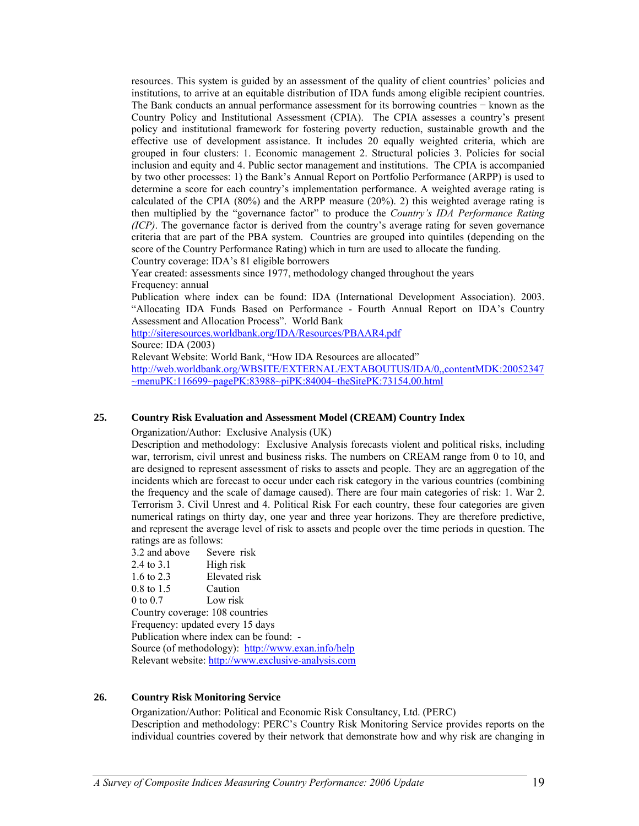resources. This system is guided by an assessment of the quality of client countries' policies and institutions, to arrive at an equitable distribution of IDA funds among eligible recipient countries. The Bank conducts an annual performance assessment for its borrowing countries − known as the Country Policy and Institutional Assessment (CPIA). The CPIA assesses a country's present policy and institutional framework for fostering poverty reduction, sustainable growth and the effective use of development assistance. It includes 20 equally weighted criteria, which are grouped in four clusters: 1. Economic management 2. Structural policies 3. Policies for social inclusion and equity and 4. Public sector management and institutions. The CPIA is accompanied by two other processes: 1) the Bank's Annual Report on Portfolio Performance (ARPP) is used to determine a score for each country's implementation performance. A weighted average rating is calculated of the CPIA (80%) and the ARPP measure (20%). 2) this weighted average rating is then multiplied by the "governance factor" to produce the *Country's IDA Performance Rating (ICP)*. The governance factor is derived from the country's average rating for seven governance criteria that are part of the PBA system. Countries are grouped into quintiles (depending on the score of the Country Performance Rating) which in turn are used to allocate the funding. Country coverage: IDA's 81 eligible borrowers

 Year created: assessments since 1977, methodology changed throughout the years Frequency: annual

Publication where index can be found: IDA (International Development Association). 2003. "Allocating IDA Funds Based on Performance - Fourth Annual Report on IDA's Country Assessment and Allocation Process". World Bank

http://siteresources.worldbank.org/IDA/Resources/PBAAR4.pdf

Source: IDA (2003)

Relevant Website: World Bank, "How IDA Resources are allocated"

http://web.worldbank.org/WBSITE/EXTERNAL/EXTABOUTUS/IDA/0,,contentMDK:20052347 ~menuPK:116699~pagePK:83988~piPK:84004~theSitePK:73154,00.html

#### **25. Country Risk Evaluation and Assessment Model (CREAM) Country Index**

Organization/Author: Exclusive Analysis (UK)

Description and methodology: Exclusive Analysis forecasts violent and political risks, including war, terrorism, civil unrest and business risks. The numbers on CREAM range from 0 to 10, and are designed to represent assessment of risks to assets and people. They are an aggregation of the incidents which are forecast to occur under each risk category in the various countries (combining the frequency and the scale of damage caused). There are four main categories of risk: 1. War 2. Terrorism 3. Civil Unrest and 4. Political Risk For each country, these four categories are given numerical ratings on thirty day, one year and three year horizons. They are therefore predictive, and represent the average level of risk to assets and people over the time periods in question. The ratings are as follows:

3.2 and above Severe risk 2.4 to 3.1 High risk 1.6 to 2.3 Elevated risk 0.8 to 1.5 Caution 0 to 0.7 Low risk Country coverage: 108 countries Frequency: updated every 15 days Publication where index can be found: - Source (of methodology): http://www.exan.info/help Relevant website: http://www.exclusive-analysis.com

#### **26. Country Risk Monitoring Service**

Organization/Author: Political and Economic Risk Consultancy, Ltd. (PERC) Description and methodology: PERC's Country Risk Monitoring Service provides reports on the individual countries covered by their network that demonstrate how and why risk are changing in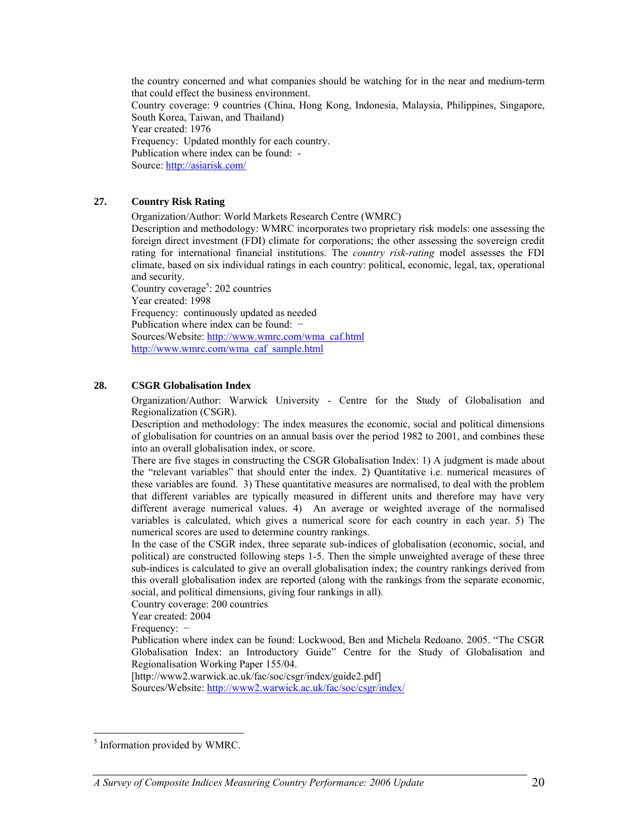the country concerned and what companies should be watching for in the near and medium-term that could effect the business environment. Country coverage: 9 countries (China, Hong Kong, Indonesia, Malaysia, Philippines, Singapore, South Korea, Taiwan, and Thailand) Year created: 1976 Frequency: Updated monthly for each country. Publication where index can be found: - Source: http://asiarisk.com/

#### **27. Country Risk Rating**

Organization/Author: World Markets Research Centre (WMRC)

Description and methodology: WMRC incorporates two proprietary risk models: one assessing the foreign direct investment (FDI) climate for corporations; the other assessing the sovereign credit rating for international financial institutions. The *country risk-rating* model assesses the FDI climate, based on six individual ratings in each country: political, economic, legal, tax, operational and security.

Country coverage<sup>5</sup>: 202 countries Year created: 1998 Frequency: continuously updated as needed Publication where index can be found: − Sources/Website: http://www.wmrc.com/wma\_caf.html http://www.wmrc.com/wma\_caf\_sample.html

#### **28. CSGR Globalisation Index**

Organization/Author: Warwick University - Centre for the Study of Globalisation and Regionalization (CSGR).

Description and methodology: The index measures the economic, social and political dimensions of globalisation for countries on an annual basis over the period 1982 to 2001, and combines these into an overall globalisation index, or score.

There are five stages in constructing the CSGR Globalisation Index: 1) A judgment is made about the "relevant variables" that should enter the index. 2) Quantitative i.e. numerical measures of these variables are found. 3) These quantitative measures are normalised, to deal with the problem that different variables are typically measured in different units and therefore may have very different average numerical values. 4) An average or weighted average of the normalised variables is calculated, which gives a numerical score for each country in each year. 5) The numerical scores are used to determine country rankings.

In the case of the CSGR index, three separate sub-indices of globalisation (economic, social, and political) are constructed following steps 1-5. Then the simple unweighted average of these three sub-indices is calculated to give an overall globalisation index; the country rankings derived from this overall globalisation index are reported (along with the rankings from the separate economic, social, and political dimensions, giving four rankings in all).

Country coverage: 200 countries

Year created: 2004

Frequency: −

Publication where index can be found: Lockwood, Ben and Michela Redoano. 2005. "The CSGR Globalisation Index: an Introductory Guide" Centre for the Study of Globalisation and Regionalisation Working Paper 155/04.

[http://www2.warwick.ac.uk/fac/soc/csgr/index/guide2.pdf]

Sources/Website: http://www2.warwick.ac.uk/fac/soc/csgr/index/

 $\overline{a}$ <sup>5</sup> Information provided by WMRC.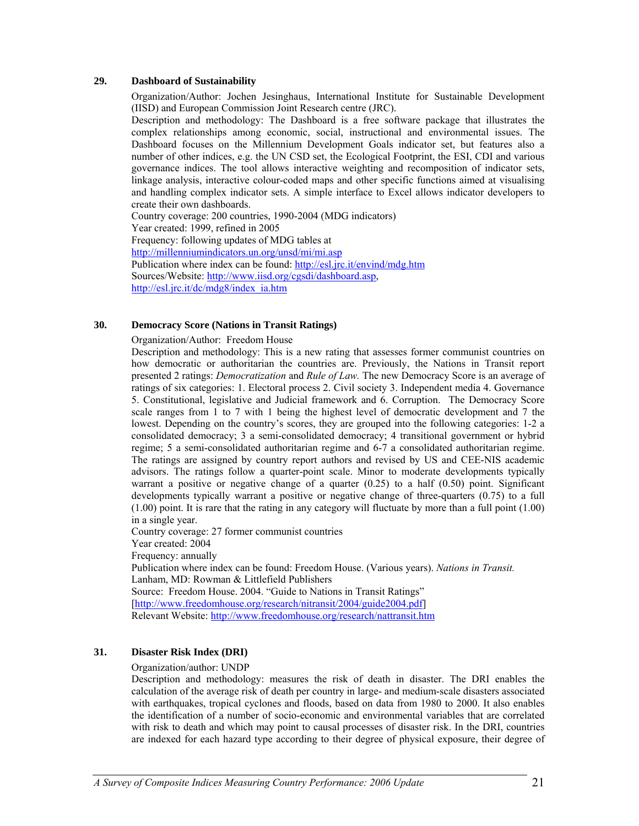#### **29. Dashboard of Sustainability**

Organization/Author: Jochen Jesinghaus, International Institute for Sustainable Development (IISD) and European Commission Joint Research centre (JRC).

Description and methodology: The Dashboard is a free software package that illustrates the complex relationships among economic, social, instructional and environmental issues. The Dashboard focuses on the Millennium Development Goals indicator set, but features also a number of other indices, e.g. the UN CSD set, the Ecological Footprint, the ESI, CDI and various governance indices. The tool allows interactive weighting and recomposition of indicator sets, linkage analysis, interactive colour-coded maps and other specific functions aimed at visualising and handling complex indicator sets. A simple interface to Excel allows indicator developers to create their own dashboards.

Country coverage: 200 countries, 1990-2004 (MDG indicators) Year created: 1999, refined in 2005 Frequency: following updates of MDG tables at http://millenniumindicators.un.org/unsd/mi/mi.asp Publication where index can be found: http://esl.jrc.it/envind/mdg.htm Sources/Website: http://www.iisd.org/cgsdi/dashboard.asp, http://esl.jrc.it/dc/mdg8/index\_ia.htm

#### **30. Democracy Score (Nations in Transit Ratings)**

#### Organization/Author: Freedom House

Description and methodology: This is a new rating that assesses former communist countries on how democratic or authoritarian the countries are. Previously, the Nations in Transit report presented 2 ratings: *Democratization* and *Rule of Law.* The new Democracy Score is an average of ratings of six categories: 1. Electoral process 2. Civil society 3. Independent media 4. Governance 5. Constitutional, legislative and Judicial framework and 6. Corruption. The Democracy Score scale ranges from 1 to 7 with 1 being the highest level of democratic development and 7 the lowest. Depending on the country's scores, they are grouped into the following categories: 1-2 a consolidated democracy; 3 a semi-consolidated democracy; 4 transitional government or hybrid regime; 5 a semi-consolidated authoritarian regime and 6-7 a consolidated authoritarian regime. The ratings are assigned by country report authors and revised by US and CEE-NIS academic advisors. The ratings follow a quarter-point scale. Minor to moderate developments typically warrant a positive or negative change of a quarter  $(0.25)$  to a half  $(0.50)$  point. Significant developments typically warrant a positive or negative change of three-quarters (0.75) to a full (1.00) point. It is rare that the rating in any category will fluctuate by more than a full point (1.00) in a single year.

 Country coverage: 27 former communist countries Year created: 2004 Frequency: annually Publication where index can be found: Freedom House. (Various years). *Nations in Transit.*  Lanham, MD: Rowman & Littlefield Publishers Source: Freedom House. 2004. "Guide to Nations in Transit Ratings" [http://www.freedomhouse.org/research/nitransit/2004/guide2004.pdf] Relevant Website: http://www.freedomhouse.org/research/nattransit.htm

#### **31. Disaster Risk Index (DRI)**

#### Organization/author: UNDP

Description and methodology: measures the risk of death in disaster. The DRI enables the calculation of the average risk of death per country in large- and medium-scale disasters associated with earthquakes, tropical cyclones and floods, based on data from 1980 to 2000. It also enables the identification of a number of socio-economic and environmental variables that are correlated with risk to death and which may point to causal processes of disaster risk. In the DRI, countries are indexed for each hazard type according to their degree of physical exposure, their degree of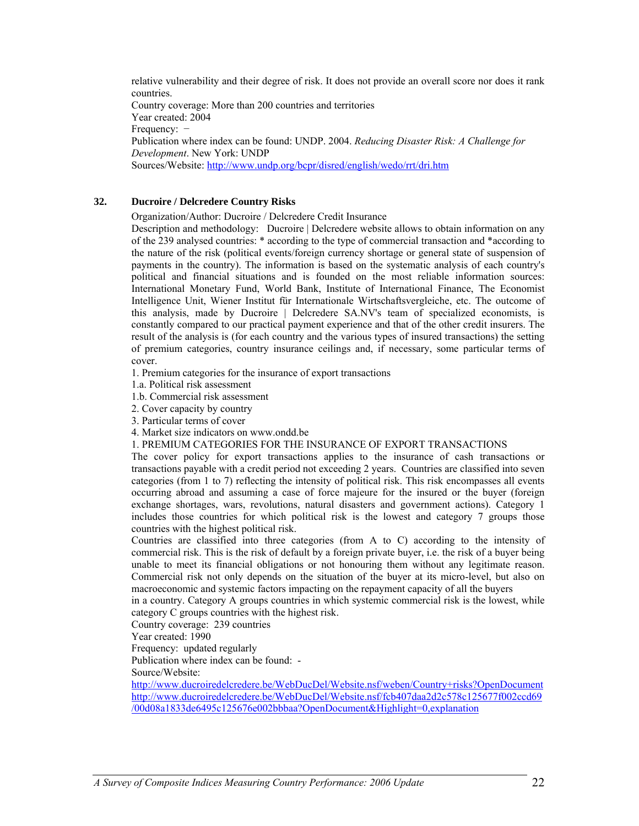relative vulnerability and their degree of risk. It does not provide an overall score nor does it rank countries. Country coverage: More than 200 countries and territories Year created: 2004 Frequency: − Publication where index can be found: UNDP. 2004. *Reducing Disaster Risk: A Challenge for Development*. New York: UNDP Sources/Website: http://www.undp.org/bcpr/disred/english/wedo/rrt/dri.htm

#### **32. Ducroire / Delcredere Country Risks**

Organization/Author: Ducroire / Delcredere Credit Insurance

Description and methodology: Ducroire | Delcredere website allows to obtain information on any of the 239 analysed countries: \* according to the type of commercial transaction and \*according to the nature of the risk (political events/foreign currency shortage or general state of suspension of payments in the country). The information is based on the systematic analysis of each country's political and financial situations and is founded on the most reliable information sources: International Monetary Fund, World Bank, Institute of International Finance, The Economist Intelligence Unit, Wiener Institut für Internationale Wirtschaftsvergleiche, etc. The outcome of this analysis, made by Ducroire | Delcredere SA.NV's team of specialized economists, is constantly compared to our practical payment experience and that of the other credit insurers. The result of the analysis is (for each country and the various types of insured transactions) the setting of premium categories, country insurance ceilings and, if necessary, some particular terms of cover.

1. Premium categories for the insurance of export transactions

- 1.a. Political risk assessment
- 1.b. Commercial risk assessment
- 2. Cover capacity by country
- 3. Particular terms of cover
- 4. Market size indicators on www.ondd.be
- 1. PREMIUM CATEGORIES FOR THE INSURANCE OF EXPORT TRANSACTIONS

The cover policy for export transactions applies to the insurance of cash transactions or transactions payable with a credit period not exceeding 2 years. Countries are classified into seven categories (from 1 to 7) reflecting the intensity of political risk. This risk encompasses all events occurring abroad and assuming a case of force majeure for the insured or the buyer (foreign exchange shortages, wars, revolutions, natural disasters and government actions). Category 1 includes those countries for which political risk is the lowest and category 7 groups those countries with the highest political risk.

Countries are classified into three categories (from A to C) according to the intensity of commercial risk. This is the risk of default by a foreign private buyer, i.e. the risk of a buyer being unable to meet its financial obligations or not honouring them without any legitimate reason. Commercial risk not only depends on the situation of the buyer at its micro-level, but also on macroeconomic and systemic factors impacting on the repayment capacity of all the buyers

in a country. Category A groups countries in which systemic commercial risk is the lowest, while category C groups countries with the highest risk.

Country coverage: 239 countries

Year created: 1990

Frequency: updated regularly

Publication where index can be found: -

Source/Website:

http://www.ducroiredelcredere.be/WebDucDel/Website.nsf/weben/Country+risks?OpenDocument http://www.ducroiredelcredere.be/WebDucDel/Website.nsf/fcb407daa2d2c578c125677f002ccd69 /00d08a1833de6495c125676e002bbbaa?OpenDocument&Highlight=0,explanation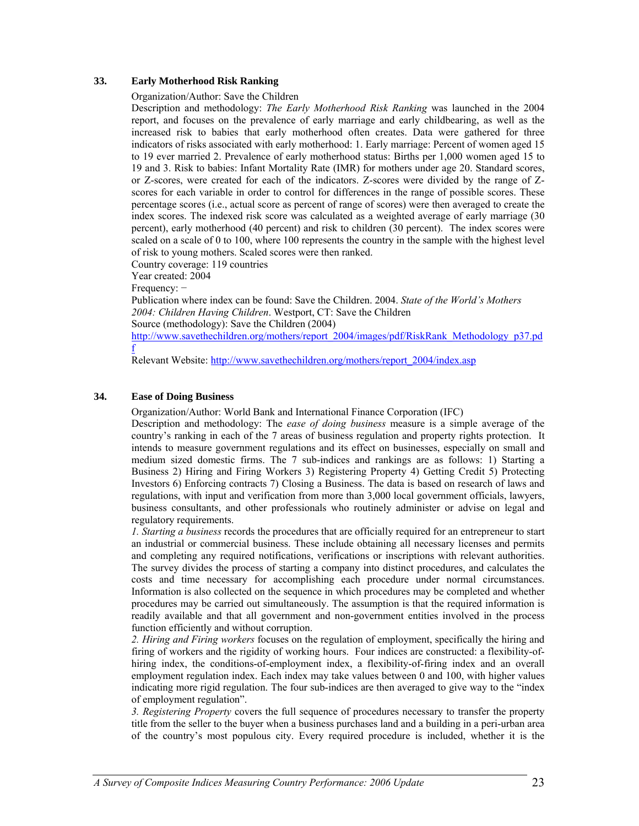#### **33. Early Motherhood Risk Ranking**

Organization/Author: Save the Children

Description and methodology: *The Early Motherhood Risk Ranking* was launched in the 2004 report, and focuses on the prevalence of early marriage and early childbearing, as well as the increased risk to babies that early motherhood often creates. Data were gathered for three indicators of risks associated with early motherhood: 1. Early marriage: Percent of women aged 15 to 19 ever married 2. Prevalence of early motherhood status: Births per 1,000 women aged 15 to 19 and 3. Risk to babies: Infant Mortality Rate (IMR) for mothers under age 20. Standard scores, or Z-scores, were created for each of the indicators. Z-scores were divided by the range of Zscores for each variable in order to control for differences in the range of possible scores. These percentage scores (i.e., actual score as percent of range of scores) were then averaged to create the index scores. The indexed risk score was calculated as a weighted average of early marriage (30 percent), early motherhood (40 percent) and risk to children (30 percent). The index scores were scaled on a scale of 0 to 100, where 100 represents the country in the sample with the highest level of risk to young mothers. Scaled scores were then ranked.

Country coverage: 119 countries

Year created: 2004

Frequency: −

Publication where index can be found: Save the Children. 2004. *State of the World's Mothers 2004: Children Having Children*. Westport, CT: Save the Children Source (methodology): Save the Children (2004)

http://www.savethechildren.org/mothers/report\_2004/images/pdf/RiskRank\_Methodology\_p37.pd f

Relevant Website: http://www.savethechildren.org/mothers/report\_2004/index.asp

#### **34. Ease of Doing Business**

Organization/Author: World Bank and International Finance Corporation (IFC)

Description and methodology: The *ease of doing business* measure is a simple average of the country's ranking in each of the 7 areas of business regulation and property rights protection. It intends to measure government regulations and its effect on businesses, especially on small and medium sized domestic firms. The 7 sub-indices and rankings are as follows: 1) Starting a Business 2) Hiring and Firing Workers 3) Registering Property 4) Getting Credit 5) Protecting Investors 6) Enforcing contracts 7) Closing a Business. The data is based on research of laws and regulations, with input and verification from more than 3,000 local government officials, lawyers, business consultants, and other professionals who routinely administer or advise on legal and regulatory requirements.

*1. Starting a business* records the procedures that are officially required for an entrepreneur to start an industrial or commercial business. These include obtaining all necessary licenses and permits and completing any required notifications, verifications or inscriptions with relevant authorities. The survey divides the process of starting a company into distinct procedures, and calculates the costs and time necessary for accomplishing each procedure under normal circumstances. Information is also collected on the sequence in which procedures may be completed and whether procedures may be carried out simultaneously. The assumption is that the required information is readily available and that all government and non-government entities involved in the process function efficiently and without corruption.

*2. Hiring and Firing workers* focuses on the regulation of employment, specifically the hiring and firing of workers and the rigidity of working hours. Four indices are constructed: a flexibility-ofhiring index, the conditions-of-employment index, a flexibility-of-firing index and an overall employment regulation index. Each index may take values between 0 and 100, with higher values indicating more rigid regulation. The four sub-indices are then averaged to give way to the "index of employment regulation".

*3. Registering Property* covers the full sequence of procedures necessary to transfer the property title from the seller to the buyer when a business purchases land and a building in a peri-urban area of the country's most populous city. Every required procedure is included, whether it is the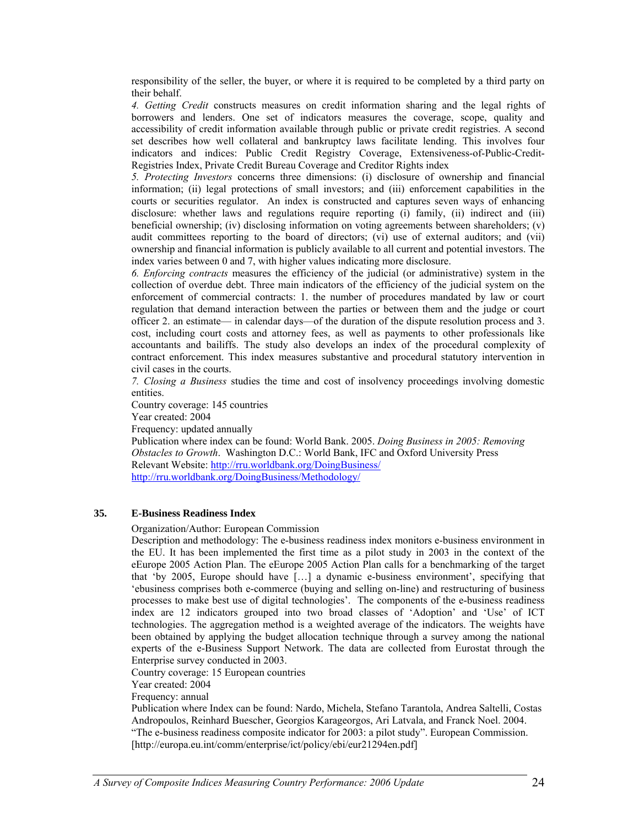responsibility of the seller, the buyer, or where it is required to be completed by a third party on their behalf.

*4. Getting Credit* constructs measures on credit information sharing and the legal rights of borrowers and lenders. One set of indicators measures the coverage, scope, quality and accessibility of credit information available through public or private credit registries. A second set describes how well collateral and bankruptcy laws facilitate lending. This involves four indicators and indices: Public Credit Registry Coverage, Extensiveness-of-Public-Credit-Registries Index, Private Credit Bureau Coverage and Creditor Rights index

*5. Protecting Investors* concerns three dimensions: (i) disclosure of ownership and financial information; (ii) legal protections of small investors; and (iii) enforcement capabilities in the courts or securities regulator. An index is constructed and captures seven ways of enhancing disclosure: whether laws and regulations require reporting (i) family, (ii) indirect and (iii) beneficial ownership; (iv) disclosing information on voting agreements between shareholders; (v) audit committees reporting to the board of directors; (vi) use of external auditors; and (vii) ownership and financial information is publicly available to all current and potential investors. The index varies between 0 and 7, with higher values indicating more disclosure.

*6. Enforcing contracts* measures the efficiency of the judicial (or administrative) system in the collection of overdue debt. Three main indicators of the efficiency of the judicial system on the enforcement of commercial contracts: 1. the number of procedures mandated by law or court regulation that demand interaction between the parties or between them and the judge or court officer 2. an estimate— in calendar days—of the duration of the dispute resolution process and 3. cost, including court costs and attorney fees, as well as payments to other professionals like accountants and bailiffs. The study also develops an index of the procedural complexity of contract enforcement. This index measures substantive and procedural statutory intervention in civil cases in the courts.

*7. Closing a Business* studies the time and cost of insolvency proceedings involving domestic entities.

Country coverage: 145 countries

Year created: 2004

Frequency: updated annually

Publication where index can be found: World Bank. 2005. *Doing Business in 2005: Removing Obstacles to Growth*. Washington D.C.: World Bank, IFC and Oxford University Press Relevant Website: http://rru.worldbank.org/DoingBusiness/ http://rru.worldbank.org/DoingBusiness/Methodology/

#### **35. E-Business Readiness Index**

Organization/Author: European Commission

Description and methodology: The e-business readiness index monitors e-business environment in the EU. It has been implemented the first time as a pilot study in 2003 in the context of the eEurope 2005 Action Plan. The eEurope 2005 Action Plan calls for a benchmarking of the target that 'by 2005, Europe should have […] a dynamic e-business environment', specifying that 'ebusiness comprises both e-commerce (buying and selling on-line) and restructuring of business processes to make best use of digital technologies'. The components of the e-business readiness index are 12 indicators grouped into two broad classes of 'Adoption' and 'Use' of ICT technologies. The aggregation method is a weighted average of the indicators. The weights have been obtained by applying the budget allocation technique through a survey among the national experts of the e-Business Support Network. The data are collected from Eurostat through the Enterprise survey conducted in 2003.

Country coverage: 15 European countries

Year created: 2004

Frequency: annual

Publication where Index can be found: Nardo, Michela, Stefano Tarantola, Andrea Saltelli, Costas Andropoulos, Reinhard Buescher, Georgios Karageorgos, Ari Latvala, and Franck Noel. 2004. "The e-business readiness composite indicator for 2003: a pilot study". European Commission. [http://europa.eu.int/comm/enterprise/ict/policy/ebi/eur21294en.pdf]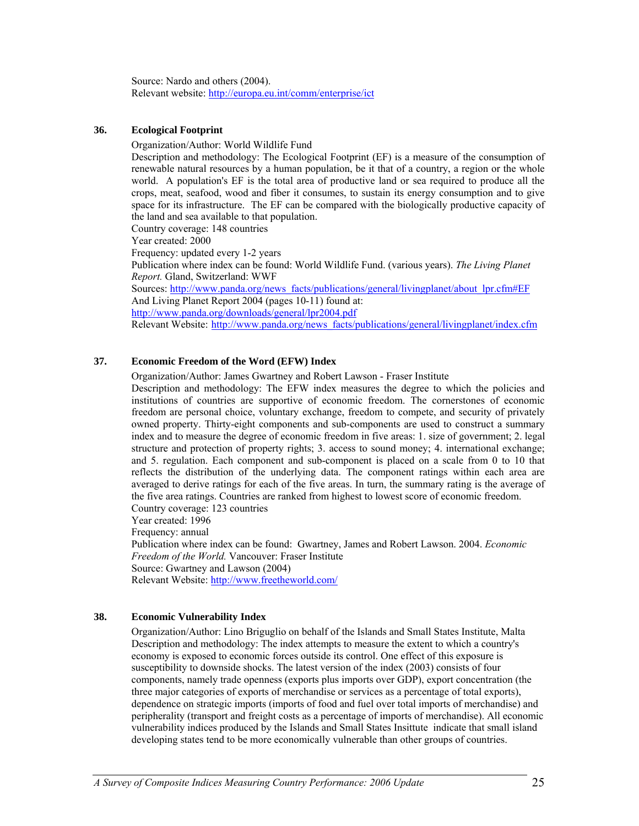Source: Nardo and others (2004). Relevant website: http://europa.eu.int/comm/enterprise/ict

#### **36. Ecological Footprint**

Organization/Author: World Wildlife Fund

Description and methodology: The Ecological Footprint (EF) is a measure of the consumption of renewable natural resources by a human population, be it that of a country, a region or the whole world. A population's EF is the total area of productive land or sea required to produce all the crops, meat, seafood, wood and fiber it consumes, to sustain its energy consumption and to give space for its infrastructure. The EF can be compared with the biologically productive capacity of the land and sea available to that population. Country coverage: 148 countries Year created: 2000 Frequency: updated every 1-2 years Publication where index can be found: World Wildlife Fund. (various years). *The Living Planet Report.* Gland, Switzerland: WWF Sources: http://www.panda.org/news\_facts/publications/general/livingplanet/about\_lpr.cfm#EF And Living Planet Report 2004 (pages 10-11) found at: http://www.panda.org/downloads/general/lpr2004.pdf Relevant Website: http://www.panda.org/news\_facts/publications/general/livingplanet/index.cfm

#### **37. Economic Freedom of the Word (EFW) Index**

 Organization/Author: James Gwartney and Robert Lawson - Fraser Institute Description and methodology: The EFW index measures the degree to which the policies and institutions of countries are supportive of economic freedom. The cornerstones of economic freedom are personal choice, voluntary exchange, freedom to compete, and security of privately owned property. Thirty-eight components and sub-components are used to construct a summary index and to measure the degree of economic freedom in five areas: 1. size of government; 2. legal structure and protection of property rights; 3. access to sound money; 4. international exchange; and 5. regulation. Each component and sub-component is placed on a scale from 0 to 10 that reflects the distribution of the underlying data. The component ratings within each area are averaged to derive ratings for each of the five areas. In turn, the summary rating is the average of the five area ratings. Countries are ranked from highest to lowest score of economic freedom. Country coverage: 123 countries Year created: 1996

Frequency: annual

Publication where index can be found: Gwartney, James and Robert Lawson. 2004. *Economic Freedom of the World.* Vancouver: Fraser Institute Source: Gwartney and Lawson (2004)

Relevant Website: http://www.freetheworld.com/

#### **38. Economic Vulnerability Index**

Organization/Author: Lino Briguglio on behalf of the Islands and Small States Institute, Malta Description and methodology: The index attempts to measure the extent to which a country's economy is exposed to economic forces outside its control. One effect of this exposure is susceptibility to downside shocks. The latest version of the index (2003) consists of four components, namely trade openness (exports plus imports over GDP), export concentration (the three major categories of exports of merchandise or services as a percentage of total exports), dependence on strategic imports (imports of food and fuel over total imports of merchandise) and peripherality (transport and freight costs as a percentage of imports of merchandise). All economic vulnerability indices produced by the Islands and Small States Insittute indicate that small island developing states tend to be more economically vulnerable than other groups of countries.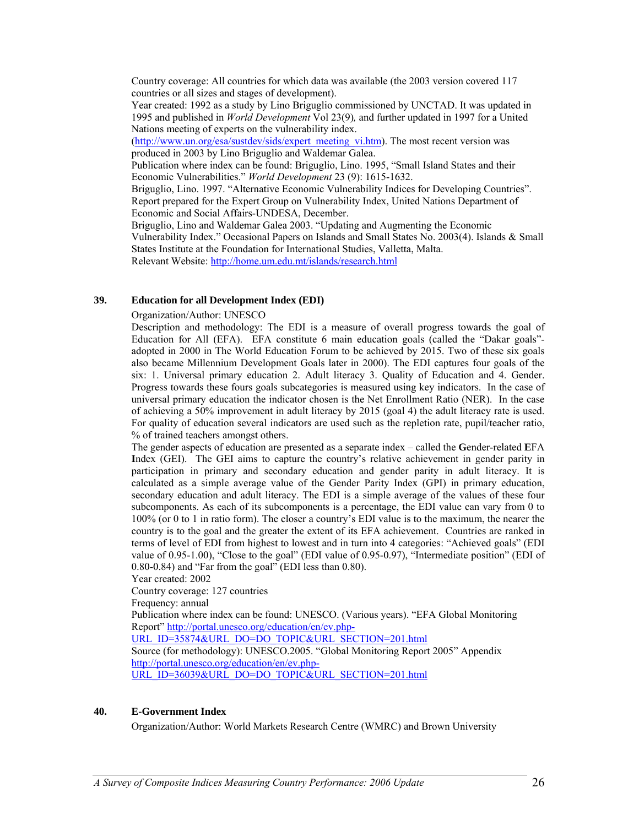Country coverage: All countries for which data was available (the 2003 version covered 117 countries or all sizes and stages of development).

Year created: 1992 as a study by Lino Briguglio commissioned by UNCTAD. It was updated in 1995 and published in *World Development* Vol 23(9)*,* and further updated in 1997 for a United Nations meeting of experts on the vulnerability index.

(http://www.un.org/esa/sustdev/sids/expert\_meeting\_vi.htm). The most recent version was produced in 2003 by Lino Briguglio and Waldemar Galea.

Publication where index can be found: Briguglio, Lino. 1995, "Small Island States and their Economic Vulnerabilities." *World Development* 23 (9): 1615-1632.

Briguglio, Lino. 1997. "Alternative Economic Vulnerability Indices for Developing Countries". Report prepared for the Expert Group on Vulnerability Index, United Nations Department of Economic and Social Affairs-UNDESA, December.

Briguglio, Lino and Waldemar Galea 2003. "Updating and Augmenting the Economic Vulnerability Index." Occasional Papers on Islands and Small States No. 2003(4). Islands & Small States Institute at the Foundation for International Studies, Valletta, Malta. Relevant Website: http://home.um.edu.mt/islands/research.html

#### **39. Education for all Development Index (EDI)**

#### Organization/Author: UNESCO

Description and methodology: The EDI is a measure of overall progress towards the goal of Education for All (EFA). EFA constitute 6 main education goals (called the "Dakar goals" adopted in 2000 in The World Education Forum to be achieved by 2015. Two of these six goals also became Millennium Development Goals later in 2000). The EDI captures four goals of the six: 1. Universal primary education 2. Adult literacy 3. Quality of Education and 4. Gender. Progress towards these fours goals subcategories is measured using key indicators. In the case of universal primary education the indicator chosen is the Net Enrollment Ratio (NER). In the case of achieving a 50% improvement in adult literacy by 2015 (goal 4) the adult literacy rate is used. For quality of education several indicators are used such as the repletion rate, pupil/teacher ratio, % of trained teachers amongst others.

The gender aspects of education are presented as a separate index – called the **G**ender-related **E**FA **I**ndex (GEI). The GEI aims to capture the country's relative achievement in gender parity in participation in primary and secondary education and gender parity in adult literacy. It is calculated as a simple average value of the Gender Parity Index (GPI) in primary education, secondary education and adult literacy. The EDI is a simple average of the values of these four subcomponents. As each of its subcomponents is a percentage, the EDI value can vary from 0 to 100% (or 0 to 1 in ratio form). The closer a country's EDI value is to the maximum, the nearer the country is to the goal and the greater the extent of its EFA achievement. Countries are ranked in terms of level of EDI from highest to lowest and in turn into 4 categories: "Achieved goals" (EDI value of 0.95-1.00), "Close to the goal" (EDI value of 0.95-0.97), "Intermediate position" (EDI of 0.80-0.84) and "Far from the goal" (EDI less than 0.80).

Year created: 2002 Country coverage: 127 countries Frequency: annual Publication where index can be found: UNESCO. (Various years). "EFA Global Monitoring Report" http://portal.unesco.org/education/en/ev.php-URL\_ID=35874&URL\_DO=DO\_TOPIC&URL\_SECTION=201.html Source (for methodology): UNESCO.2005. "Global Monitoring Report 2005" Appendix http://portal.unesco.org/education/en/ev.php-URL\_ID=36039&URL\_DO=DO\_TOPIC&URL\_SECTION=201.html

#### **40. E-Government Index**

Organization/Author: World Markets Research Centre (WMRC) and Brown University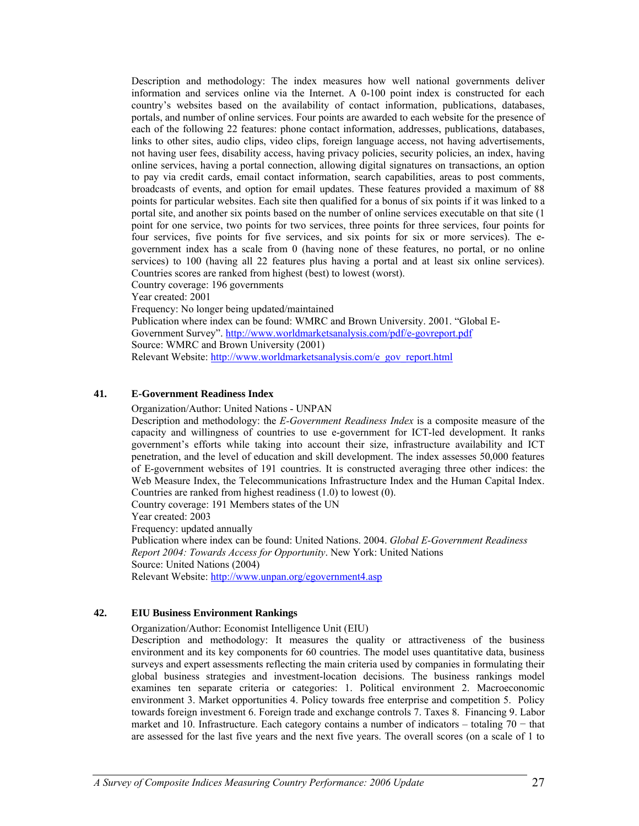Description and methodology: The index measures how well national governments deliver information and services online via the Internet. A 0-100 point index is constructed for each country's websites based on the availability of contact information, publications, databases, portals, and number of online services. Four points are awarded to each website for the presence of each of the following 22 features: phone contact information, addresses, publications, databases, links to other sites, audio clips, video clips, foreign language access, not having advertisements, not having user fees, disability access, having privacy policies, security policies, an index, having online services, having a portal connection, allowing digital signatures on transactions, an option to pay via credit cards, email contact information, search capabilities, areas to post comments, broadcasts of events, and option for email updates. These features provided a maximum of 88 points for particular websites. Each site then qualified for a bonus of six points if it was linked to a portal site, and another six points based on the number of online services executable on that site (1 point for one service, two points for two services, three points for three services, four points for four services, five points for five services, and six points for six or more services). The egovernment index has a scale from 0 (having none of these features, no portal, or no online services) to 100 (having all 22 features plus having a portal and at least six online services). Countries scores are ranked from highest (best) to lowest (worst). Country coverage: 196 governments Year created: 2001 Frequency: No longer being updated/maintained Publication where index can be found: WMRC and Brown University. 2001. "Global E-Government Survey". http://www.worldmarketsanalysis.com/pdf/e-govreport.pdf

Source: WMRC and Brown University (2001)

Relevant Website: http://www.worldmarketsanalysis.com/e\_gov\_report.html

#### **41. E-Government Readiness Index**

Organization/Author: United Nations - UNPAN

Description and methodology: the *E-Government Readiness Index* is a composite measure of the capacity and willingness of countries to use e-government for ICT-led development. It ranks government's efforts while taking into account their size, infrastructure availability and ICT penetration, and the level of education and skill development. The index assesses 50,000 features of E-government websites of 191 countries. It is constructed averaging three other indices: the Web Measure Index, the Telecommunications Infrastructure Index and the Human Capital Index. Countries are ranked from highest readiness (1.0) to lowest (0).

Country coverage: 191 Members states of the UN

Year created: 2003

Frequency: updated annually

Publication where index can be found: United Nations. 2004. *Global E-Government Readiness Report 2004: Towards Access for Opportunity*. New York: United Nations Source: United Nations (2004)

Relevant Website: http://www.unpan.org/egovernment4.asp

#### **42. EIU Business Environment Rankings**

Organization/Author: Economist Intelligence Unit (EIU)

Description and methodology: It measures the quality or attractiveness of the business environment and its key components for 60 countries. The model uses quantitative data, business surveys and expert assessments reflecting the main criteria used by companies in formulating their global business strategies and investment-location decisions. The business rankings model examines ten separate criteria or categories: 1. Political environment 2. Macroeconomic environment 3. Market opportunities 4. Policy towards free enterprise and competition 5. Policy towards foreign investment 6. Foreign trade and exchange controls 7. Taxes 8. Financing 9. Labor market and 10. Infrastructure. Each category contains a number of indicators – totaling 70 − that are assessed for the last five years and the next five years. The overall scores (on a scale of 1 to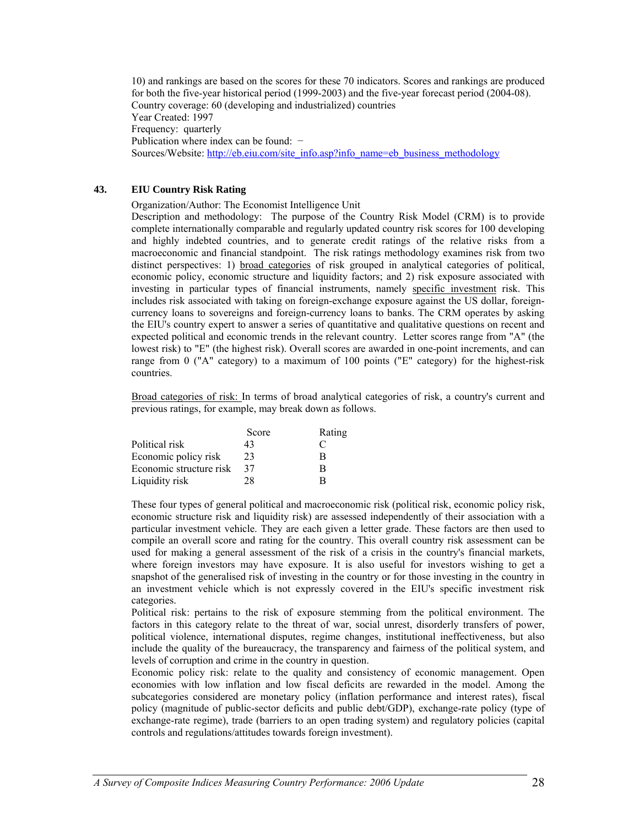10) and rankings are based on the scores for these 70 indicators. Scores and rankings are produced for both the five-year historical period (1999-2003) and the five-year forecast period (2004-08). Country coverage: 60 (developing and industrialized) countries Year Created: 1997 Frequency: quarterly Publication where index can be found: − Sources/Website: http://eb.eiu.com/site\_info.asp?info\_name=eb\_business\_methodology

#### **43. EIU Country Risk Rating**

Organization/Author: The Economist Intelligence Unit

Description and methodology: The purpose of the Country Risk Model (CRM) is to provide complete internationally comparable and regularly updated country risk scores for 100 developing and highly indebted countries, and to generate credit ratings of the relative risks from a macroeconomic and financial standpoint. The risk ratings methodology examines risk from two distinct perspectives: 1) broad categories of risk grouped in analytical categories of political, economic policy, economic structure and liquidity factors; and 2) risk exposure associated with investing in particular types of financial instruments, namely specific investment risk. This includes risk associated with taking on foreign-exchange exposure against the US dollar, foreigncurrency loans to sovereigns and foreign-currency loans to banks. The CRM operates by asking the EIU's country expert to answer a series of quantitative and qualitative questions on recent and expected political and economic trends in the relevant country. Letter scores range from "A" (the lowest risk) to "E" (the highest risk). Overall scores are awarded in one-point increments, and can range from 0 ("A" category) to a maximum of 100 points ("E" category) for the highest-risk countries.

Broad categories of risk: In terms of broad analytical categories of risk, a country's current and previous ratings, for example, may break down as follows.

|                         | Score | Rating |
|-------------------------|-------|--------|
| Political risk          | 43    | €      |
| Economic policy risk    | 23    | В      |
| Economic structure risk | 37    | R      |
| Liquidity risk          | 28    | R      |

These four types of general political and macroeconomic risk (political risk, economic policy risk, economic structure risk and liquidity risk) are assessed independently of their association with a particular investment vehicle. They are each given a letter grade. These factors are then used to compile an overall score and rating for the country. This overall country risk assessment can be used for making a general assessment of the risk of a crisis in the country's financial markets, where foreign investors may have exposure. It is also useful for investors wishing to get a snapshot of the generalised risk of investing in the country or for those investing in the country in an investment vehicle which is not expressly covered in the EIU's specific investment risk categories.

Political risk: pertains to the risk of exposure stemming from the political environment. The factors in this category relate to the threat of war, social unrest, disorderly transfers of power, political violence, international disputes, regime changes, institutional ineffectiveness, but also include the quality of the bureaucracy, the transparency and fairness of the political system, and levels of corruption and crime in the country in question.

Economic policy risk: relate to the quality and consistency of economic management. Open economies with low inflation and low fiscal deficits are rewarded in the model. Among the subcategories considered are monetary policy (inflation performance and interest rates), fiscal policy (magnitude of public-sector deficits and public debt/GDP), exchange-rate policy (type of exchange-rate regime), trade (barriers to an open trading system) and regulatory policies (capital controls and regulations/attitudes towards foreign investment).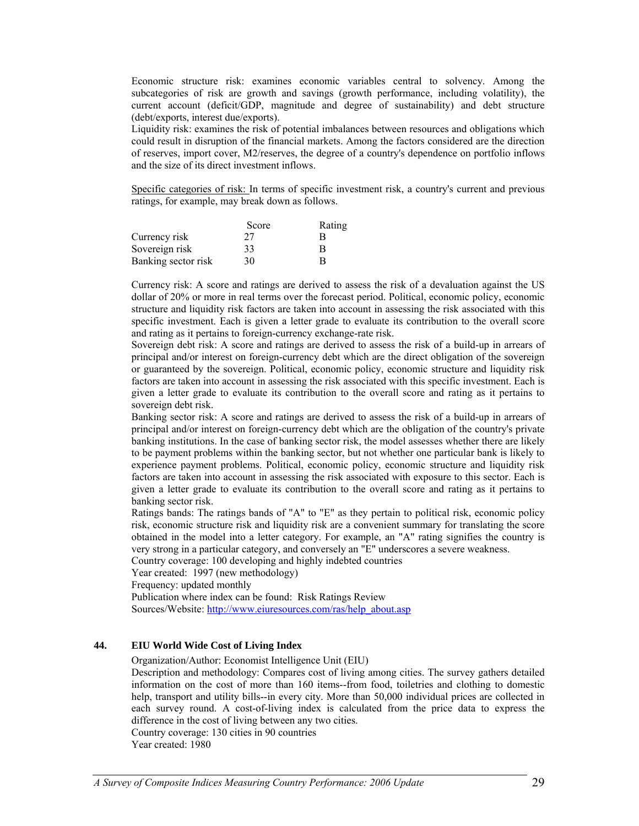Economic structure risk: examines economic variables central to solvency. Among the subcategories of risk are growth and savings (growth performance, including volatility), the current account (deficit/GDP, magnitude and degree of sustainability) and debt structure (debt/exports, interest due/exports).

Liquidity risk: examines the risk of potential imbalances between resources and obligations which could result in disruption of the financial markets. Among the factors considered are the direction of reserves, import cover, M2/reserves, the degree of a country's dependence on portfolio inflows and the size of its direct investment inflows.

Specific categories of risk: In terms of specific investment risk, a country's current and previous ratings, for example, may break down as follows.

|                     | Score | Rating |
|---------------------|-------|--------|
| Currency risk       | 27    |        |
| Sovereign risk      | 33    |        |
| Banking sector risk | 30    |        |

Currency risk: A score and ratings are derived to assess the risk of a devaluation against the US dollar of 20% or more in real terms over the forecast period. Political, economic policy, economic structure and liquidity risk factors are taken into account in assessing the risk associated with this specific investment. Each is given a letter grade to evaluate its contribution to the overall score and rating as it pertains to foreign-currency exchange-rate risk.

Sovereign debt risk: A score and ratings are derived to assess the risk of a build-up in arrears of principal and/or interest on foreign-currency debt which are the direct obligation of the sovereign or guaranteed by the sovereign. Political, economic policy, economic structure and liquidity risk factors are taken into account in assessing the risk associated with this specific investment. Each is given a letter grade to evaluate its contribution to the overall score and rating as it pertains to sovereign debt risk.

Banking sector risk: A score and ratings are derived to assess the risk of a build-up in arrears of principal and/or interest on foreign-currency debt which are the obligation of the country's private banking institutions. In the case of banking sector risk, the model assesses whether there are likely to be payment problems within the banking sector, but not whether one particular bank is likely to experience payment problems. Political, economic policy, economic structure and liquidity risk factors are taken into account in assessing the risk associated with exposure to this sector. Each is given a letter grade to evaluate its contribution to the overall score and rating as it pertains to banking sector risk.

Ratings bands: The ratings bands of "A" to "E" as they pertain to political risk, economic policy risk, economic structure risk and liquidity risk are a convenient summary for translating the score obtained in the model into a letter category. For example, an "A" rating signifies the country is very strong in a particular category, and conversely an "E" underscores a severe weakness.

Country coverage: 100 developing and highly indebted countries

Year created: 1997 (new methodology)

Frequency: updated monthly

 Publication where index can be found: Risk Ratings Review Sources/Website: http://www.eiuresources.com/ras/help\_about.asp

#### **44. EIU World Wide Cost of Living Index**

Organization/Author: Economist Intelligence Unit (EIU)

Description and methodology: Compares cost of living among cities. The survey gathers detailed information on the cost of more than 160 items--from food, toiletries and clothing to domestic help, transport and utility bills--in every city. More than 50,000 individual prices are collected in each survey round. A cost-of-living index is calculated from the price data to express the difference in the cost of living between any two cities. Country coverage: 130 cities in 90 countries

Year created: 1980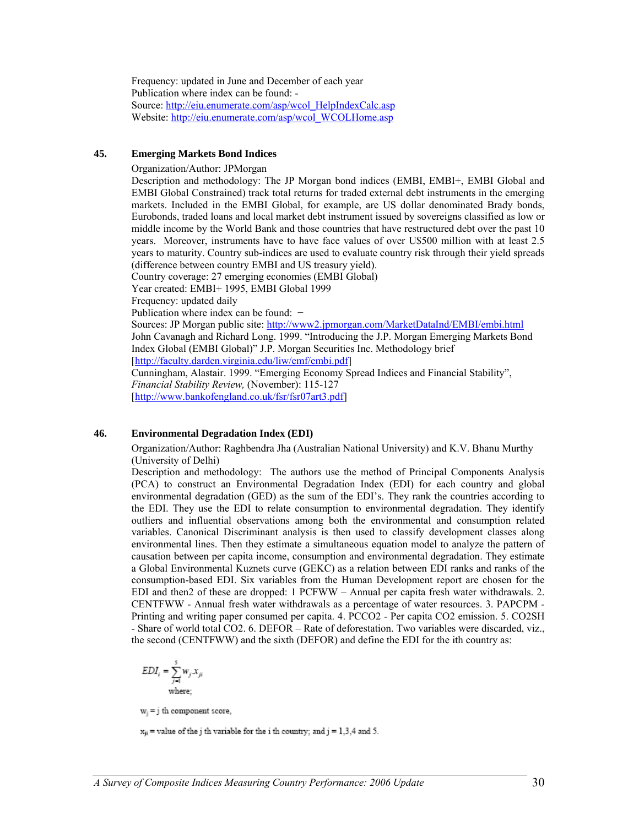Frequency: updated in June and December of each year Publication where index can be found: - Source: http://eiu.enumerate.com/asp/wcol\_HelpIndexCalc.asp Website: http://eiu.enumerate.com/asp/wcol\_WCOLHome.asp

#### **45. Emerging Markets Bond Indices**

Organization/Author: JPMorgan

Description and methodology: The JP Morgan bond indices (EMBI, EMBI+, EMBI Global and EMBI Global Constrained) track total returns for traded external debt instruments in the emerging markets. Included in the EMBI Global, for example, are US dollar denominated Brady bonds, Eurobonds, traded loans and local market debt instrument issued by sovereigns classified as low or middle income by the World Bank and those countries that have restructured debt over the past 10 years. Moreover, instruments have to have face values of over U\$500 million with at least 2.5 years to maturity. Country sub-indices are used to evaluate country risk through their yield spreads (difference between country EMBI and US treasury yield). Country coverage: 27 emerging economies (EMBI Global) Year created: EMBI+ 1995, EMBI Global 1999 Frequency: updated daily Publication where index can be found: − Sources: JP Morgan public site: http://www2.jpmorgan.com/MarketDataInd/EMBI/embi.html John Cavanagh and Richard Long. 1999. "Introducing the J.P. Morgan Emerging Markets Bond

Index Global (EMBI Global)" J.P. Morgan Securities Inc. Methodology brief

[http://faculty.darden.virginia.edu/liw/emf/embi.pdf]

Cunningham, Alastair. 1999. "Emerging Economy Spread Indices and Financial Stability", *Financial Stability Review,* (November): 115-127 [http://www.bankofengland.co.uk/fsr/fsr07art3.pdf]

#### **46. Environmental Degradation Index (EDI)**

Organization/Author: Raghbendra Jha (Australian National University) and K.V. Bhanu Murthy (University of Delhi)

Description and methodology: The authors use the method of Principal Components Analysis (PCA) to construct an Environmental Degradation Index (EDI) for each country and global environmental degradation (GED) as the sum of the EDI's. They rank the countries according to the EDI. They use the EDI to relate consumption to environmental degradation. They identify outliers and influential observations among both the environmental and consumption related variables. Canonical Discriminant analysis is then used to classify development classes along environmental lines. Then they estimate a simultaneous equation model to analyze the pattern of causation between per capita income, consumption and environmental degradation. They estimate a Global Environmental Kuznets curve (GEKC) as a relation between EDI ranks and ranks of the consumption-based EDI. Six variables from the Human Development report are chosen for the EDI and then2 of these are dropped: 1 PCFWW – Annual per capita fresh water withdrawals. 2. CENTFWW - Annual fresh water withdrawals as a percentage of water resources. 3. PAPCPM - Printing and writing paper consumed per capita. 4. PCCO2 - Per capita CO2 emission. 5. CO2SH - Share of world total CO2. 6. DEFOR – Rate of deforestation. Two variables were discarded, viz., the second (CENTFWW) and the sixth (DEFOR) and define the EDI for the ith country as:

 $EDI_i = \sum_{j=1}^{5} w_j x_{ji}$ <br>where;

 $w_i = j$  th component score,

 $x_{ji}$  = value of the j th variable for the i th country; and j = 1,3,4 and 5.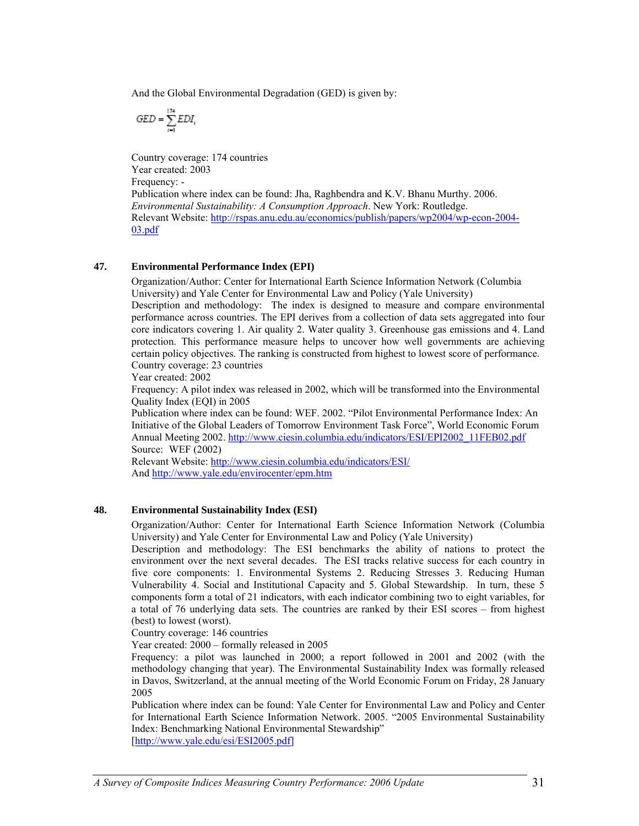And the Global Environmental Degradation (GED) is given by:

$$
GED=\sum_{i=1}^{174}EDI_i
$$

 Country coverage: 174 countries Year created: 2003 Frequency: - Publication where index can be found: Jha, Raghbendra and K.V. Bhanu Murthy. 2006. *Environmental Sustainability: A Consumption Approach*. New York: Routledge. Relevant Website: http://rspas.anu.edu.au/economics/publish/papers/wp2004/wp-econ-2004- 03.pdf

#### **47. Environmental Performance Index (EPI)**

Organization/Author: Center for International Earth Science Information Network (Columbia University) and Yale Center for Environmental Law and Policy (Yale University) Description and methodology: The index is designed to measure and compare environmental performance across countries. The EPI derives from a collection of data sets aggregated into four core indicators covering 1. Air quality 2. Water quality 3. Greenhouse gas emissions and 4. Land protection. This performance measure helps to uncover how well governments are achieving certain policy objectives. The ranking is constructed from highest to lowest score of performance. Country coverage: 23 countries

Year created: 2002

Frequency: A pilot index was released in 2002, which will be transformed into the Environmental Quality Index (EQI) in 2005

Publication where index can be found: WEF. 2002. "Pilot Environmental Performance Index: An Initiative of the Global Leaders of Tomorrow Environment Task Force", World Economic Forum Annual Meeting 2002. http://www.ciesin.columbia.edu/indicators/ESI/EPI2002\_11FEB02.pdf Source: WEF (2002)

 Relevant Website: http://www.ciesin.columbia.edu/indicators/ESI/ And http://www.yale.edu/envirocenter/epm.htm

#### **48. Environmental Sustainability Index (ESI)**

Organization/Author: Center for International Earth Science Information Network (Columbia University) and Yale Center for Environmental Law and Policy (Yale University)

Description and methodology: The ESI benchmarks the ability of nations to protect the environment over the next several decades. The ESI tracks relative success for each country in five core components: 1. Environmental Systems 2. Reducing Stresses 3. Reducing Human Vulnerability 4. Social and Institutional Capacity and 5. Global Stewardship. In turn, these 5 components form a total of 21 indicators, with each indicator combining two to eight variables, for a total of 76 underlying data sets. The countries are ranked by their ESI scores – from highest (best) to lowest (worst).

Country coverage: 146 countries

Year created: 2000 – formally released in 2005

Frequency: a pilot was launched in 2000; a report followed in 2001 and 2002 (with the methodology changing that year). The Environmental Sustainability Index was formally released in Davos, Switzerland, at the annual meeting of the World Economic Forum on Friday, 28 January 2005

Publication where index can be found: Yale Center for Environmental Law and Policy and Center for International Earth Science Information Network. 2005. "2005 Environmental Sustainability Index: Benchmarking National Environmental Stewardship" [http://www.yale.edu/esi/ESI2005.pdf]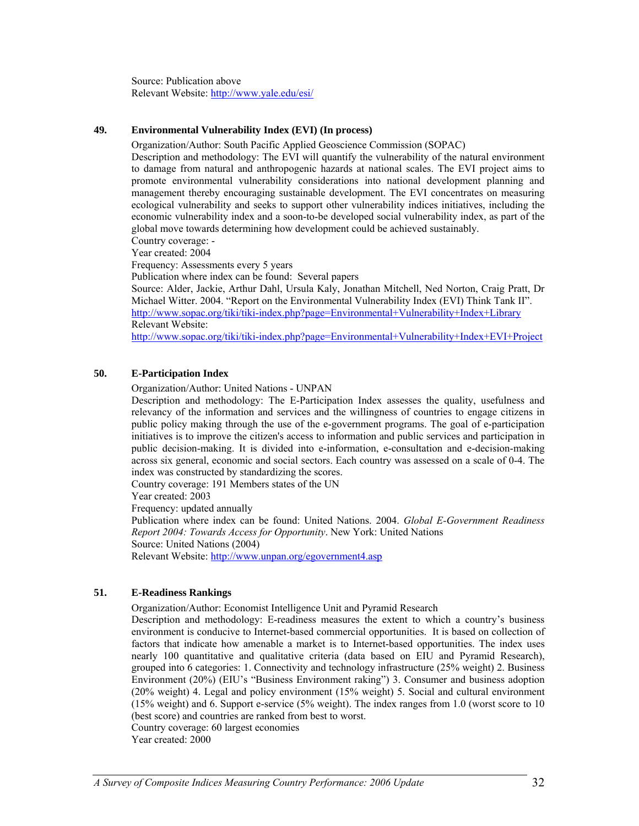Source: Publication above Relevant Website: http://www.yale.edu/esi/

#### **49. Environmental Vulnerability Index (EVI) (In process)**

Organization/Author: South Pacific Applied Geoscience Commission (SOPAC)

Description and methodology: The EVI will quantify the vulnerability of the natural environment to damage from natural and anthropogenic hazards at national scales. The EVI project aims to promote environmental vulnerability considerations into national development planning and management thereby encouraging sustainable development. The EVI concentrates on measuring ecological vulnerability and seeks to support other vulnerability indices initiatives, including the economic vulnerability index and a soon-to-be developed social vulnerability index, as part of the global move towards determining how development could be achieved sustainably.

Country coverage: - Year created: 2004

Frequency: Assessments every 5 years

Publication where index can be found: Several papers

Source: Alder, Jackie, Arthur Dahl, Ursula Kaly, Jonathan Mitchell, Ned Norton, Craig Pratt, Dr Michael Witter. 2004. "Report on the Environmental Vulnerability Index (EVI) Think Tank II". http://www.sopac.org/tiki/tiki-index.php?page=Environmental+Vulnerability+Index+Library Relevant Website:

http://www.sopac.org/tiki/tiki-index.php?page=Environmental+Vulnerability+Index+EVI+Project

#### **50. E-Participation Index**

Organization/Author: United Nations - UNPAN

Description and methodology: The E-Participation Index assesses the quality, usefulness and relevancy of the information and services and the willingness of countries to engage citizens in public policy making through the use of the e-government programs. The goal of e-participation initiatives is to improve the citizen's access to information and public services and participation in public decision-making. It is divided into e-information, e-consultation and e-decision-making across six general, economic and social sectors. Each country was assessed on a scale of 0-4. The index was constructed by standardizing the scores.

Country coverage: 191 Members states of the UN

Year created: 2003

Frequency: updated annually

Publication where index can be found: United Nations. 2004. *Global E-Government Readiness Report 2004: Towards Access for Opportunity*. New York: United Nations Source: United Nations (2004)

Relevant Website: http://www.unpan.org/egovernment4.asp

#### **51. E-Readiness Rankings**

Organization/Author: Economist Intelligence Unit and Pyramid Research

Description and methodology: E-readiness measures the extent to which a country's business environment is conducive to Internet-based commercial opportunities. It is based on collection of factors that indicate how amenable a market is to Internet-based opportunities. The index uses nearly 100 quantitative and qualitative criteria (data based on EIU and Pyramid Research), grouped into 6 categories: 1. Connectivity and technology infrastructure (25% weight) 2. Business Environment (20%) (EIU's "Business Environment raking") 3. Consumer and business adoption (20% weight) 4. Legal and policy environment (15% weight) 5. Social and cultural environment (15% weight) and 6. Support e-service (5% weight). The index ranges from 1.0 (worst score to 10 (best score) and countries are ranked from best to worst. Country coverage: 60 largest economies

Year created: 2000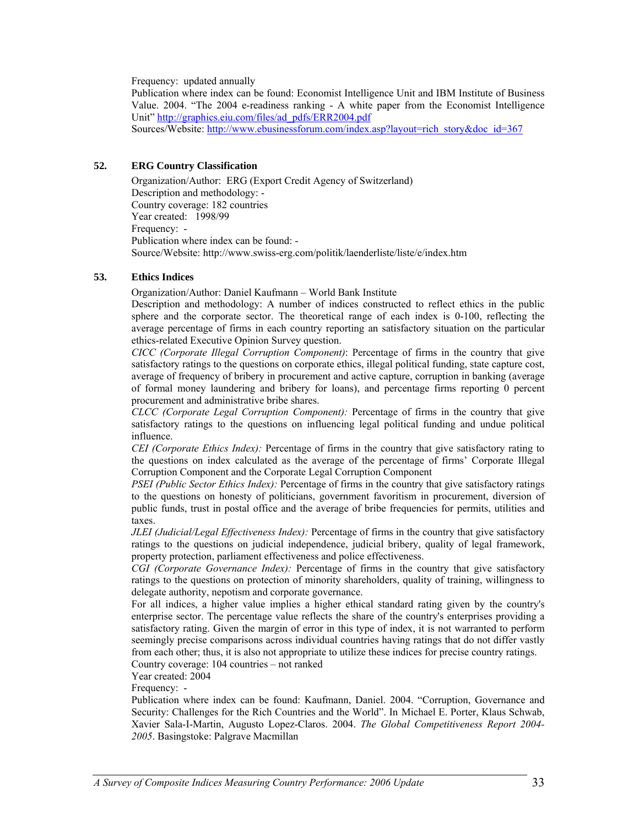Frequency: updated annually

Publication where index can be found: Economist Intelligence Unit and IBM Institute of Business Value. 2004. "The 2004 e-readiness ranking - A white paper from the Economist Intelligence Unit" http://graphics.eiu.com/files/ad\_pdfs/ERR2004.pdf

Sources/Website: http://www.ebusinessforum.com/index.asp?layout=rich\_story&doc\_id=367

#### **52. ERG Country Classification**

Organization/Author: ERG (Export Credit Agency of Switzerland) Description and methodology: - Country coverage: 182 countries Year created: 1998/99 Frequency: - Publication where index can be found: - Source/Website: http://www.swiss-erg.com/politik/laenderliste/liste/e/index.htm

#### **53. Ethics Indices**

Organization/Author: Daniel Kaufmann – World Bank Institute

Description and methodology: A number of indices constructed to reflect ethics in the public sphere and the corporate sector. The theoretical range of each index is 0-100, reflecting the average percentage of firms in each country reporting an satisfactory situation on the particular ethics-related Executive Opinion Survey question.

*CICC (Corporate Illegal Corruption Component)*: Percentage of firms in the country that give satisfactory ratings to the questions on corporate ethics, illegal political funding, state capture cost, average of frequency of bribery in procurement and active capture, corruption in banking (average of formal money laundering and bribery for loans), and percentage firms reporting 0 percent procurement and administrative bribe shares.

*CLCC (Corporate Legal Corruption Component):* Percentage of firms in the country that give satisfactory ratings to the questions on influencing legal political funding and undue political influence.

*CEI (Corporate Ethics Index):* Percentage of firms in the country that give satisfactory rating to the questions on index calculated as the average of the percentage of firms' Corporate Illegal Corruption Component and the Corporate Legal Corruption Component

*PSEI (Public Sector Ethics Index):* Percentage of firms in the country that give satisfactory ratings to the questions on honesty of politicians, government favoritism in procurement, diversion of public funds, trust in postal office and the average of bribe frequencies for permits, utilities and taxes.

*JLEI (Judicial/Legal Effectiveness Index):* Percentage of firms in the country that give satisfactory ratings to the questions on judicial independence, judicial bribery, quality of legal framework, property protection, parliament effectiveness and police effectiveness.

*CGI (Corporate Governance Index):* Percentage of firms in the country that give satisfactory ratings to the questions on protection of minority shareholders, quality of training, willingness to delegate authority, nepotism and corporate governance.

For all indices, a higher value implies a higher ethical standard rating given by the country's enterprise sector. The percentage value reflects the share of the country's enterprises providing a satisfactory rating. Given the margin of error in this type of index, it is not warranted to perform seemingly precise comparisons across individual countries having ratings that do not differ vastly from each other; thus, it is also not appropriate to utilize these indices for precise country ratings. Country coverage: 104 countries – not ranked

Year created: 2004

Frequency: -

Publication where index can be found: Kaufmann, Daniel. 2004. "Corruption, Governance and Security: Challenges for the Rich Countries and the World". In Michael E. Porter, Klaus Schwab, Xavier Sala-I-Martin, Augusto Lopez-Claros. 2004. *The Global Competitiveness Report 2004- 2005*. Basingstoke: Palgrave Macmillan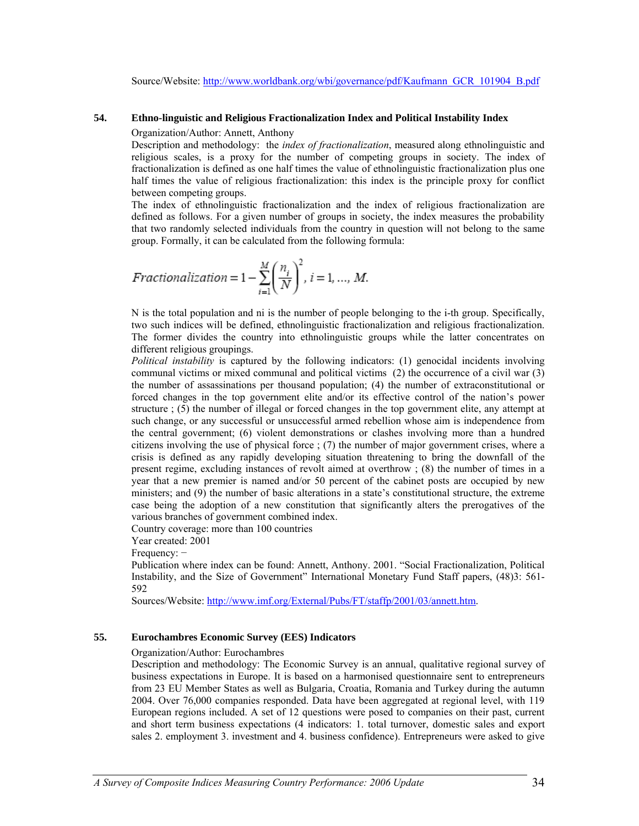#### **54. Ethno-linguistic and Religious Fractionalization Index and Political Instability Index**

#### Organization/Author: Annett, Anthony

Description and methodology: the *index of fractionalization*, measured along ethnolinguistic and religious scales, is a proxy for the number of competing groups in society. The index of fractionalization is defined as one half times the value of ethnolinguistic fractionalization plus one half times the value of religious fractionalization: this index is the principle proxy for conflict between competing groups.

The index of ethnolinguistic fractionalization and the index of religious fractionalization are defined as follows. For a given number of groups in society, the index measures the probability that two randomly selected individuals from the country in question will not belong to the same group. Formally, it can be calculated from the following formula:

$$
Fractionalization = 1 - \sum_{i=1}^{M} \left(\frac{n_i}{N}\right)^2, i = 1, ..., M.
$$

N is the total population and ni is the number of people belonging to the i-th group. Specifically, two such indices will be defined, ethnolinguistic fractionalization and religious fractionalization. The former divides the country into ethnolinguistic groups while the latter concentrates on different religious groupings.

*Political instability* is captured by the following indicators: (1) genocidal incidents involving communal victims or mixed communal and political victims (2) the occurrence of a civil war (3) the number of assassinations per thousand population; (4) the number of extraconstitutional or forced changes in the top government elite and/or its effective control of the nation's power structure ; (5) the number of illegal or forced changes in the top government elite, any attempt at such change, or any successful or unsuccessful armed rebellion whose aim is independence from the central government; (6) violent demonstrations or clashes involving more than a hundred citizens involving the use of physical force ; (7) the number of major government crises, where a crisis is defined as any rapidly developing situation threatening to bring the downfall of the present regime, excluding instances of revolt aimed at overthrow ; (8) the number of times in a year that a new premier is named and/or 50 percent of the cabinet posts are occupied by new ministers; and (9) the number of basic alterations in a state's constitutional structure, the extreme case being the adoption of a new constitution that significantly alters the prerogatives of the various branches of government combined index.

Country coverage: more than 100 countries

Year created: 2001

Frequency: −

Publication where index can be found: Annett, Anthony. 2001. "Social Fractionalization, Political Instability, and the Size of Government" International Monetary Fund Staff papers, (48)3: 561- 592

Sources/Website: http://www.imf.org/External/Pubs/FT/staffp/2001/03/annett.htm.

#### **55. Eurochambres Economic Survey (EES) Indicators**

#### Organization/Author: Eurochambres

Description and methodology: The Economic Survey is an annual, qualitative regional survey of business expectations in Europe. It is based on a harmonised questionnaire sent to entrepreneurs from 23 EU Member States as well as Bulgaria, Croatia, Romania and Turkey during the autumn 2004. Over 76,000 companies responded. Data have been aggregated at regional level, with 119 European regions included. A set of 12 questions were posed to companies on their past, current and short term business expectations (4 indicators: 1. total turnover, domestic sales and export sales 2. employment 3. investment and 4. business confidence). Entrepreneurs were asked to give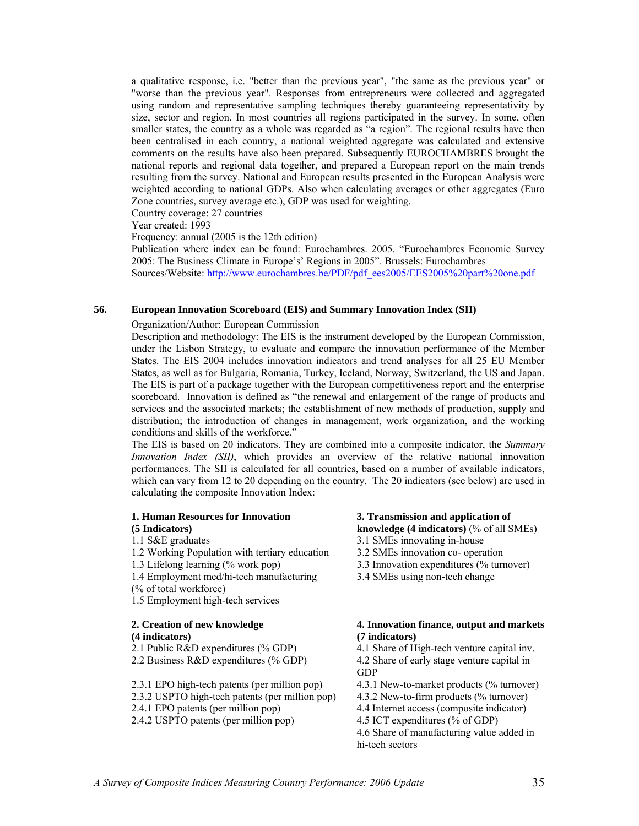a qualitative response, i.e. "better than the previous year", "the same as the previous year" or "worse than the previous year". Responses from entrepreneurs were collected and aggregated using random and representative sampling techniques thereby guaranteeing representativity by size, sector and region. In most countries all regions participated in the survey. In some, often smaller states, the country as a whole was regarded as "a region". The regional results have then been centralised in each country, a national weighted aggregate was calculated and extensive comments on the results have also been prepared. Subsequently EUROCHAMBRES brought the national reports and regional data together, and prepared a European report on the main trends resulting from the survey. National and European results presented in the European Analysis were weighted according to national GDPs. Also when calculating averages or other aggregates (Euro Zone countries, survey average etc.), GDP was used for weighting.

Country coverage: 27 countries

Year created: 1993

Frequency: annual (2005 is the 12th edition)

Publication where index can be found: Eurochambres. 2005. "Eurochambres Economic Survey 2005: The Business Climate in Europe's' Regions in 2005". Brussels: Eurochambres Sources/Website: http://www.eurochambres.be/PDF/pdf\_ees2005/EES2005%20part%20one.pdf

#### **56. European Innovation Scoreboard (EIS) and Summary Innovation Index (SII)**

Organization/Author: European Commission

Description and methodology: The EIS is the instrument developed by the European Commission, under the Lisbon Strategy, to evaluate and compare the innovation performance of the Member States. The EIS 2004 includes innovation indicators and trend analyses for all 25 EU Member States, as well as for Bulgaria, Romania, Turkey, Iceland, Norway, Switzerland, the US and Japan. The EIS is part of a package together with the European competitiveness report and the enterprise scoreboard. Innovation is defined as "the renewal and enlargement of the range of products and services and the associated markets; the establishment of new methods of production, supply and distribution; the introduction of changes in management, work organization, and the working conditions and skills of the workforce."

The EIS is based on 20 indicators. They are combined into a composite indicator, the *Summary Innovation Index (SII)*, which provides an overview of the relative national innovation performances. The SII is calculated for all countries, based on a number of available indicators, which can vary from 12 to 20 depending on the country. The 20 indicators (see below) are used in calculating the composite Innovation Index:

- 
- 1.2 Working Population with tertiary education 3.2 SMEs innovation co- operation
- 
- 1.4 Employment med/hi-tech manufacturing 3.4 SMEs using non-tech change
- (% of total workforce)
- 1.5 Employment high-tech services

# **(4 indicators) (7 indicators)**

- 
- 2.2 Business R&D expenditures (% GDP) 4.2 Share of early stage venture capital in
- 2.3.1 EPO high-tech patents (per million pop) 4.3.1 New-to-market products (% turnover)
- 2.3.2 USPTO high-tech patents (per million pop) 4.3.2 New-to-firm products (% turnover)
- 
- 2.4.2 USPTO patents (per million pop) 4.5 ICT expenditures (% of GDP)

### **1. Human Resources for Innovation 3. Transmission and application of**

- **(5 Indicators) knowledge (4 indicators)** (% of all SMEs)
- 1.1 S&E graduates 3.1 SMEs innovating in-house
	-
- 1.3 Lifelong learning (% work pop) 3.3 Innovation expenditures (% turnover)
	-

# **2. Creation of new knowledge 4. Innovation finance, output and markets**

2.1 Public R&D expenditures (% GDP) 4.1 Share of High-tech venture capital inv. GDP

- 
- 

2.4.1 EPO patents (per million pop) 4.4 Internet access (composite indicator)

4.6 Share of manufacturing value added in hi-tech sectors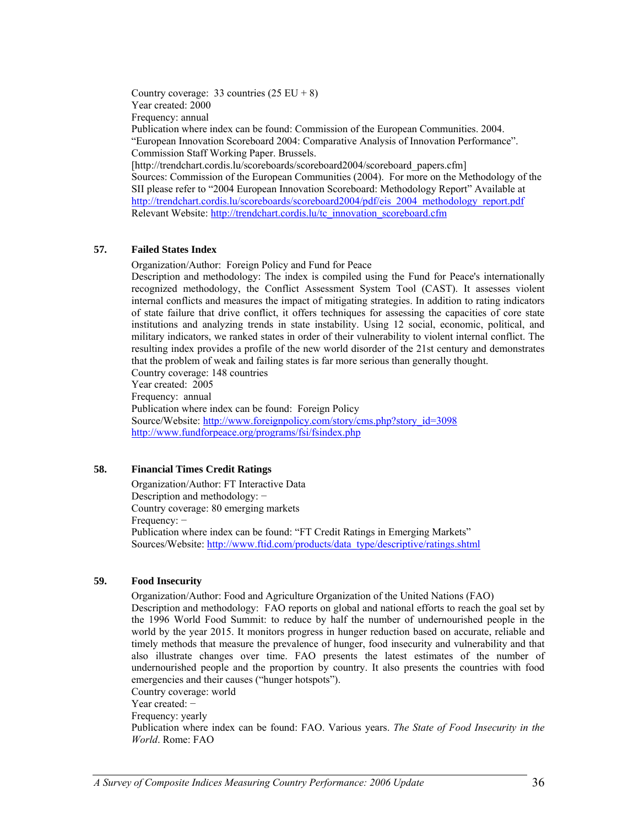Country coverage: 33 countries  $(25 EU + 8)$ Year created: 2000 Frequency: annual Publication where index can be found: Commission of the European Communities. 2004. "European Innovation Scoreboard 2004: Comparative Analysis of Innovation Performance". Commission Staff Working Paper. Brussels. [http://trendchart.cordis.lu/scoreboards/scoreboard2004/scoreboard\_papers.cfm] Sources: Commission of the European Communities (2004). For more on the Methodology of the SII please refer to "2004 European Innovation Scoreboard: Methodology Report" Available at http://trendchart.cordis.lu/scoreboards/scoreboard2004/pdf/eis\_2004\_methodology\_report.pdf Relevant Website: http://trendchart.cordis.lu/tc\_innovation\_scoreboard.cfm

# **57. Failed States Index**

Organization/Author: Foreign Policy and Fund for Peace

Description and methodology: The index is compiled using the Fund for Peace's internationally recognized methodology, the Conflict Assessment System Tool (CAST). It assesses violent internal conflicts and measures the impact of mitigating strategies. In addition to rating indicators of state failure that drive conflict, it offers techniques for assessing the capacities of core state institutions and analyzing trends in state instability. Using 12 social, economic, political, and military indicators, we ranked states in order of their vulnerability to violent internal conflict. The resulting index provides a profile of the new world disorder of the 21st century and demonstrates that the problem of weak and failing states is far more serious than generally thought.

Country coverage: 148 countries

Year created: 2005

Frequency: annual

 Publication where index can be found: Foreign Policy Source/Website: http://www.foreignpolicy.com/story/cms.php?story\_id=3098 http://www.fundforpeace.org/programs/fsi/fsindex.php

# **58. Financial Times Credit Ratings**

Organization/Author: FT Interactive Data Description and methodology:  $−$ Country coverage: 80 emerging markets Frequency: − Publication where index can be found: "FT Credit Ratings in Emerging Markets" Sources/Website: http://www.ftid.com/products/data\_type/descriptive/ratings.shtml

#### **59. Food Insecurity**

Organization/Author: Food and Agriculture Organization of the United Nations (FAO)

Description and methodology: FAO reports on global and national efforts to reach the goal set by the 1996 World Food Summit: to reduce by half the number of undernourished people in the world by the year 2015. It monitors progress in hunger reduction based on accurate, reliable and timely methods that measure the prevalence of hunger, food insecurity and vulnerability and that also illustrate changes over time. FAO presents the latest estimates of the number of undernourished people and the proportion by country. It also presents the countries with food emergencies and their causes ("hunger hotspots").

Country coverage: world Year created: − Frequency: yearly Publication where index can be found: FAO. Various years. *The State of Food Insecurity in the World*. Rome: FAO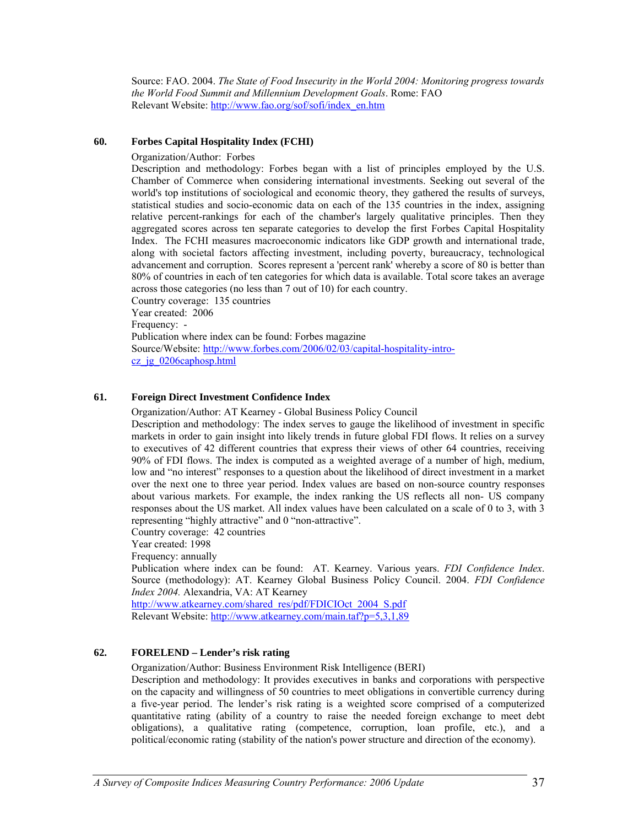Source: FAO. 2004. *The State of Food Insecurity in the World 2004: Monitoring progress towards the World Food Summit and Millennium Development Goals*. Rome: FAO Relevant Website: http://www.fao.org/sof/sofi/index\_en.htm

# **60. Forbes Capital Hospitality Index (FCHI)**

Organization/Author: Forbes

Description and methodology: Forbes began with a list of principles employed by the U.S. Chamber of Commerce when considering international investments. Seeking out several of the world's top institutions of sociological and economic theory, they gathered the results of surveys, statistical studies and socio-economic data on each of the 135 countries in the index, assigning relative percent-rankings for each of the chamber's largely qualitative principles. Then they aggregated scores across ten separate categories to develop the first Forbes Capital Hospitality Index. The FCHI measures macroeconomic indicators like GDP growth and international trade, along with societal factors affecting investment, including poverty, bureaucracy, technological advancement and corruption. Scores represent a 'percent rank' whereby a score of 80 is better than 80% of countries in each of ten categories for which data is available. Total score takes an average across those categories (no less than 7 out of 10) for each country. Country coverage: 135 countries

 Year created: 2006 Frequency: - Publication where index can be found: Forbes magazine Source/Website: http://www.forbes.com/2006/02/03/capital-hospitality-introcz\_jg\_0206caphosp.html

# **61. Foreign Direct Investment Confidence Index**

Organization/Author: AT Kearney - Global Business Policy Council

Description and methodology: The index serves to gauge the likelihood of investment in specific markets in order to gain insight into likely trends in future global FDI flows. It relies on a survey to executives of 42 different countries that express their views of other 64 countries, receiving 90% of FDI flows. The index is computed as a weighted average of a number of high, medium, low and "no interest" responses to a question about the likelihood of direct investment in a market over the next one to three year period. Index values are based on non-source country responses about various markets. For example, the index ranking the US reflects all non- US company responses about the US market. All index values have been calculated on a scale of 0 to 3, with 3 representing "highly attractive" and 0 "non-attractive".

Country coverage: 42 countries

Year created: 1998

Frequency: annually

Publication where index can be found: AT. Kearney. Various years. *FDI Confidence Index*. Source (methodology): AT. Kearney Global Business Policy Council. 2004. *FDI Confidence Index 2004.* Alexandria, VA: AT Kearney

http://www.atkearney.com/shared\_res/pdf/FDICIOct\_2004\_S.pdf Relevant Website: http://www.atkearney.com/main.taf?p=5,3,1,89

# **62. FORELEND – Lender's risk rating**

Organization/Author: Business Environment Risk Intelligence (BERI)

Description and methodology: It provides executives in banks and corporations with perspective on the capacity and willingness of 50 countries to meet obligations in convertible currency during a five-year period. The lender's risk rating is a weighted score comprised of a computerized quantitative rating (ability of a country to raise the needed foreign exchange to meet debt obligations), a qualitative rating (competence, corruption, loan profile, etc.), and a political/economic rating (stability of the nation's power structure and direction of the economy).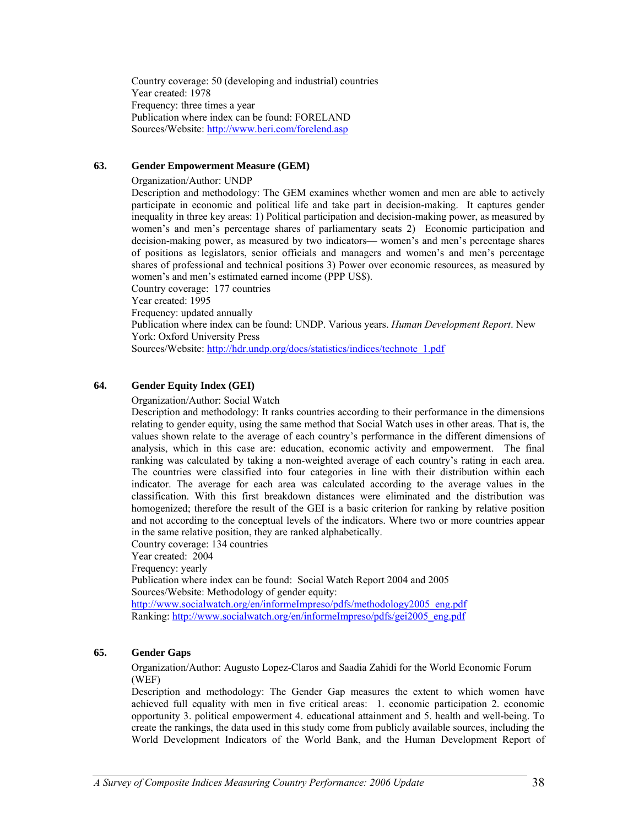Country coverage: 50 (developing and industrial) countries Year created: 1978 Frequency: three times a year Publication where index can be found: FORELAND Sources/Website: http://www.beri.com/forelend.asp

# **63. Gender Empowerment Measure (GEM)**

### Organization/Author: UNDP

Description and methodology: The GEM examines whether women and men are able to actively participate in economic and political life and take part in decision-making. It captures gender inequality in three key areas: 1) Political participation and decision-making power, as measured by women's and men's percentage shares of parliamentary seats 2) Economic participation and decision-making power, as measured by two indicators— women's and men's percentage shares of positions as legislators, senior officials and managers and women's and men's percentage shares of professional and technical positions 3) Power over economic resources, as measured by women's and men's estimated earned income (PPP US\$).

Country coverage: 177 countries Year created: 1995

Frequency: updated annually

Publication where index can be found: UNDP. Various years. *Human Development Report*. New York: Oxford University Press

Sources/Website: http://hdr.undp.org/docs/statistics/indices/technote\_1.pdf

# **64. Gender Equity Index (GEI)**

#### Organization/Author: Social Watch

Description and methodology: It ranks countries according to their performance in the dimensions relating to gender equity, using the same method that Social Watch uses in other areas. That is, the values shown relate to the average of each country's performance in the different dimensions of analysis, which in this case are: education, economic activity and empowerment. The final ranking was calculated by taking a non-weighted average of each country's rating in each area. The countries were classified into four categories in line with their distribution within each indicator. The average for each area was calculated according to the average values in the classification. With this first breakdown distances were eliminated and the distribution was homogenized; therefore the result of the GEI is a basic criterion for ranking by relative position and not according to the conceptual levels of the indicators. Where two or more countries appear in the same relative position, they are ranked alphabetically.

Country coverage: 134 countries Year created: 2004 Frequency: yearly Publication where index can be found: Social Watch Report 2004 and 2005 Sources/Website: Methodology of gender equity: http://www.socialwatch.org/en/informeImpreso/pdfs/methodology2005\_eng.pdf Ranking: http://www.socialwatch.org/en/informeImpreso/pdfs/gei2005\_eng.pdf

# **65. Gender Gaps**

Organization/Author: Augusto Lopez-Claros and Saadia Zahidi for the World Economic Forum (WEF)

Description and methodology: The Gender Gap measures the extent to which women have achieved full equality with men in five critical areas: 1. economic participation 2. economic opportunity 3. political empowerment 4. educational attainment and 5. health and well-being. To create the rankings, the data used in this study come from publicly available sources, including the World Development Indicators of the World Bank, and the Human Development Report of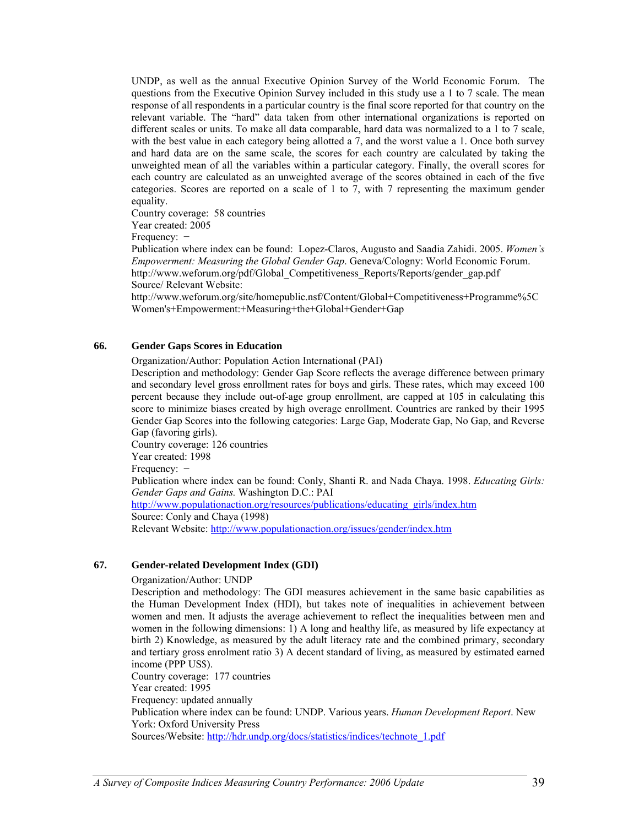UNDP, as well as the annual Executive Opinion Survey of the World Economic Forum. The questions from the Executive Opinion Survey included in this study use a 1 to 7 scale. The mean response of all respondents in a particular country is the final score reported for that country on the relevant variable. The "hard" data taken from other international organizations is reported on different scales or units. To make all data comparable, hard data was normalized to a 1 to 7 scale, with the best value in each category being allotted a 7, and the worst value a 1. Once both survey and hard data are on the same scale, the scores for each country are calculated by taking the unweighted mean of all the variables within a particular category. Finally, the overall scores for each country are calculated as an unweighted average of the scores obtained in each of the five categories. Scores are reported on a scale of 1 to  $\overline{7}$ , with 7 representing the maximum gender equality.

Country coverage: 58 countries

Year created: 2005

Frequency: −

Publication where index can be found: Lopez-Claros, Augusto and Saadia Zahidi. 2005. *Women's Empowerment: Measuring the Global Gender Gap*. Geneva/Cologny: World Economic Forum. http://www.weforum.org/pdf/Global\_Competitiveness\_Reports/Reports/gender\_gap.pdf Source/ Relevant Website:

http://www.weforum.org/site/homepublic.nsf/Content/Global+Competitiveness+Programme%5C Women's+Empowerment:+Measuring+the+Global+Gender+Gap

# **66. Gender Gaps Scores in Education**

Organization/Author: Population Action International (PAI)

Description and methodology: Gender Gap Score reflects the average difference between primary and secondary level gross enrollment rates for boys and girls. These rates, which may exceed 100 percent because they include out-of-age group enrollment, are capped at 105 in calculating this score to minimize biases created by high overage enrollment. Countries are ranked by their 1995 Gender Gap Scores into the following categories: Large Gap, Moderate Gap, No Gap, and Reverse Gap (favoring girls).

Country coverage: 126 countries

Year created: 1998

Frequency: −

Publication where index can be found: Conly, Shanti R. and Nada Chaya. 1998. *Educating Girls: Gender Gaps and Gains.* Washington D.C.: PAI

http://www.populationaction.org/resources/publications/educating\_girls/index.htm Source: Conly and Chaya (1998)

Relevant Website: http://www.populationaction.org/issues/gender/index.htm

# **67. Gender-related Development Index (GDI)**

# Organization/Author: UNDP

Description and methodology: The GDI measures achievement in the same basic capabilities as the Human Development Index (HDI), but takes note of inequalities in achievement between women and men. It adjusts the average achievement to reflect the inequalities between men and women in the following dimensions: 1) A long and healthy life, as measured by life expectancy at birth 2) Knowledge, as measured by the adult literacy rate and the combined primary, secondary and tertiary gross enrolment ratio 3) A decent standard of living, as measured by estimated earned income (PPP US\$).

Country coverage: 177 countries Year created: 1995 Frequency: updated annually Publication where index can be found: UNDP. Various years. *Human Development Report*. New York: Oxford University Press Sources/Website: http://hdr.undp.org/docs/statistics/indices/technote\_1.pdf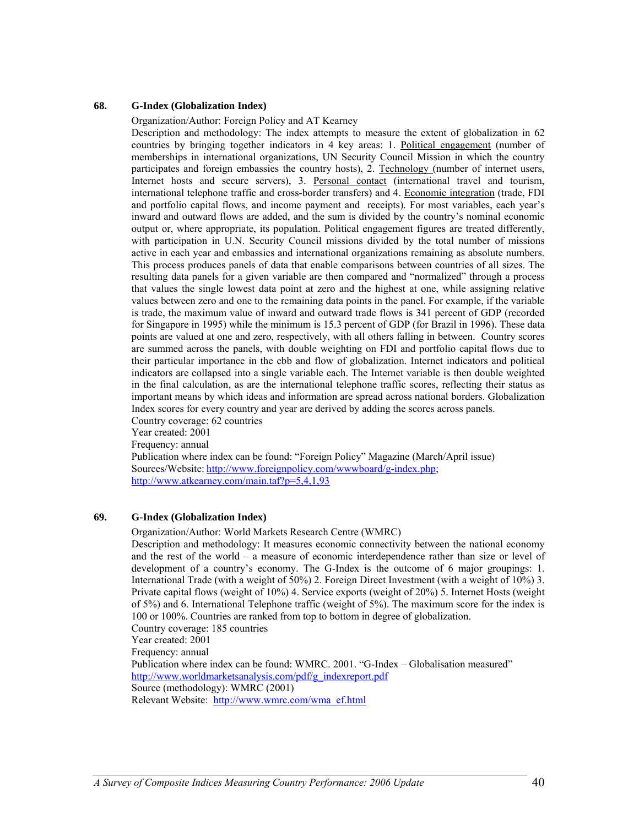#### **68. G-Index (Globalization Index)**

Organization/Author: Foreign Policy and AT Kearney

Description and methodology: The index attempts to measure the extent of globalization in 62 countries by bringing together indicators in 4 key areas: 1. Political engagement (number of memberships in international organizations, UN Security Council Mission in which the country participates and foreign embassies the country hosts), 2. Technology (number of internet users, Internet hosts and secure servers), 3. Personal contact (international travel and tourism, international telephone traffic and cross-border transfers) and 4. Economic integration (trade, FDI and portfolio capital flows, and income payment and receipts). For most variables, each year's inward and outward flows are added, and the sum is divided by the country's nominal economic output or, where appropriate, its population. Political engagement figures are treated differently, with participation in U.N. Security Council missions divided by the total number of missions active in each year and embassies and international organizations remaining as absolute numbers. This process produces panels of data that enable comparisons between countries of all sizes. The resulting data panels for a given variable are then compared and "normalized" through a process that values the single lowest data point at zero and the highest at one, while assigning relative values between zero and one to the remaining data points in the panel. For example, if the variable is trade, the maximum value of inward and outward trade flows is 341 percent of GDP (recorded for Singapore in 1995) while the minimum is 15.3 percent of GDP (for Brazil in 1996). These data points are valued at one and zero, respectively, with all others falling in between. Country scores are summed across the panels, with double weighting on FDI and portfolio capital flows due to their particular importance in the ebb and flow of globalization. Internet indicators and political indicators are collapsed into a single variable each. The Internet variable is then double weighted in the final calculation, as are the international telephone traffic scores, reflecting their status as important means by which ideas and information are spread across national borders. Globalization Index scores for every country and year are derived by adding the scores across panels. Country coverage: 62 countries Year created: 2001

Frequency: annual

Publication where index can be found: "Foreign Policy" Magazine (March/April issue) Sources/Website: http://www.foreignpolicy.com/wwwboard/g-index.php; http://www.atkearney.com/main.taf?p=5,4,1,93

# **69. G-Index (Globalization Index)**

Organization/Author: World Markets Research Centre (WMRC) Description and methodology: It measures economic connectivity between the national economy and the rest of the world – a measure of economic interdependence rather than size or level of development of a country's economy. The G-Index is the outcome of 6 major groupings: 1. International Trade (with a weight of 50%) 2. Foreign Direct Investment (with a weight of 10%) 3. Private capital flows (weight of 10%) 4. Service exports (weight of 20%) 5. Internet Hosts (weight of 5%) and 6. International Telephone traffic (weight of 5%). The maximum score for the index is 100 or 100%. Countries are ranked from top to bottom in degree of globalization.

Country coverage: 185 countries Year created: 2001 Frequency: annual Publication where index can be found: WMRC. 2001. "G-Index – Globalisation measured" http://www.worldmarketsanalysis.com/pdf/g\_indexreport.pdf Source (methodology): WMRC (2001) Relevant Website: http://www.wmrc.com/wma\_ef.html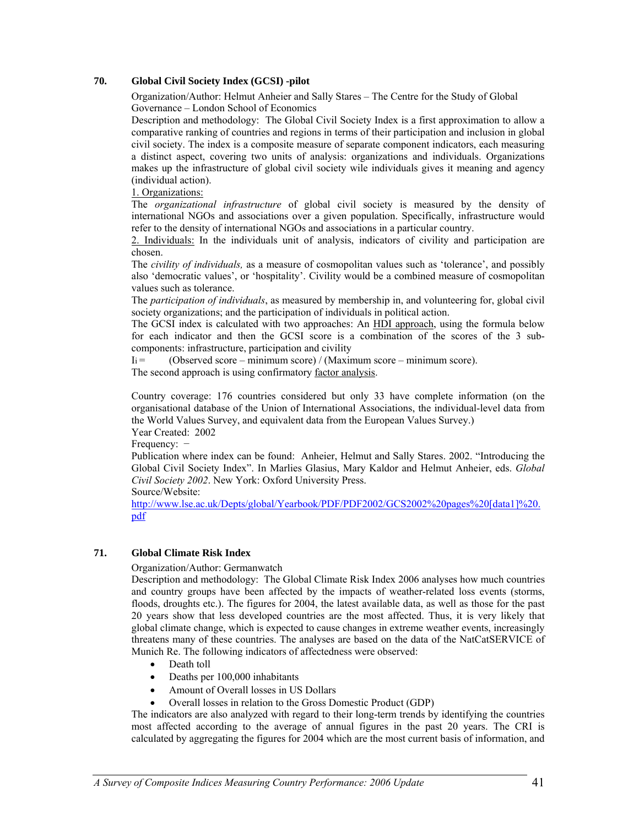# **70. Global Civil Society Index (GCSI) -pilot**

Organization/Author: Helmut Anheier and Sally Stares – The Centre for the Study of Global Governance – London School of Economics

Description and methodology: The Global Civil Society Index is a first approximation to allow a comparative ranking of countries and regions in terms of their participation and inclusion in global civil society. The index is a composite measure of separate component indicators, each measuring a distinct aspect, covering two units of analysis: organizations and individuals. Organizations makes up the infrastructure of global civil society wile individuals gives it meaning and agency (individual action).

1. Organizations:

The *organizational infrastructure* of global civil society is measured by the density of international NGOs and associations over a given population. Specifically, infrastructure would refer to the density of international NGOs and associations in a particular country.

2. Individuals: In the individuals unit of analysis, indicators of civility and participation are chosen.

The *civility of individuals,* as a measure of cosmopolitan values such as 'tolerance', and possibly also 'democratic values', or 'hospitality'. Civility would be a combined measure of cosmopolitan values such as tolerance.

The *participation of individuals*, as measured by membership in, and volunteering for, global civil society organizations; and the participation of individuals in political action.

The GCSI index is calculated with two approaches: An HDI approach, using the formula below for each indicator and then the GCSI score is a combination of the scores of the 3 subcomponents: infrastructure, participation and civility

 $I_i =$  (Observed score – minimum score) / (Maximum score – minimum score).

The second approach is using confirmatory factor analysis.

Country coverage: 176 countries considered but only 33 have complete information (on the organisational database of the Union of International Associations, the individual-level data from the World Values Survey, and equivalent data from the European Values Survey.) Year Created: 2002

Frequency: −

Publication where index can be found: Anheier, Helmut and Sally Stares. 2002. "Introducing the Global Civil Society Index". In Marlies Glasius, Mary Kaldor and Helmut Anheier, eds. *Global Civil Society 2002*. New York: Oxford University Press.

Source/Website:

http://www.lse.ac.uk/Depts/global/Yearbook/PDF/PDF2002/GCS2002%20pages%20[data1]%20. pdf

# **71. Global Climate Risk Index**

Organization/Author: Germanwatch

Description and methodology: The Global Climate Risk Index 2006 analyses how much countries and country groups have been affected by the impacts of weather-related loss events (storms, floods, droughts etc.). The figures for 2004, the latest available data, as well as those for the past 20 years show that less developed countries are the most affected. Thus, it is very likely that global climate change, which is expected to cause changes in extreme weather events, increasingly threatens many of these countries. The analyses are based on the data of the NatCatSERVICE of Munich Re. The following indicators of affectedness were observed:

- Death toll
- Deaths per 100,000 inhabitants
- Amount of Overall losses in US Dollars
- Overall losses in relation to the Gross Domestic Product (GDP)

The indicators are also analyzed with regard to their long-term trends by identifying the countries most affected according to the average of annual figures in the past 20 years. The CRI is calculated by aggregating the figures for 2004 which are the most current basis of information, and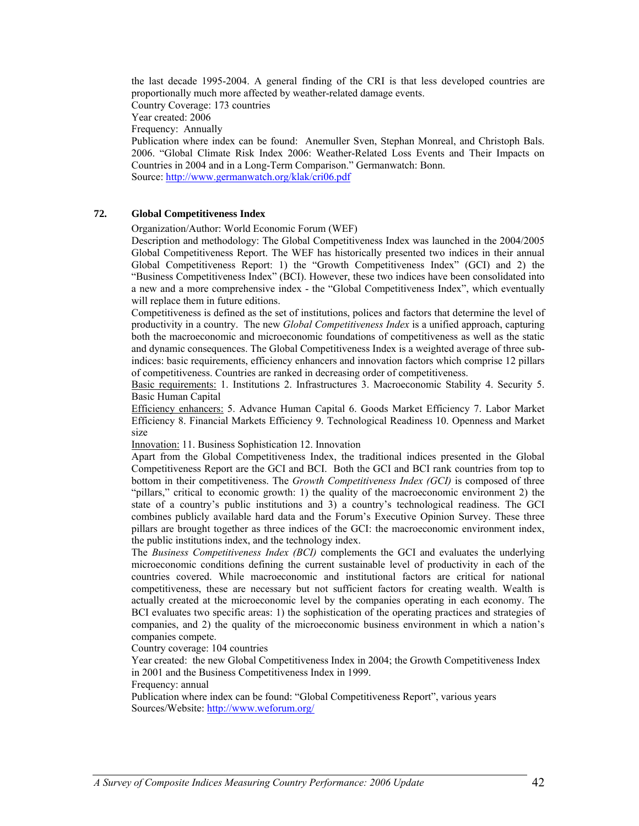the last decade 1995-2004. A general finding of the CRI is that less developed countries are proportionally much more affected by weather-related damage events.

Country Coverage: 173 countries

Year created: 2006

Frequency: Annually

Publication where index can be found: Anemuller Sven, Stephan Monreal, and Christoph Bals. 2006. "Global Climate Risk Index 2006: Weather-Related Loss Events and Their Impacts on Countries in 2004 and in a Long-Term Comparison." Germanwatch: Bonn. Source: http://www.germanwatch.org/klak/cri06.pdf

# **72. Global Competitiveness Index**

Organization/Author: World Economic Forum (WEF)

Description and methodology: The Global Competitiveness Index was launched in the 2004/2005 Global Competitiveness Report. The WEF has historically presented two indices in their annual Global Competitiveness Report: 1) the "Growth Competitiveness Index" (GCI) and 2) the "Business Competitiveness Index" (BCI). However, these two indices have been consolidated into a new and a more comprehensive index - the "Global Competitiveness Index", which eventually will replace them in future editions.

Competitiveness is defined as the set of institutions, polices and factors that determine the level of productivity in a country. The new *Global Competitiveness Index* is a unified approach, capturing both the macroeconomic and microeconomic foundations of competitiveness as well as the static and dynamic consequences. The Global Competitiveness Index is a weighted average of three subindices: basic requirements, efficiency enhancers and innovation factors which comprise 12 pillars of competitiveness. Countries are ranked in decreasing order of competitiveness.

Basic requirements: 1. Institutions 2. Infrastructures 3. Macroeconomic Stability 4. Security 5. Basic Human Capital

Efficiency enhancers: 5. Advance Human Capital 6. Goods Market Efficiency 7. Labor Market Efficiency 8. Financial Markets Efficiency 9. Technological Readiness 10. Openness and Market size

Innovation: 11. Business Sophistication 12. Innovation

Apart from the Global Competitiveness Index, the traditional indices presented in the Global Competitiveness Report are the GCI and BCI. Both the GCI and BCI rank countries from top to bottom in their competitiveness. The *Growth Competitiveness Index (GCI)* is composed of three "pillars," critical to economic growth: 1) the quality of the macroeconomic environment 2) the state of a country's public institutions and 3) a country's technological readiness. The GCI combines publicly available hard data and the Forum's Executive Opinion Survey. These three pillars are brought together as three indices of the GCI: the macroeconomic environment index, the public institutions index, and the technology index.

The *Business Competitiveness Index (BCI)* complements the GCI and evaluates the underlying microeconomic conditions defining the current sustainable level of productivity in each of the countries covered. While macroeconomic and institutional factors are critical for national competitiveness, these are necessary but not sufficient factors for creating wealth. Wealth is actually created at the microeconomic level by the companies operating in each economy. The BCI evaluates two specific areas: 1) the sophistication of the operating practices and strategies of companies, and 2) the quality of the microeconomic business environment in which a nation's companies compete.

Country coverage: 104 countries

Year created: the new Global Competitiveness Index in 2004; the Growth Competitiveness Index in 2001 and the Business Competitiveness Index in 1999.

Frequency: annual

Publication where index can be found: "Global Competitiveness Report", various years Sources/Website: http://www.weforum.org/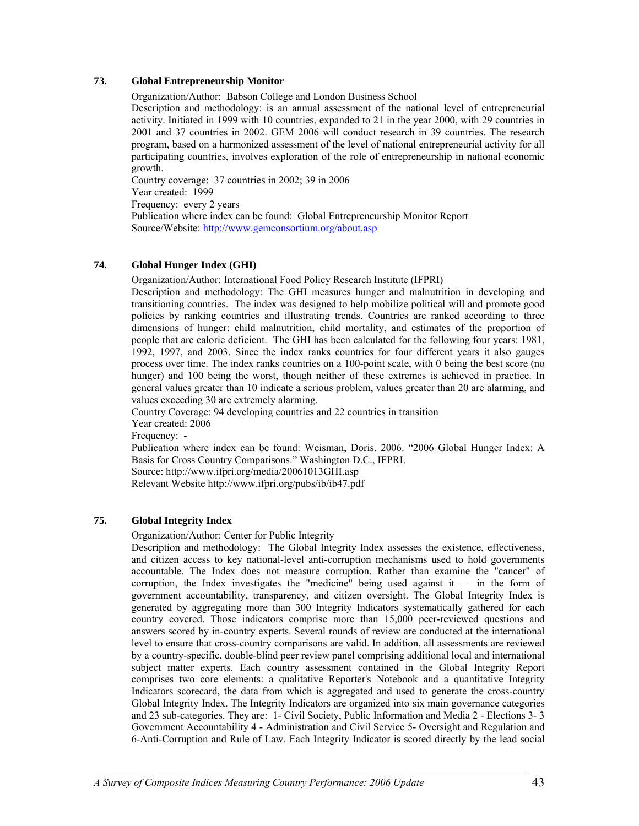# **73. Global Entrepreneurship Monitor**

Organization/Author: Babson College and London Business School

Description and methodology: is an annual assessment of the national level of entrepreneurial activity. Initiated in 1999 with 10 countries, expanded to 21 in the year 2000, with 29 countries in 2001 and 37 countries in 2002. GEM 2006 will conduct research in 39 countries. The research program, based on a harmonized assessment of the level of national entrepreneurial activity for all participating countries, involves exploration of the role of entrepreneurship in national economic growth.

 Country coverage: 37 countries in 2002; 39 in 2006 Year created: 1999 Frequency: every 2 years Publication where index can be found: Global Entrepreneurship Monitor Report Source/Website: http://www.gemconsortium.org/about.asp

# **74. Global Hunger Index (GHI)**

Organization/Author: International Food Policy Research Institute (IFPRI)

Description and methodology: The GHI measures hunger and malnutrition in developing and transitioning countries. The index was designed to help mobilize political will and promote good policies by ranking countries and illustrating trends. Countries are ranked according to three dimensions of hunger: child malnutrition, child mortality, and estimates of the proportion of people that are calorie deficient. The GHI has been calculated for the following four years: 1981, 1992, 1997, and 2003. Since the index ranks countries for four different years it also gauges process over time. The index ranks countries on a 100-point scale, with 0 being the best score (no hunger) and 100 being the worst, though neither of these extremes is achieved in practice. In general values greater than 10 indicate a serious problem, values greater than 20 are alarming, and values exceeding 30 are extremely alarming.

Country Coverage: 94 developing countries and 22 countries in transition

Year created: 2006

Frequency: -

Publication where index can be found: Weisman, Doris. 2006. "2006 Global Hunger Index: A Basis for Cross Country Comparisons." Washington D.C., IFPRI.

Source: http://www.ifpri.org/media/20061013GHI.asp

Relevant Website http://www.ifpri.org/pubs/ib/ib47.pdf

# **75. Global Integrity Index**

Organization/Author: Center for Public Integrity

Description and methodology: The Global Integrity Index assesses the existence, effectiveness, and citizen access to key national-level anti-corruption mechanisms used to hold governments accountable. The Index does not measure corruption. Rather than examine the "cancer" of corruption, the Index investigates the "medicine" being used against it — in the form of government accountability, transparency, and citizen oversight. The Global Integrity Index is generated by aggregating more than 300 Integrity Indicators systematically gathered for each country covered. Those indicators comprise more than 15,000 peer-reviewed questions and answers scored by in-country experts. Several rounds of review are conducted at the international level to ensure that cross-country comparisons are valid. In addition, all assessments are reviewed by a country-specific, double-blind peer review panel comprising additional local and international subject matter experts. Each country assessment contained in the Global Integrity Report comprises two core elements: a qualitative Reporter's Notebook and a quantitative Integrity Indicators scorecard, the data from which is aggregated and used to generate the cross-country Global Integrity Index. The Integrity Indicators are organized into six main governance categories and 23 sub-categories. They are: 1- Civil Society, Public Information and Media 2 - Elections 3- 3 Government Accountability 4 - Administration and Civil Service 5- Oversight and Regulation and 6-Anti-Corruption and Rule of Law. Each Integrity Indicator is scored directly by the lead social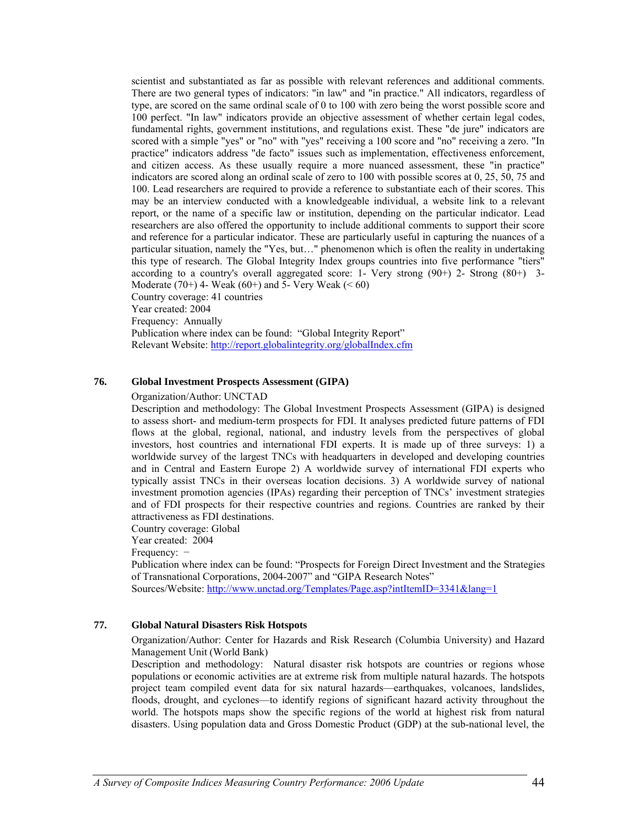scientist and substantiated as far as possible with relevant references and additional comments. There are two general types of indicators: "in law" and "in practice." All indicators, regardless of type, are scored on the same ordinal scale of 0 to 100 with zero being the worst possible score and 100 perfect. "In law" indicators provide an objective assessment of whether certain legal codes, fundamental rights, government institutions, and regulations exist. These "de jure" indicators are scored with a simple "yes" or "no" with "yes" receiving a 100 score and "no" receiving a zero. "In practice" indicators address "de facto" issues such as implementation, effectiveness enforcement, and citizen access. As these usually require a more nuanced assessment, these "in practice" indicators are scored along an ordinal scale of zero to 100 with possible scores at 0, 25, 50, 75 and 100. Lead researchers are required to provide a reference to substantiate each of their scores. This may be an interview conducted with a knowledgeable individual, a website link to a relevant report, or the name of a specific law or institution, depending on the particular indicator. Lead researchers are also offered the opportunity to include additional comments to support their score and reference for a particular indicator. These are particularly useful in capturing the nuances of a particular situation, namely the "Yes, but…" phenomenon which is often the reality in undertaking this type of research. The Global Integrity Index groups countries into five performance "tiers" according to a country's overall aggregated score: 1- Very strong  $(90+)$  2- Strong  $(80+)$  3-Moderate (70+) 4- Weak (60+) and 5- Very Weak ( $\leq 60$ ) Country coverage: 41 countries Year created: 2004 Frequency: Annually Publication where index can be found: "Global Integrity Report" Relevant Website: http://report.globalintegrity.org/globalIndex.cfm

#### **76. Global Investment Prospects Assessment (GIPA)**

#### Organization/Author: UNCTAD

Description and methodology: The Global Investment Prospects Assessment (GIPA) is designed to assess short- and medium-term prospects for FDI. It analyses predicted future patterns of FDI flows at the global, regional, national, and industry levels from the perspectives of global investors, host countries and international FDI experts. It is made up of three surveys: 1) a worldwide survey of the largest TNCs with headquarters in developed and developing countries and in Central and Eastern Europe 2) A worldwide survey of international FDI experts who typically assist TNCs in their overseas location decisions. 3) A worldwide survey of national investment promotion agencies (IPAs) regarding their perception of TNCs' investment strategies and of FDI prospects for their respective countries and regions. Countries are ranked by their attractiveness as FDI destinations.

Country coverage: Global

Year created: 2004

Frequency: −

Publication where index can be found: "Prospects for Foreign Direct Investment and the Strategies of Transnational Corporations, 2004-2007" and "GIPA Research Notes" Sources/Website: http://www.unctad.org/Templates/Page.asp?intItemID=3341&lang=1

# **77. Global Natural Disasters Risk Hotspots**

Organization/Author: Center for Hazards and Risk Research (Columbia University) and Hazard Management Unit (World Bank)

Description and methodology: Natural disaster risk hotspots are countries or regions whose populations or economic activities are at extreme risk from multiple natural hazards. The hotspots project team compiled event data for six natural hazards—earthquakes, volcanoes, landslides, floods, drought, and cyclones—to identify regions of significant hazard activity throughout the world. The hotspots maps show the specific regions of the world at highest risk from natural disasters. Using population data and Gross Domestic Product (GDP) at the sub-national level, the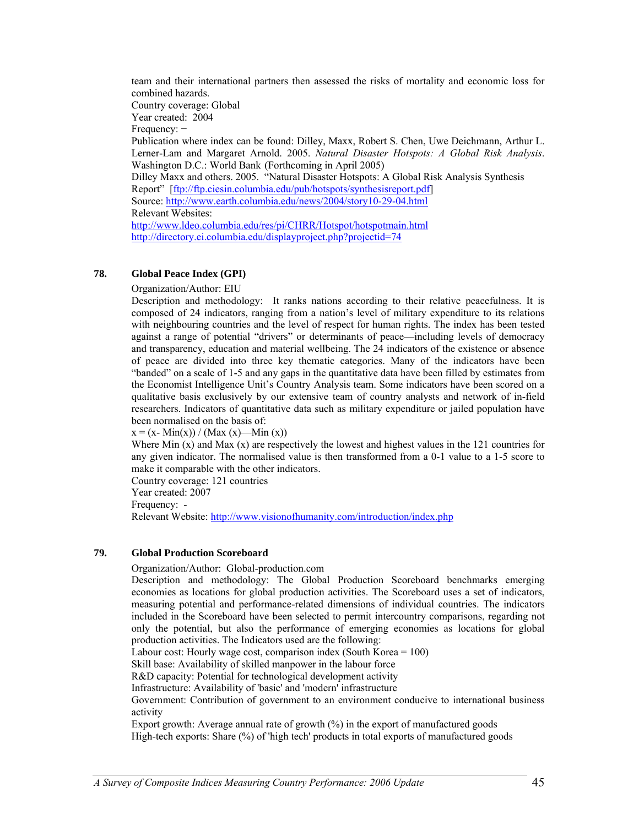team and their international partners then assessed the risks of mortality and economic loss for combined hazards. Country coverage: Global Year created: 2004 Frequency: − Publication where index can be found: Dilley, Maxx, Robert S. Chen, Uwe Deichmann, Arthur L. Lerner-Lam and Margaret Arnold. 2005. *Natural Disaster Hotspots: A Global Risk Analysis*. Washington D.C.: World Bank (Forthcoming in April 2005) Dilley Maxx and others. 2005. "Natural Disaster Hotspots: A Global Risk Analysis Synthesis Report" [ftp://ftp.ciesin.columbia.edu/pub/hotspots/synthesisreport.pdf] Source: http://www.earth.columbia.edu/news/2004/story10-29-04.html Relevant Websites: http://www.ldeo.columbia.edu/res/pi/CHRR/Hotspot/hotspotmain.html

# http://directory.ei.columbia.edu/displayproject.php?projectid=74

# **78. Global Peace Index (GPI)**

Organization/Author: EIU

Description and methodology: It ranks nations according to their relative peacefulness. It is composed of 24 indicators, ranging from a nation's level of military expenditure to its relations with neighbouring countries and the level of respect for human rights. The index has been tested against a range of potential "drivers" or determinants of peace—including levels of democracy and transparency, education and material wellbeing. The 24 indicators of the existence or absence of peace are divided into three key thematic categories. Many of the indicators have been "banded" on a scale of 1-5 and any gaps in the quantitative data have been filled by estimates from the Economist Intelligence Unit's Country Analysis team. Some indicators have been scored on a qualitative basis exclusively by our extensive team of country analysts and network of in-field researchers. Indicators of quantitative data such as military expenditure or jailed population have been normalised on the basis of:

 $x = (x - \text{Min}(x)) / (\text{Max}(x) - \text{Min}(x))$ 

Where Min  $(x)$  and Max  $(x)$  are respectively the lowest and highest values in the 121 countries for any given indicator. The normalised value is then transformed from a 0-1 value to a 1-5 score to make it comparable with the other indicators.

Country coverage: 121 countries

Year created: 2007

Frequency: -

Relevant Website: http://www.visionofhumanity.com/introduction/index.php

# **79. Global Production Scoreboard**

Organization/Author: Global-production.com

Description and methodology: The Global Production Scoreboard benchmarks emerging economies as locations for global production activities. The Scoreboard uses a set of indicators, measuring potential and performance-related dimensions of individual countries. The indicators included in the Scoreboard have been selected to permit intercountry comparisons, regarding not only the potential, but also the performance of emerging economies as locations for global production activities. The Indicators used are the following:

Labour cost: Hourly wage cost, comparison index (South Korea = 100)

Skill base: Availability of skilled manpower in the labour force

R&D capacity: Potential for technological development activity

Infrastructure: Availability of 'basic' and 'modern' infrastructure

Government: Contribution of government to an environment conducive to international business activity

Export growth: Average annual rate of growth (%) in the export of manufactured goods

High-tech exports: Share  $(\%)$  of 'high tech' products in total exports of manufactured goods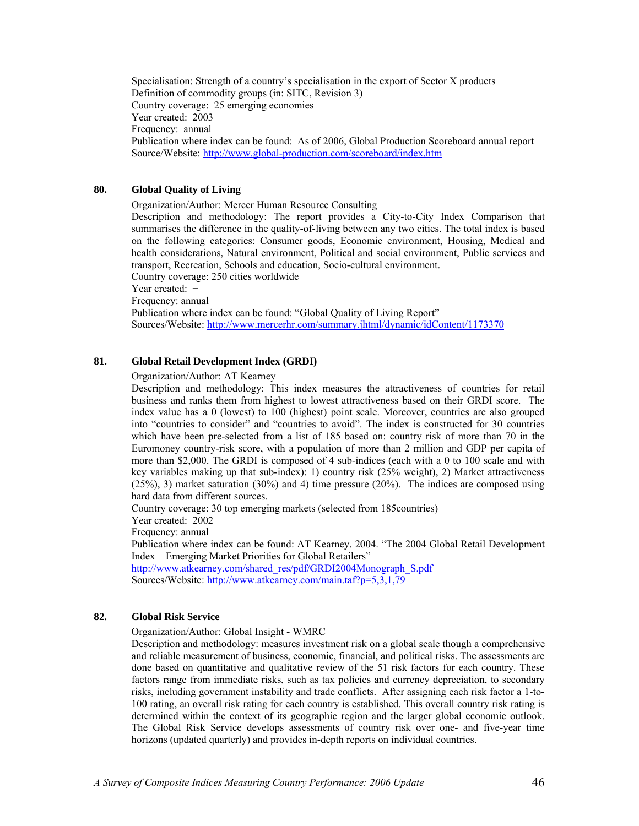Specialisation: Strength of a country's specialisation in the export of Sector X products Definition of commodity groups (in: SITC, Revision 3) Country coverage: 25 emerging economies Year created: 2003 Frequency: annual Publication where index can be found: As of 2006, Global Production Scoreboard annual report Source/Website: http://www.global-production.com/scoreboard/index.htm

# **80. Global Quality of Living**

Organization/Author: Mercer Human Resource Consulting Description and methodology: The report provides a City-to-City Index Comparison that summarises the difference in the quality-of-living between any two cities. The total index is based on the following categories: Consumer goods, Economic environment, Housing, Medical and health considerations, Natural environment, Political and social environment, Public services and transport, Recreation, Schools and education, Socio-cultural environment. Country coverage: 250 cities worldwide Year created: − Frequency: annual Publication where index can be found: "Global Quality of Living Report" Sources/Website: http://www.mercerhr.com/summary.jhtml/dynamic/idContent/1173370

# **81. Global Retail Development Index (GRDI)**

#### Organization/Author: AT Kearney

Description and methodology: This index measures the attractiveness of countries for retail business and ranks them from highest to lowest attractiveness based on their GRDI score. The index value has a 0 (lowest) to 100 (highest) point scale. Moreover, countries are also grouped into "countries to consider" and "countries to avoid". The index is constructed for 30 countries which have been pre-selected from a list of 185 based on: country risk of more than 70 in the Euromoney country-risk score, with a population of more than 2 million and GDP per capita of more than \$2,000. The GRDI is composed of 4 sub-indices (each with a 0 to 100 scale and with key variables making up that sub-index): 1) country risk (25% weight), 2) Market attractiveness  $(25\%)$ , 3) market saturation  $(30\%)$  and 4) time pressure  $(20\%)$ . The indices are composed using hard data from different sources.

Country coverage: 30 top emerging markets (selected from 185countries)

Year created: 2002

Frequency: annual

Publication where index can be found: AT Kearney. 2004. "The 2004 Global Retail Development Index – Emerging Market Priorities for Global Retailers"

http://www.atkearney.com/shared\_res/pdf/GRDI2004Monograph\_S.pdf Sources/Website: http://www.atkearney.com/main.taf?p=5,3,1,79

# **82. Global Risk Service**

Organization/Author: Global Insight - WMRC

Description and methodology: measures investment risk on a global scale though a comprehensive and reliable measurement of business, economic, financial, and political risks. The assessments are done based on quantitative and qualitative review of the 51 risk factors for each country. These factors range from immediate risks, such as tax policies and currency depreciation, to secondary risks, including government instability and trade conflicts. After assigning each risk factor a 1-to-100 rating, an overall risk rating for each country is established. This overall country risk rating is determined within the context of its geographic region and the larger global economic outlook. The Global Risk Service develops assessments of country risk over one- and five-year time horizons (updated quarterly) and provides in-depth reports on individual countries.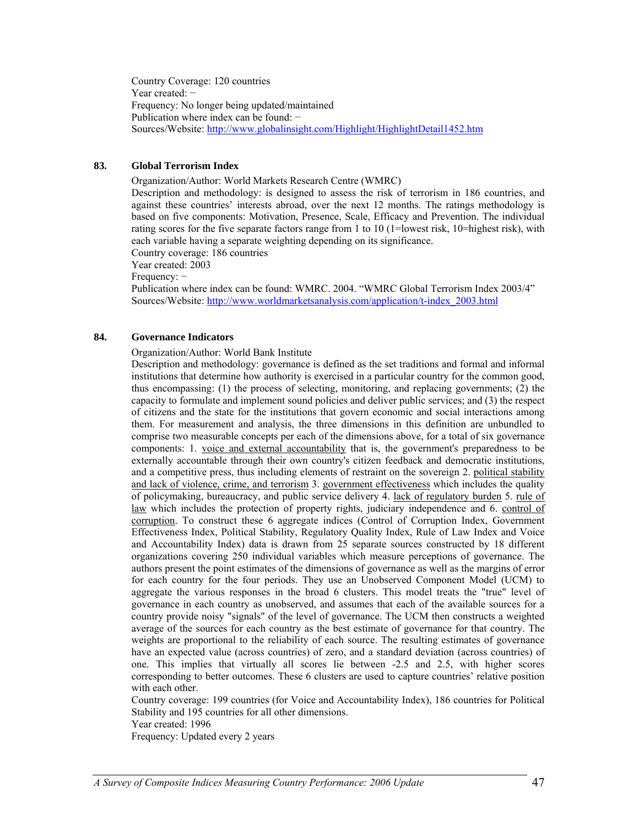Country Coverage: 120 countries Year created: − Frequency: No longer being updated/maintained Publication where index can be found: − Sources/Website: http://www.globalinsight.com/Highlight/HighlightDetail1452.htm

# **83. Global Terrorism Index**

Organization/Author: World Markets Research Centre (WMRC)

Description and methodology: is designed to assess the risk of terrorism in 186 countries, and against these countries' interests abroad, over the next 12 months. The ratings methodology is based on five components: Motivation, Presence, Scale, Efficacy and Prevention. The individual rating scores for the five separate factors range from 1 to 10 (1=lowest risk, 10=highest risk), with each variable having a separate weighting depending on its significance.

Country coverage: 186 countries

Year created: 2003 Frequency: −

Publication where index can be found: WMRC. 2004. "WMRC Global Terrorism Index 2003/4" Sources/Website: http://www.worldmarketsanalysis.com/application/t-index\_2003.html

# **84. Governance Indicators**

Organization/Author: World Bank Institute

Description and methodology: governance is defined as the set traditions and formal and informal institutions that determine how authority is exercised in a particular country for the common good, thus encompassing: (1) the process of selecting, monitoring, and replacing governments; (2) the capacity to formulate and implement sound policies and deliver public services; and (3) the respect of citizens and the state for the institutions that govern economic and social interactions among them. For measurement and analysis, the three dimensions in this definition are unbundled to comprise two measurable concepts per each of the dimensions above, for a total of six governance components: 1. voice and external accountability that is, the government's preparedness to be externally accountable through their own country's citizen feedback and democratic institutions, and a competitive press, thus including elements of restraint on the sovereign 2. political stability and lack of violence, crime, and terrorism 3. government effectiveness which includes the quality of policymaking, bureaucracy, and public service delivery 4. lack of regulatory burden 5. rule of law which includes the protection of property rights, judiciary independence and 6. control of corruption. To construct these 6 aggregate indices (Control of Corruption Index, Government Effectiveness Index, Political Stability, Regulatory Quality Index, Rule of Law Index and Voice and Accountability Index) data is drawn from 25 separate sources constructed by 18 different organizations covering 250 individual variables which measure perceptions of governance. The authors present the point estimates of the dimensions of governance as well as the margins of error for each country for the four periods. They use an Unobserved Component Model (UCM) to aggregate the various responses in the broad 6 clusters. This model treats the "true" level of governance in each country as unobserved, and assumes that each of the available sources for a country provide noisy "signals" of the level of governance. The UCM then constructs a weighted average of the sources for each country as the best estimate of governance for that country. The weights are proportional to the reliability of each source. The resulting estimates of governance have an expected value (across countries) of zero, and a standard deviation (across countries) of one. This implies that virtually all scores lie between -2.5 and 2.5, with higher scores corresponding to better outcomes. These 6 clusters are used to capture countries' relative position with each other.

Country coverage: 199 countries (for Voice and Accountability Index), 186 countries for Political Stability and 195 countries for all other dimensions.

Year created: 1996

Frequency: Updated every 2 years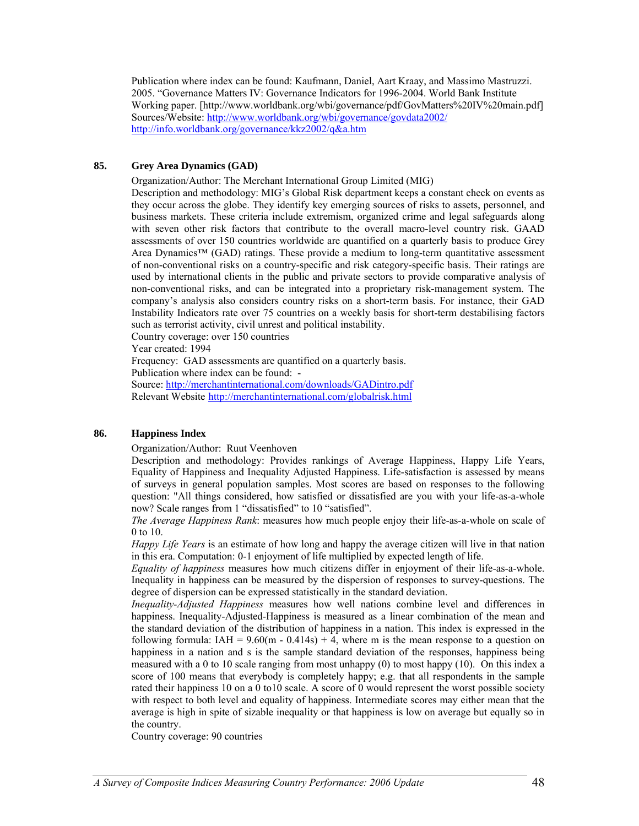Publication where index can be found: Kaufmann, Daniel, Aart Kraay, and Massimo Mastruzzi. 2005. "Governance Matters IV: Governance Indicators for 1996-2004. World Bank Institute Working paper. [http://www.worldbank.org/wbi/governance/pdf/GovMatters%20IV%20main.pdf] Sources/Website: http://www.worldbank.org/wbi/governance/govdata2002/ http://info.worldbank.org/governance/kkz2002/q&a.htm

# **85. Grey Area Dynamics (GAD)**

Organization/Author: The Merchant International Group Limited (MIG)

Description and methodology: MIG's Global Risk department keeps a constant check on events as they occur across the globe. They identify key emerging sources of risks to assets, personnel, and business markets. These criteria include extremism, organized crime and legal safeguards along with seven other risk factors that contribute to the overall macro-level country risk. GAAD assessments of over 150 countries worldwide are quantified on a quarterly basis to produce Grey Area Dynamics<sup>™</sup> (GAD) ratings. These provide a medium to long-term quantitative assessment of non-conventional risks on a country-specific and risk category-specific basis. Their ratings are used by international clients in the public and private sectors to provide comparative analysis of non-conventional risks, and can be integrated into a proprietary risk-management system. The company's analysis also considers country risks on a short-term basis. For instance, their GAD Instability Indicators rate over 75 countries on a weekly basis for short-term destabilising factors such as terrorist activity, civil unrest and political instability.

Country coverage: over 150 countries

Year created: 1994

 Frequency: GAD assessments are quantified on a quarterly basis. Publication where index can be found: -

Source: http://merchantinternational.com/downloads/GADintro.pdf Relevant Website http://merchantinternational.com/globalrisk.html

# **86. Happiness Index**

Organization/Author: Ruut Veenhoven

Description and methodology: Provides rankings of Average Happiness, Happy Life Years, Equality of Happiness and Inequality Adjusted Happiness. Life-satisfaction is assessed by means of surveys in general population samples. Most scores are based on responses to the following question: "All things considered, how satisfied or dissatisfied are you with your life-as-a-whole now? Scale ranges from 1 "dissatisfied" to 10 "satisfied".

*The Average Happiness Rank*: measures how much people enjoy their life-as-a-whole on scale of 0 to 10.

*Happy Life Years* is an estimate of how long and happy the average citizen will live in that nation in this era. Computation: 0-1 enjoyment of life multiplied by expected length of life.

*Equality of happiness* measures how much citizens differ in enjoyment of their life-as-a-whole. Inequality in happiness can be measured by the dispersion of responses to survey-questions. The degree of dispersion can be expressed statistically in the standard deviation.

*Inequality-Adjusted Happiness* measures how well nations combine level and differences in happiness. Inequality-Adjusted-Happiness is measured as a linear combination of the mean and the standard deviation of the distribution of happiness in a nation. This index is expressed in the following formula:  $IAH = 9.60(m - 0.414s) + 4$ , where m is the mean response to a question on happiness in a nation and s is the sample standard deviation of the responses, happiness being measured with a 0 to 10 scale ranging from most unhappy (0) to most happy (10). On this index a score of 100 means that everybody is completely happy; e.g. that all respondents in the sample rated their happiness 10 on a 0 to10 scale. A score of 0 would represent the worst possible society with respect to both level and equality of happiness. Intermediate scores may either mean that the average is high in spite of sizable inequality or that happiness is low on average but equally so in the country.

Country coverage: 90 countries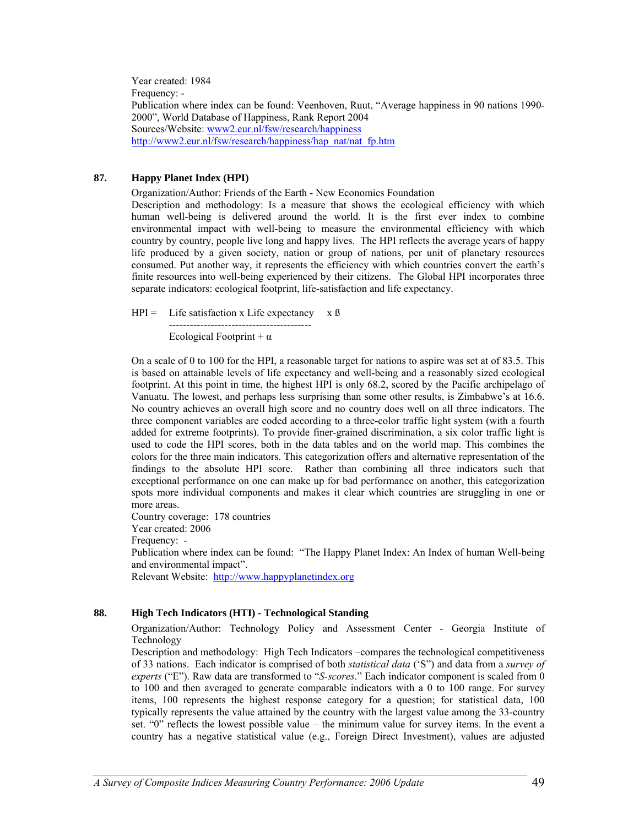Year created: 1984 Frequency: - Publication where index can be found: Veenhoven, Ruut, "Average happiness in 90 nations 1990- 2000", World Database of Happiness, Rank Report 2004 Sources/Website: www2.eur.nl/fsw/research/happiness http://www2.eur.nl/fsw/research/happiness/hap\_nat/nat\_fp.htm

# **87. Happy Planet Index (HPI)**

Organization/Author: Friends of the Earth - New Economics Foundation Description and methodology: Is a measure that shows the ecological efficiency with which human well-being is delivered around the world. It is the first ever index to combine environmental impact with well-being to measure the environmental efficiency with which country by country, people live long and happy lives. The HPI reflects the average years of happy life produced by a given society, nation or group of nations, per unit of planetary resources consumed. Put another way, it represents the efficiency with which countries convert the earth's finite resources into well-being experienced by their citizens. The Global HPI incorporates three separate indicators: ecological footprint, life-satisfaction and life expectancy.

 $HPI =$  Life satisfaction x Life expectancy x  $\beta$ -----------------------------------------

Ecological Footprint +  $\alpha$ 

On a scale of 0 to 100 for the HPI, a reasonable target for nations to aspire was set at of 83.5. This is based on attainable levels of life expectancy and well-being and a reasonably sized ecological footprint. At this point in time, the highest HPI is only 68.2, scored by the Pacific archipelago of Vanuatu. The lowest, and perhaps less surprising than some other results, is Zimbabwe's at 16.6. No country achieves an overall high score and no country does well on all three indicators. The three component variables are coded according to a three-color traffic light system (with a fourth added for extreme footprints). To provide finer-grained discrimination, a six color traffic light is used to code the HPI scores, both in the data tables and on the world map. This combines the colors for the three main indicators. This categorization offers and alternative representation of the findings to the absolute HPI score. Rather than combining all three indicators such that exceptional performance on one can make up for bad performance on another, this categorization spots more individual components and makes it clear which countries are struggling in one or more areas.

 Country coverage: 178 countries Year created: 2006 Frequency: - Publication where index can be found: "The Happy Planet Index: An Index of human Well-being and environmental impact". Relevant Website: http://www.happyplanetindex.org

# **88. High Tech Indicators (HTI) - Technological Standing**

Organization/Author: Technology Policy and Assessment Center - Georgia Institute of Technology

Description and methodology: High Tech Indicators –compares the technological competitiveness of 33 nations. Each indicator is comprised of both *statistical data* ('S") and data from a *survey of experts* ("E"). Raw data are transformed to "*S-scores*." Each indicator component is scaled from 0 to 100 and then averaged to generate comparable indicators with a 0 to 100 range. For survey items, 100 represents the highest response category for a question; for statistical data, 100 typically represents the value attained by the country with the largest value among the 33-country set. "0" reflects the lowest possible value – the minimum value for survey items. In the event a country has a negative statistical value (e.g., Foreign Direct Investment), values are adjusted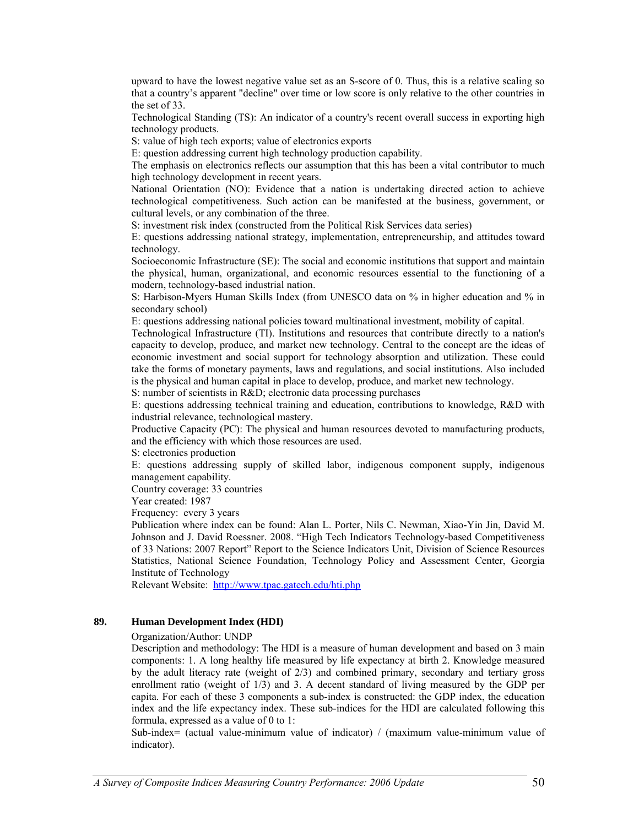upward to have the lowest negative value set as an S-score of 0. Thus, this is a relative scaling so that a country's apparent "decline" over time or low score is only relative to the other countries in the set of 33.

Technological Standing (TS): An indicator of a country's recent overall success in exporting high technology products.

S: value of high tech exports; value of electronics exports

E: question addressing current high technology production capability.

The emphasis on electronics reflects our assumption that this has been a vital contributor to much high technology development in recent years.

National Orientation (NO): Evidence that a nation is undertaking directed action to achieve technological competitiveness. Such action can be manifested at the business, government, or cultural levels, or any combination of the three.

S: investment risk index (constructed from the Political Risk Services data series)

E: questions addressing national strategy, implementation, entrepreneurship, and attitudes toward technology.

Socioeconomic Infrastructure (SE): The social and economic institutions that support and maintain the physical, human, organizational, and economic resources essential to the functioning of a modern, technology-based industrial nation.

S: Harbison-Myers Human Skills Index (from UNESCO data on % in higher education and % in secondary school)

E: questions addressing national policies toward multinational investment, mobility of capital.

Technological Infrastructure (TI). Institutions and resources that contribute directly to a nation's capacity to develop, produce, and market new technology. Central to the concept are the ideas of economic investment and social support for technology absorption and utilization. These could take the forms of monetary payments, laws and regulations, and social institutions. Also included is the physical and human capital in place to develop, produce, and market new technology.

S: number of scientists in R&D; electronic data processing purchases

E: questions addressing technical training and education, contributions to knowledge, R&D with industrial relevance, technological mastery.

Productive Capacity (PC): The physical and human resources devoted to manufacturing products, and the efficiency with which those resources are used.

S: electronics production

E: questions addressing supply of skilled labor, indigenous component supply, indigenous management capability.

Country coverage: 33 countries

Year created: 1987

Frequency: every 3 years

Publication where index can be found: Alan L. Porter, Nils C. Newman, Xiao-Yin Jin, David M. Johnson and J. David Roessner. 2008. "High Tech Indicators Technology-based Competitiveness of 33 Nations: 2007 Report" Report to the Science Indicators Unit, Division of Science Resources Statistics, National Science Foundation, Technology Policy and Assessment Center, Georgia Institute of Technology

Relevant Website: http://www.tpac.gatech.edu/hti.php

# **89. Human Development Index (HDI)**

#### Organization/Author: UNDP

Description and methodology: The HDI is a measure of human development and based on 3 main components: 1. A long healthy life measured by life expectancy at birth 2. Knowledge measured by the adult literacy rate (weight of 2/3) and combined primary, secondary and tertiary gross enrollment ratio (weight of 1/3) and 3. A decent standard of living measured by the GDP per capita. For each of these 3 components a sub-index is constructed: the GDP index, the education index and the life expectancy index. These sub-indices for the HDI are calculated following this formula, expressed as a value of 0 to 1:

Sub-index= (actual value-minimum value of indicator) / (maximum value-minimum value of indicator).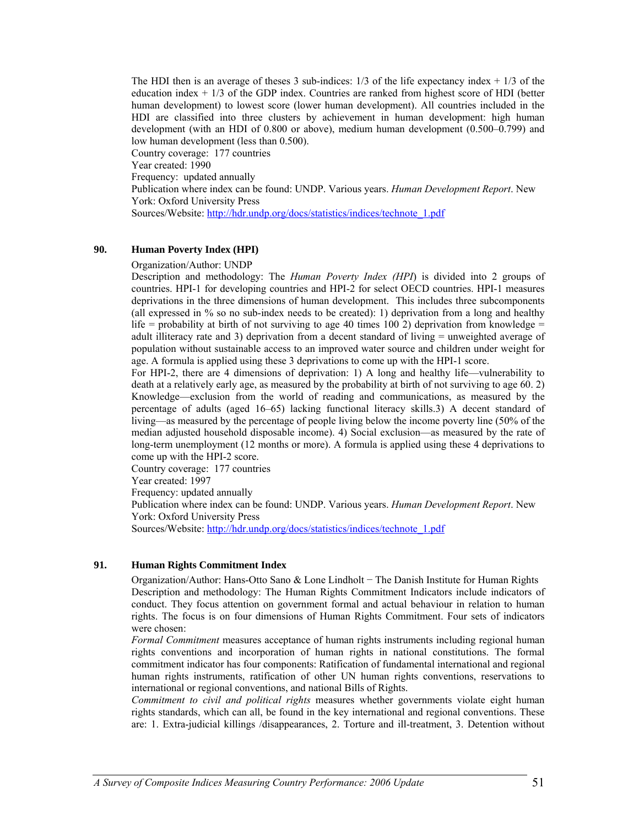The HDI then is an average of theses 3 sub-indices:  $1/3$  of the life expectancy index  $+1/3$  of the education index  $+1/3$  of the GDP index. Countries are ranked from highest score of HDI (better human development) to lowest score (lower human development). All countries included in the HDI are classified into three clusters by achievement in human development: high human development (with an HDI of 0.800 or above), medium human development (0.500–0.799) and low human development (less than 0.500). Country coverage: 177 countries Year created: 1990 Frequency: updated annually

Publication where index can be found: UNDP. Various years. *Human Development Report*. New York: Oxford University Press

Sources/Website: http://hdr.undp.org/docs/statistics/indices/technote\_1.pdf

# **90. Human Poverty Index (HPI)**

Organization/Author: UNDP

Description and methodology: The *Human Poverty Index (HPI*) is divided into 2 groups of countries. HPI-1 for developing countries and HPI-2 for select OECD countries. HPI-1 measures deprivations in the three dimensions of human development. This includes three subcomponents (all expressed in % so no sub-index needs to be created): 1) deprivation from a long and healthy life = probability at birth of not surviving to age 40 times 100 2) deprivation from knowledge = adult illiteracy rate and 3) deprivation from a decent standard of living = unweighted average of population without sustainable access to an improved water source and children under weight for age. A formula is applied using these 3 deprivations to come up with the HPI-1 score.

For HPI-2, there are 4 dimensions of deprivation: 1) A long and healthy life—vulnerability to death at a relatively early age, as measured by the probability at birth of not surviving to age 60. 2) Knowledge—exclusion from the world of reading and communications, as measured by the percentage of adults (aged 16–65) lacking functional literacy skills.3) A decent standard of living—as measured by the percentage of people living below the income poverty line (50% of the median adjusted household disposable income). 4) Social exclusion—as measured by the rate of long-term unemployment (12 months or more). A formula is applied using these 4 deprivations to come up with the HPI-2 score.

Country coverage: 177 countries Year created: 1997 Frequency: updated annually Publication where index can be found: UNDP. Various years. *Human Development Report*. New York: Oxford University Press Sources/Website: http://hdr.undp.org/docs/statistics/indices/technote\_1.pdf

# **91. Human Rights Commitment Index**

Organization/Author: Hans-Otto Sano & Lone Lindholt − The Danish Institute for Human Rights Description and methodology: The Human Rights Commitment Indicators include indicators of conduct. They focus attention on government formal and actual behaviour in relation to human rights. The focus is on four dimensions of Human Rights Commitment. Four sets of indicators were chosen:

*Formal Commitment* measures acceptance of human rights instruments including regional human rights conventions and incorporation of human rights in national constitutions. The formal commitment indicator has four components: Ratification of fundamental international and regional human rights instruments, ratification of other UN human rights conventions, reservations to international or regional conventions, and national Bills of Rights.

*Commitment to civil and political rights* measures whether governments violate eight human rights standards, which can all, be found in the key international and regional conventions. These are: 1. Extra-judicial killings /disappearances, 2. Torture and ill-treatment, 3. Detention without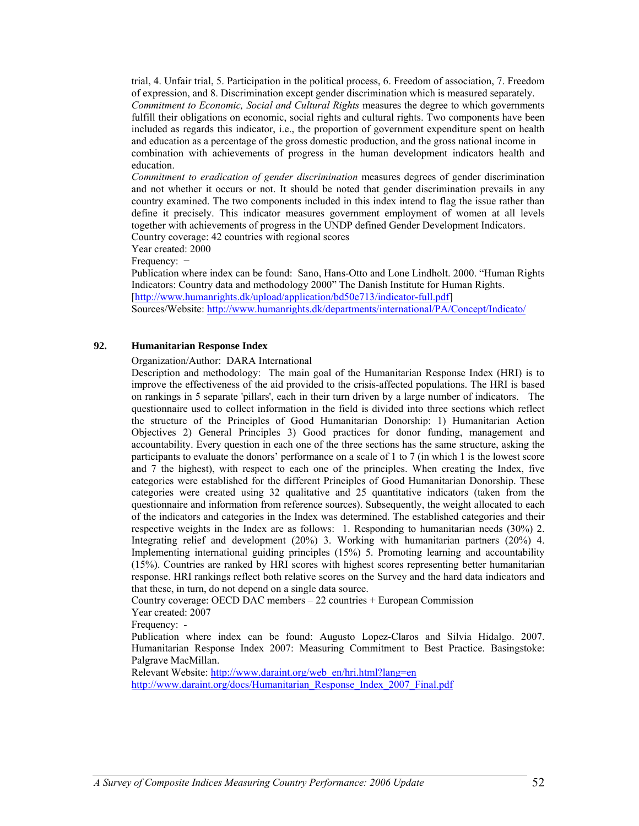trial, 4. Unfair trial, 5. Participation in the political process, 6. Freedom of association, 7. Freedom of expression, and 8. Discrimination except gender discrimination which is measured separately. *Commitment to Economic, Social and Cultural Rights* measures the degree to which governments fulfill their obligations on economic, social rights and cultural rights. Two components have been included as regards this indicator, i.e., the proportion of government expenditure spent on health and education as a percentage of the gross domestic production, and the gross national income in combination with achievements of progress in the human development indicators health and education.

*Commitment to eradication of gender discrimination* measures degrees of gender discrimination and not whether it occurs or not. It should be noted that gender discrimination prevails in any country examined. The two components included in this index intend to flag the issue rather than define it precisely. This indicator measures government employment of women at all levels together with achievements of progress in the UNDP defined Gender Development Indicators. Country coverage: 42 countries with regional scores

Year created: 2000

Frequency:  $−$ 

Publication where index can be found: Sano, Hans-Otto and Lone Lindholt. 2000. "Human Rights Indicators: Country data and methodology 2000" The Danish Institute for Human Rights. [http://www.humanrights.dk/upload/application/bd50e713/indicator-full.pdf] Sources/Website: http://www.humanrights.dk/departments/international/PA/Concept/Indicato/

# **92. Humanitarian Response Index**

#### Organization/Author: DARA International

Description and methodology: The main goal of the Humanitarian Response Index (HRI) is to improve the effectiveness of the aid provided to the crisis-affected populations. The HRI is based on rankings in 5 separate 'pillars', each in their turn driven by a large number of indicators. The questionnaire used to collect information in the field is divided into three sections which reflect the structure of the Principles of Good Humanitarian Donorship: 1) Humanitarian Action Objectives 2) General Principles 3) Good practices for donor funding, management and accountability. Every question in each one of the three sections has the same structure, asking the participants to evaluate the donors' performance on a scale of 1 to 7 (in which 1 is the lowest score and 7 the highest), with respect to each one of the principles. When creating the Index, five categories were established for the different Principles of Good Humanitarian Donorship. These categories were created using 32 qualitative and 25 quantitative indicators (taken from the questionnaire and information from reference sources). Subsequently, the weight allocated to each of the indicators and categories in the Index was determined. The established categories and their respective weights in the Index are as follows: 1. Responding to humanitarian needs (30%) 2. Integrating relief and development (20%) 3. Working with humanitarian partners (20%) 4. Implementing international guiding principles (15%) 5. Promoting learning and accountability (15%). Countries are ranked by HRI scores with highest scores representing better humanitarian response. HRI rankings reflect both relative scores on the Survey and the hard data indicators and that these, in turn, do not depend on a single data source.

Country coverage: OECD DAC members – 22 countries + European Commission

Year created: 2007

Frequency: -

Publication where index can be found: Augusto Lopez-Claros and Silvia Hidalgo. 2007. Humanitarian Response Index 2007: Measuring Commitment to Best Practice. Basingstoke: Palgrave MacMillan.

Relevant Website: http://www.daraint.org/web\_en/hri.html?lang=en http://www.daraint.org/docs/Humanitarian\_Response\_Index\_2007\_Final.pdf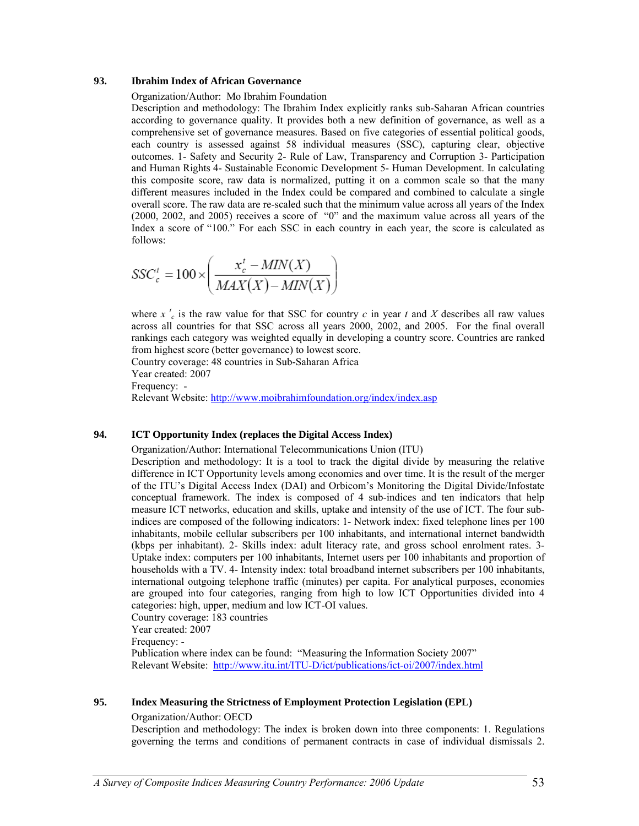# **93. Ibrahim Index of African Governance**

#### Organization/Author: Mo Ibrahim Foundation

Description and methodology: The Ibrahim Index explicitly ranks sub-Saharan African countries according to governance quality. It provides both a new definition of governance, as well as a comprehensive set of governance measures. Based on five categories of essential political goods, each country is assessed against 58 individual measures (SSC), capturing clear, objective outcomes. 1- Safety and Security 2- Rule of Law, Transparency and Corruption 3- Participation and Human Rights 4- Sustainable Economic Development 5- Human Development. In calculating this composite score, raw data is normalized, putting it on a common scale so that the many different measures included in the Index could be compared and combined to calculate a single overall score. The raw data are re-scaled such that the minimum value across all years of the Index (2000, 2002, and 2005) receives a score of "0" and the maximum value across all years of the Index a score of "100." For each SSC in each country in each year, the score is calculated as follows:

$$
SSC_c^t = 100 \times \left(\frac{x_c^t - MIN(X)}{MAX(X) - MIN(X)}\right)
$$

where  $x^{t}$  *c* is the raw value for that SSC for country *c* in year *t* and *X* describes all raw values across all countries for that SSC across all years 2000, 2002, and 2005. For the final overall rankings each category was weighted equally in developing a country score. Countries are ranked from highest score (better governance) to lowest score.

 Country coverage: 48 countries in Sub-Saharan Africa Year created: 2007 Frequency: -Relevant Website: http://www.moibrahimfoundation.org/index/index.asp

# **94. ICT Opportunity Index (replaces the Digital Access Index)**

Organization/Author: International Telecommunications Union (ITU)

Description and methodology: It is a tool to track the digital divide by measuring the relative difference in ICT Opportunity levels among economies and over time. It is the result of the merger of the ITU's Digital Access Index (DAI) and Orbicom's Monitoring the Digital Divide/Infostate conceptual framework. The index is composed of 4 sub-indices and ten indicators that help measure ICT networks, education and skills, uptake and intensity of the use of ICT. The four subindices are composed of the following indicators: 1- Network index: fixed telephone lines per 100 inhabitants, mobile cellular subscribers per 100 inhabitants, and international internet bandwidth (kbps per inhabitant). 2- Skills index: adult literacy rate, and gross school enrolment rates. 3- Uptake index: computers per 100 inhabitants, Internet users per 100 inhabitants and proportion of households with a TV. 4- Intensity index: total broadband internet subscribers per 100 inhabitants, international outgoing telephone traffic (minutes) per capita. For analytical purposes, economies are grouped into four categories, ranging from high to low ICT Opportunities divided into 4 categories: high, upper, medium and low ICT-OI values.

 Country coverage: 183 countries Year created: 2007 Frequency: -

Publication where index can be found: "Measuring the Information Society 2007" Relevant Website: http://www.itu.int/ITU-D/ict/publications/ict-oi/2007/index.html

# **95. Index Measuring the Strictness of Employment Protection Legislation (EPL)**

Organization/Author: OECD

Description and methodology: The index is broken down into three components: 1. Regulations governing the terms and conditions of permanent contracts in case of individual dismissals 2.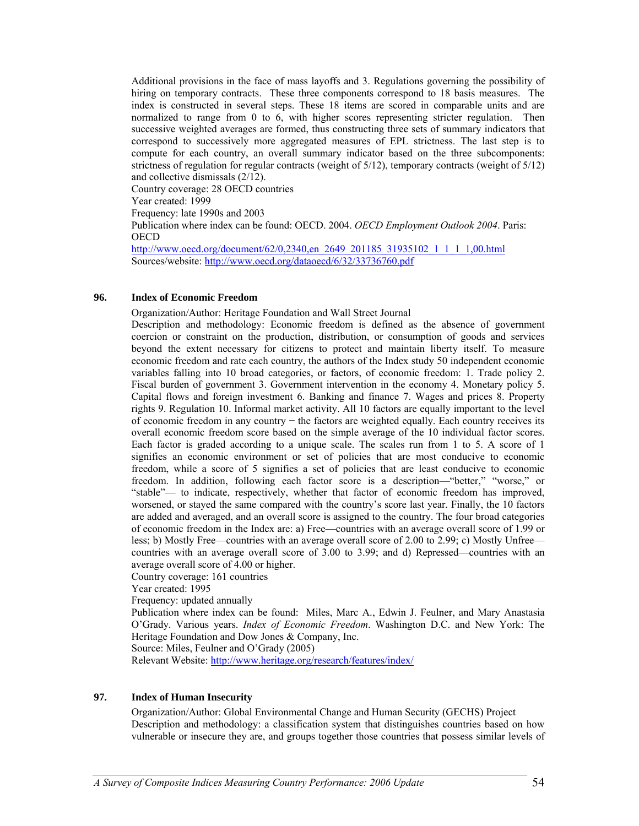Additional provisions in the face of mass layoffs and 3. Regulations governing the possibility of hiring on temporary contracts. These three components correspond to 18 basis measures. The index is constructed in several steps. These 18 items are scored in comparable units and are normalized to range from 0 to 6, with higher scores representing stricter regulation. Then successive weighted averages are formed, thus constructing three sets of summary indicators that correspond to successively more aggregated measures of EPL strictness. The last step is to compute for each country, an overall summary indicator based on the three subcomponents: strictness of regulation for regular contracts (weight of 5/12), temporary contracts (weight of 5/12) and collective dismissals (2/12).

Country coverage: 28 OECD countries

Year created: 1999

Frequency: late 1990s and 2003

Publication where index can be found: OECD. 2004. *OECD Employment Outlook 2004*. Paris: OECD

http://www.oecd.org/document/62/0,2340,en\_2649\_201185\_31935102\_1\_1\_1\_1,00.html Sources/website: http://www.oecd.org/dataoecd/6/32/33736760.pdf

# **96. Index of Economic Freedom**

Organization/Author: Heritage Foundation and Wall Street Journal

Description and methodology: Economic freedom is defined as the absence of government coercion or constraint on the production, distribution, or consumption of goods and services beyond the extent necessary for citizens to protect and maintain liberty itself. To measure economic freedom and rate each country, the authors of the Index study 50 independent economic variables falling into 10 broad categories, or factors, of economic freedom: 1. Trade policy 2. Fiscal burden of government 3. Government intervention in the economy 4. Monetary policy 5. Capital flows and foreign investment 6. Banking and finance 7. Wages and prices 8. Property rights 9. Regulation 10. Informal market activity. All 10 factors are equally important to the level of economic freedom in any country − the factors are weighted equally. Each country receives its overall economic freedom score based on the simple average of the 10 individual factor scores. Each factor is graded according to a unique scale. The scales run from 1 to 5. A score of 1 signifies an economic environment or set of policies that are most conducive to economic freedom, while a score of 5 signifies a set of policies that are least conducive to economic freedom. In addition, following each factor score is a description—"better," "worse," or "stable"— to indicate, respectively, whether that factor of economic freedom has improved, worsened, or stayed the same compared with the country's score last year. Finally, the 10 factors are added and averaged, and an overall score is assigned to the country. The four broad categories of economic freedom in the Index are: a) Free—countries with an average overall score of 1.99 or less; b) Mostly Free—countries with an average overall score of 2.00 to 2.99; c) Mostly Unfree countries with an average overall score of 3.00 to 3.99; and d) Repressed—countries with an average overall score of 4.00 or higher.

Country coverage: 161 countries Year created: 1995 Frequency: updated annually Publication where index can be found: Miles, Marc A., Edwin J. Feulner, and Mary Anastasia O'Grady. Various years. *Index of Economic Freedom*. Washington D.C. and New York: The Heritage Foundation and Dow Jones & Company, Inc. Source: Miles, Feulner and O'Grady (2005)

Relevant Website: http://www.heritage.org/research/features/index/

# **97. Index of Human Insecurity**

Organization/Author: Global Environmental Change and Human Security (GECHS) Project Description and methodology: a classification system that distinguishes countries based on how vulnerable or insecure they are, and groups together those countries that possess similar levels of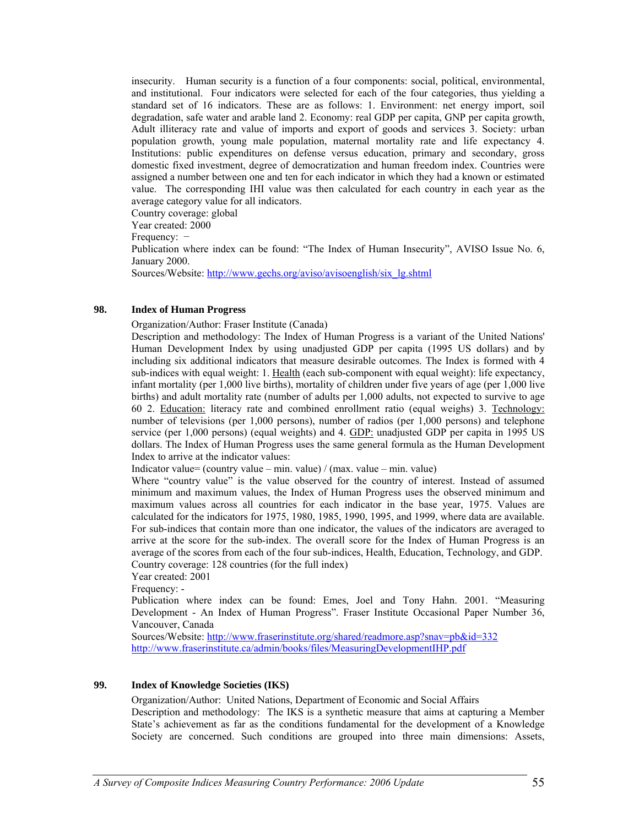insecurity. Human security is a function of a four components: social, political, environmental, and institutional. Four indicators were selected for each of the four categories, thus yielding a standard set of 16 indicators. These are as follows: 1. Environment: net energy import, soil degradation, safe water and arable land 2. Economy: real GDP per capita, GNP per capita growth, Adult illiteracy rate and value of imports and export of goods and services 3. Society: urban population growth, young male population, maternal mortality rate and life expectancy 4. Institutions: public expenditures on defense versus education, primary and secondary, gross domestic fixed investment, degree of democratization and human freedom index. Countries were assigned a number between one and ten for each indicator in which they had a known or estimated value. The corresponding IHI value was then calculated for each country in each year as the average category value for all indicators.

Country coverage: global

Year created: 2000

Frequency: −

Publication where index can be found: "The Index of Human Insecurity", AVISO Issue No. 6, January 2000.

Sources/Website: http://www.gechs.org/aviso/avisoenglish/six\_lg.shtml

# **98. Index of Human Progress**

Organization/Author: Fraser Institute (Canada)

Description and methodology: The Index of Human Progress is a variant of the United Nations' Human Development Index by using unadjusted GDP per capita (1995 US dollars) and by including six additional indicators that measure desirable outcomes. The Index is formed with 4 sub-indices with equal weight: 1. Health (each sub-component with equal weight): life expectancy, infant mortality (per 1,000 live births), mortality of children under five years of age (per 1,000 live births) and adult mortality rate (number of adults per 1,000 adults, not expected to survive to age 60 2. Education: literacy rate and combined enrollment ratio (equal weighs) 3. Technology: number of televisions (per 1,000 persons), number of radios (per 1,000 persons) and telephone service (per 1,000 persons) (equal weights) and 4. GDP: unadjusted GDP per capita in 1995 US dollars. The Index of Human Progress uses the same general formula as the Human Development Index to arrive at the indicator values:

Indicator value= (country value – min. value) / (max. value – min. value)

Where "country value" is the value observed for the country of interest. Instead of assumed minimum and maximum values, the Index of Human Progress uses the observed minimum and maximum values across all countries for each indicator in the base year, 1975. Values are calculated for the indicators for 1975, 1980, 1985, 1990, 1995, and 1999, where data are available. For sub-indices that contain more than one indicator, the values of the indicators are averaged to arrive at the score for the sub-index. The overall score for the Index of Human Progress is an average of the scores from each of the four sub-indices, Health, Education, Technology, and GDP. Country coverage: 128 countries (for the full index)

#### Year created: 2001

Frequency: -

Publication where index can be found: Emes, Joel and Tony Hahn. 2001. "Measuring Development - An Index of Human Progress". Fraser Institute Occasional Paper Number 36, Vancouver, Canada

Sources/Website: http://www.fraserinstitute.org/shared/readmore.asp?snav=pb&id=332 http://www.fraserinstitute.ca/admin/books/files/MeasuringDevelopmentIHP.pdf

# **99. Index of Knowledge Societies (IKS)**

Organization/Author: United Nations, Department of Economic and Social Affairs Description and methodology: The IKS is a synthetic measure that aims at capturing a Member State's achievement as far as the conditions fundamental for the development of a Knowledge Society are concerned. Such conditions are grouped into three main dimensions: Assets,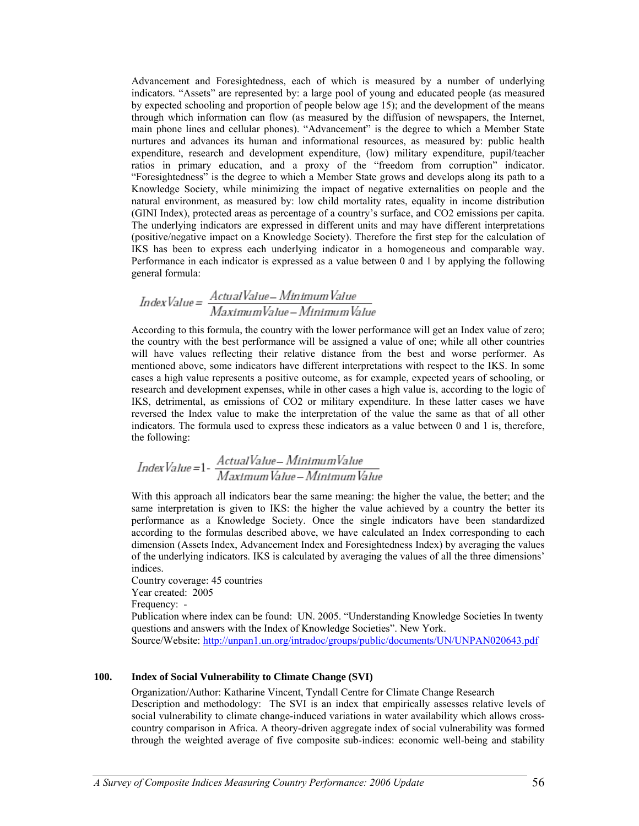Advancement and Foresightedness, each of which is measured by a number of underlying indicators. "Assets" are represented by: a large pool of young and educated people (as measured by expected schooling and proportion of people below age 15); and the development of the means through which information can flow (as measured by the diffusion of newspapers, the Internet, main phone lines and cellular phones). "Advancement" is the degree to which a Member State nurtures and advances its human and informational resources, as measured by: public health expenditure, research and development expenditure, (low) military expenditure, pupil/teacher ratios in primary education, and a proxy of the "freedom from corruption" indicator. "Foresightedness" is the degree to which a Member State grows and develops along its path to a Knowledge Society, while minimizing the impact of negative externalities on people and the natural environment, as measured by: low child mortality rates, equality in income distribution (GINI Index), protected areas as percentage of a country's surface, and CO2 emissions per capita. The underlying indicators are expressed in different units and may have different interpretations (positive/negative impact on a Knowledge Society). Therefore the first step for the calculation of IKS has been to express each underlying indicator in a homogeneous and comparable way. Performance in each indicator is expressed as a value between 0 and 1 by applying the following general formula:

# Index Value = Actual Value - Minimum Value<br>Maximum Value - Minimum Value

According to this formula, the country with the lower performance will get an Index value of zero; the country with the best performance will be assigned a value of one; while all other countries will have values reflecting their relative distance from the best and worse performer. As mentioned above, some indicators have different interpretations with respect to the IKS. In some cases a high value represents a positive outcome, as for example, expected years of schooling, or research and development expenses, while in other cases a high value is, according to the logic of IKS, detrimental, as emissions of CO2 or military expenditure. In these latter cases we have reversed the Index value to make the interpretation of the value the same as that of all other indicators. The formula used to express these indicators as a value between 0 and 1 is, therefore, the following:

# Index Value = 1 - Actual Value - Minimum Value<br>Maximum Value - Minimum Value

With this approach all indicators bear the same meaning: the higher the value, the better; and the same interpretation is given to IKS: the higher the value achieved by a country the better its performance as a Knowledge Society. Once the single indicators have been standardized according to the formulas described above, we have calculated an Index corresponding to each dimension (Assets Index, Advancement Index and Foresightedness Index) by averaging the values of the underlying indicators. IKS is calculated by averaging the values of all the three dimensions' indices.

 Country coverage: 45 countries Year created: 2005 Frequency: - Publication where index can be found: UN. 2005. "Understanding Knowledge Societies In twenty questions and answers with the Index of Knowledge Societies". New York. Source/Website: http://unpan1.un.org/intradoc/groups/public/documents/UN/UNPAN020643.pdf

# **100. Index of Social Vulnerability to Climate Change (SVI)**

Organization/Author: Katharine Vincent, Tyndall Centre for Climate Change Research Description and methodology: The SVI is an index that empirically assesses relative levels of social vulnerability to climate change-induced variations in water availability which allows crosscountry comparison in Africa. A theory-driven aggregate index of social vulnerability was formed through the weighted average of five composite sub-indices: economic well-being and stability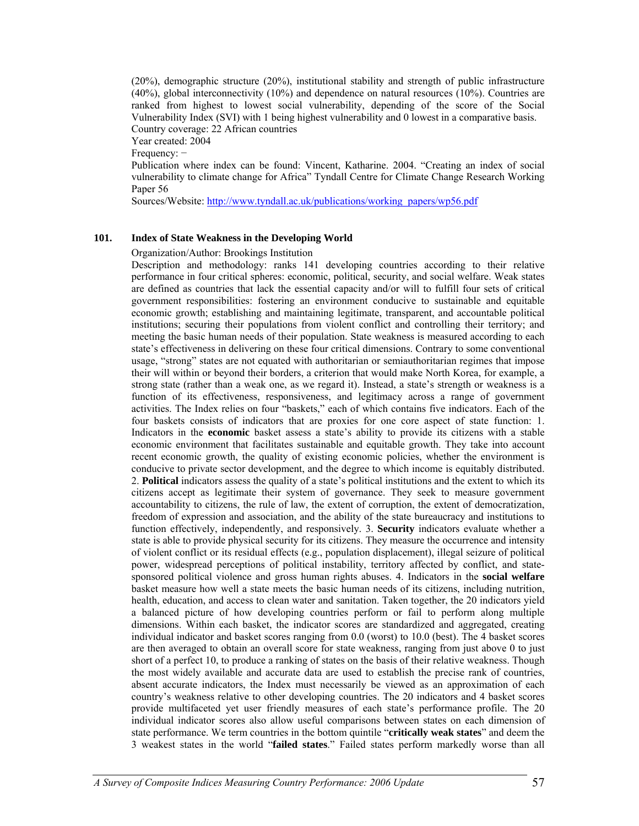(20%), demographic structure (20%), institutional stability and strength of public infrastructure  $(40%)$ , global interconnectivity  $(10%)$  and dependence on natural resources  $(10%)$ . Countries are ranked from highest to lowest social vulnerability, depending of the score of the Social Vulnerability Index (SVI) with 1 being highest vulnerability and 0 lowest in a comparative basis. Country coverage: 22 African countries

Year created: 2004

Frequency: −

Publication where index can be found: Vincent, Katharine. 2004. "Creating an index of social vulnerability to climate change for Africa" Tyndall Centre for Climate Change Research Working Paper 56

Sources/Website: http://www.tyndall.ac.uk/publications/working\_papers/wp56.pdf

#### **101. Index of State Weakness in the Developing World**

#### Organization/Author: Brookings Institution

Description and methodology: ranks 141 developing countries according to their relative performance in four critical spheres: economic, political, security, and social welfare. Weak states are defined as countries that lack the essential capacity and/or will to fulfill four sets of critical government responsibilities: fostering an environment conducive to sustainable and equitable economic growth; establishing and maintaining legitimate, transparent, and accountable political institutions; securing their populations from violent conflict and controlling their territory; and meeting the basic human needs of their population. State weakness is measured according to each state's effectiveness in delivering on these four critical dimensions. Contrary to some conventional usage, "strong" states are not equated with authoritarian or semiauthoritarian regimes that impose their will within or beyond their borders, a criterion that would make North Korea, for example, a strong state (rather than a weak one, as we regard it). Instead, a state's strength or weakness is a function of its effectiveness, responsiveness, and legitimacy across a range of government activities. The Index relies on four "baskets," each of which contains five indicators. Each of the four baskets consists of indicators that are proxies for one core aspect of state function: 1. Indicators in the **economic** basket assess a state's ability to provide its citizens with a stable economic environment that facilitates sustainable and equitable growth. They take into account recent economic growth, the quality of existing economic policies, whether the environment is conducive to private sector development, and the degree to which income is equitably distributed. 2. **Political** indicators assess the quality of a state's political institutions and the extent to which its citizens accept as legitimate their system of governance. They seek to measure government accountability to citizens, the rule of law, the extent of corruption, the extent of democratization, freedom of expression and association, and the ability of the state bureaucracy and institutions to function effectively, independently, and responsively. 3. **Security** indicators evaluate whether a state is able to provide physical security for its citizens. They measure the occurrence and intensity of violent conflict or its residual effects (e.g., population displacement), illegal seizure of political power, widespread perceptions of political instability, territory affected by conflict, and statesponsored political violence and gross human rights abuses. 4. Indicators in the **social welfare**  basket measure how well a state meets the basic human needs of its citizens, including nutrition, health, education, and access to clean water and sanitation. Taken together, the 20 indicators yield a balanced picture of how developing countries perform or fail to perform along multiple dimensions. Within each basket, the indicator scores are standardized and aggregated, creating individual indicator and basket scores ranging from 0.0 (worst) to 10.0 (best). The 4 basket scores are then averaged to obtain an overall score for state weakness, ranging from just above 0 to just short of a perfect 10, to produce a ranking of states on the basis of their relative weakness. Though the most widely available and accurate data are used to establish the precise rank of countries, absent accurate indicators, the Index must necessarily be viewed as an approximation of each country's weakness relative to other developing countries. The 20 indicators and 4 basket scores provide multifaceted yet user friendly measures of each state's performance profile. The 20 individual indicator scores also allow useful comparisons between states on each dimension of state performance. We term countries in the bottom quintile "**critically weak states**" and deem the 3 weakest states in the world "**failed states**." Failed states perform markedly worse than all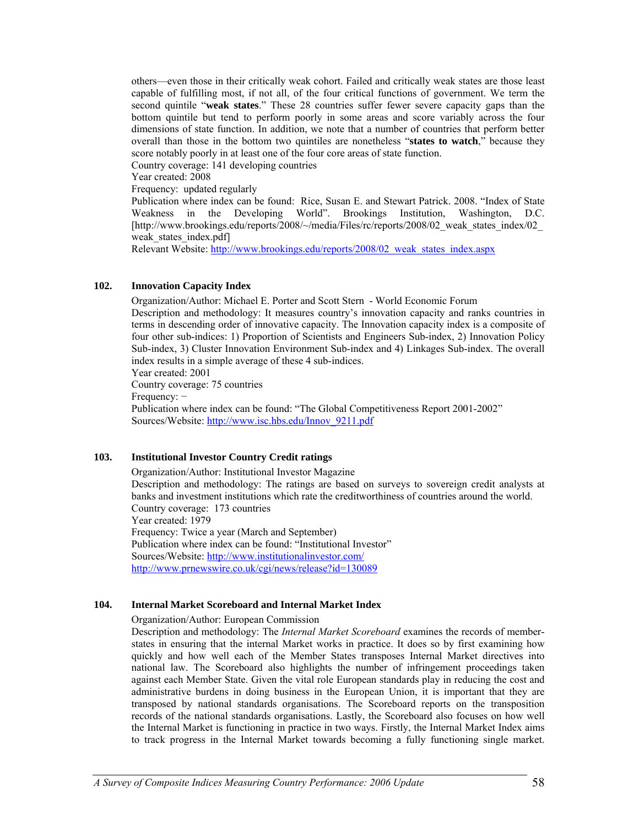others—even those in their critically weak cohort. Failed and critically weak states are those least capable of fulfilling most, if not all, of the four critical functions of government. We term the second quintile "**weak states**." These 28 countries suffer fewer severe capacity gaps than the bottom quintile but tend to perform poorly in some areas and score variably across the four dimensions of state function. In addition, we note that a number of countries that perform better overall than those in the bottom two quintiles are nonetheless "**states to watch**," because they score notably poorly in at least one of the four core areas of state function.

Country coverage: 141 developing countries

Year created: 2008

Frequency: updated regularly

Publication where index can be found: Rice, Susan E. and Stewart Patrick. 2008. "Index of State Weakness in the Developing World". Brookings Institution, Washington, D.C. [http://www.brookings.edu/reports/2008/~/media/Files/rc/reports/2008/02\_weak\_states\_index/02 weak states index.pdf]

Relevant Website: http://www.brookings.edu/reports/2008/02 weak states index.aspx

# **102. Innovation Capacity Index**

Organization/Author: Michael E. Porter and Scott Stern - World Economic Forum

Description and methodology: It measures country's innovation capacity and ranks countries in terms in descending order of innovative capacity. The Innovation capacity index is a composite of four other sub-indices: 1) Proportion of Scientists and Engineers Sub-index, 2) Innovation Policy Sub-index, 3) Cluster Innovation Environment Sub-index and 4) Linkages Sub-index. The overall index results in a simple average of these 4 sub-indices.

Year created: 2001

Country coverage: 75 countries

Frequency: −

Publication where index can be found: "The Global Competitiveness Report 2001-2002" Sources/Website: http://www.isc.hbs.edu/Innov\_9211.pdf

# **103. Institutional Investor Country Credit ratings**

Organization/Author: Institutional Investor Magazine Description and methodology: The ratings are based on surveys to sovereign credit analysts at banks and investment institutions which rate the creditworthiness of countries around the world. Country coverage: 173 countries Year created: 1979 Frequency: Twice a year (March and September) Publication where index can be found: "Institutional Investor" Sources/Website: http://www.institutionalinvestor.com/ http://www.prnewswire.co.uk/cgi/news/release?id=130089

# **104. Internal Market Scoreboard and Internal Market Index**

Organization/Author: European Commission

Description and methodology: The *Internal Market Scoreboard* examines the records of memberstates in ensuring that the internal Market works in practice. It does so by first examining how quickly and how well each of the Member States transposes Internal Market directives into national law. The Scoreboard also highlights the number of infringement proceedings taken against each Member State. Given the vital role European standards play in reducing the cost and administrative burdens in doing business in the European Union, it is important that they are transposed by national standards organisations. The Scoreboard reports on the transposition records of the national standards organisations. Lastly, the Scoreboard also focuses on how well the Internal Market is functioning in practice in two ways. Firstly, the Internal Market Index aims to track progress in the Internal Market towards becoming a fully functioning single market.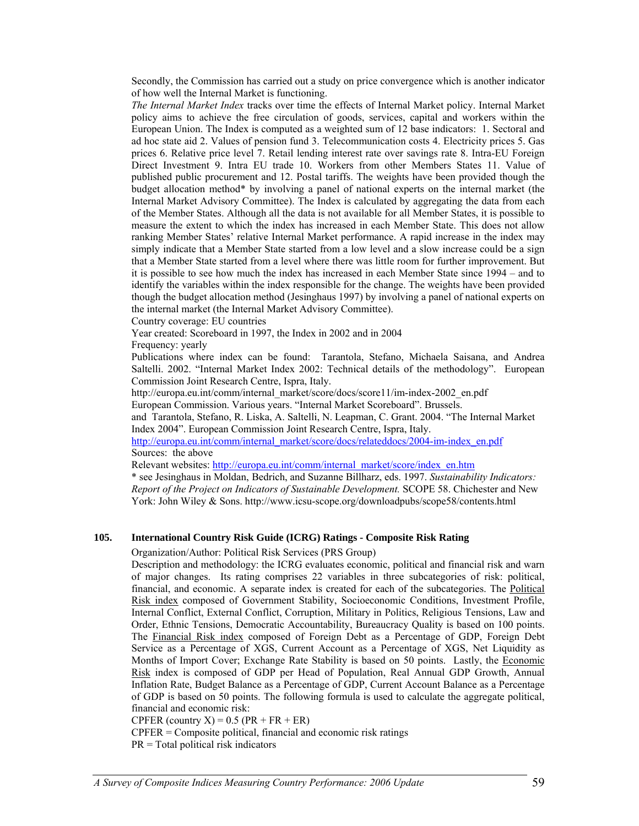Secondly, the Commission has carried out a study on price convergence which is another indicator of how well the Internal Market is functioning.

*The Internal Market Index* tracks over time the effects of Internal Market policy. Internal Market policy aims to achieve the free circulation of goods, services, capital and workers within the European Union. The Index is computed as a weighted sum of 12 base indicators: 1. Sectoral and ad hoc state aid 2. Values of pension fund 3. Telecommunication costs 4. Electricity prices 5. Gas prices 6. Relative price level 7. Retail lending interest rate over savings rate 8. Intra-EU Foreign Direct Investment 9. Intra EU trade 10. Workers from other Members States 11. Value of published public procurement and 12. Postal tariffs. The weights have been provided though the budget allocation method\* by involving a panel of national experts on the internal market (the Internal Market Advisory Committee). The Index is calculated by aggregating the data from each of the Member States. Although all the data is not available for all Member States, it is possible to measure the extent to which the index has increased in each Member State. This does not allow ranking Member States' relative Internal Market performance. A rapid increase in the index may simply indicate that a Member State started from a low level and a slow increase could be a sign that a Member State started from a level where there was little room for further improvement. But it is possible to see how much the index has increased in each Member State since 1994 – and to identify the variables within the index responsible for the change. The weights have been provided though the budget allocation method (Jesinghaus 1997) by involving a panel of national experts on the internal market (the Internal Market Advisory Committee).

Country coverage: EU countries

Year created: Scoreboard in 1997, the Index in 2002 and in 2004

Frequency: yearly

Publications where index can be found: Tarantola, Stefano, Michaela Saisana, and Andrea Saltelli. 2002. "Internal Market Index 2002: Technical details of the methodology". European Commission Joint Research Centre, Ispra, Italy.

http://europa.eu.int/comm/internal\_market/score/docs/score11/im-index-2002\_en.pdf

European Commission. Various years. "Internal Market Scoreboard". Brussels.

and Tarantola, Stefano, R. Liska, A. Saltelli, N. Leapman, C. Grant. 2004. "The Internal Market Index 2004". European Commission Joint Research Centre, Ispra, Italy.

http://europa.eu.int/comm/internal\_market/score/docs/relateddocs/2004-im-index\_en.pdf Sources: the above

Relevant websites: http://europa.eu.int/comm/internal\_market/score/index\_en.htm

\* see Jesinghaus in Moldan, Bedrich, and Suzanne Billharz, eds. 1997. *Sustainability Indicators: Report of the Project on Indicators of Sustainable Development.* SCOPE 58. Chichester and New York: John Wiley & Sons. http://www.icsu-scope.org/downloadpubs/scope58/contents.html

#### **105. International Country Risk Guide (ICRG) Ratings - Composite Risk Rating**

Organization/Author: Political Risk Services (PRS Group)

Description and methodology: the ICRG evaluates economic, political and financial risk and warn of major changes. Its rating comprises 22 variables in three subcategories of risk: political, financial, and economic. A separate index is created for each of the subcategories. The Political Risk index composed of Government Stability, Socioeconomic Conditions, Investment Profile, Internal Conflict, External Conflict, Corruption, Military in Politics, Religious Tensions, Law and Order, Ethnic Tensions, Democratic Accountability, Bureaucracy Quality is based on 100 points. The Financial Risk index composed of Foreign Debt as a Percentage of GDP, Foreign Debt Service as a Percentage of XGS, Current Account as a Percentage of XGS, Net Liquidity as Months of Import Cover; Exchange Rate Stability is based on 50 points. Lastly, the Economic Risk index is composed of GDP per Head of Population, Real Annual GDP Growth, Annual Inflation Rate, Budget Balance as a Percentage of GDP, Current Account Balance as a Percentage of GDP is based on 50 points. The following formula is used to calculate the aggregate political, financial and economic risk:

CPFER (country  $X$ ) = 0.5 (PR + FR + ER)

CPFER = Composite political, financial and economic risk ratings

PR = Total political risk indicators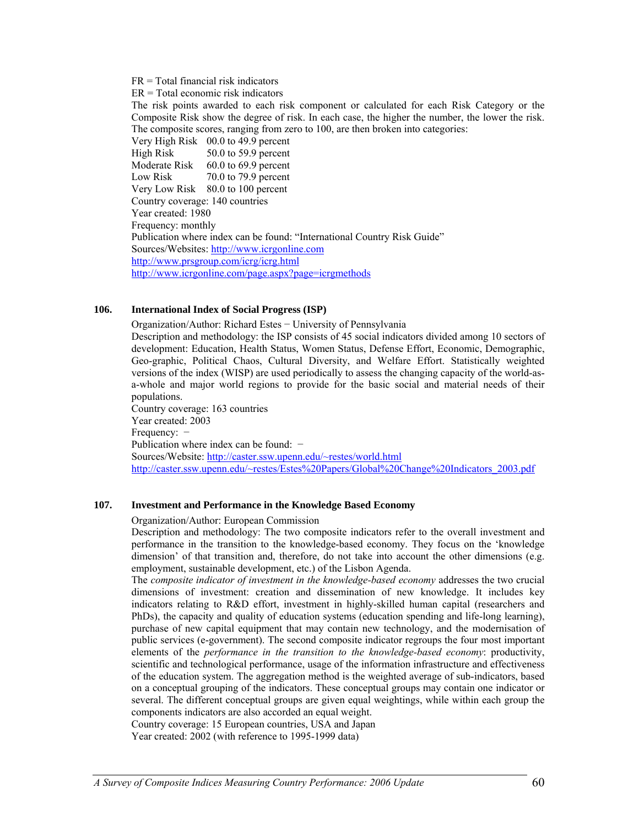$FR = Total financial risk indicators$ 

 $ER = Total economic risk indicators$ 

The risk points awarded to each risk component or calculated for each Risk Category or the Composite Risk show the degree of risk. In each case, the higher the number, the lower the risk.

The composite scores, ranging from zero to 100, are then broken into categories: Very High Risk 00.0 to 49.9 percent High Risk 50.0 to 59.9 percent Moderate Risk 60.0 to 69.9 percent Low Risk 70.0 to 79.9 percent Very Low Risk 80.0 to 100 percent Country coverage: 140 countries Year created: 1980 Frequency: monthly Publication where index can be found: "International Country Risk Guide" Sources/Websites: http://www.icrgonline.com http://www.prsgroup.com/icrg/icrg.html http://www.icrgonline.com/page.aspx?page=icrgmethods

# **106. International Index of Social Progress (ISP)**

Organization/Author: Richard Estes − University of Pennsylvania Description and methodology: the ISP consists of 45 social indicators divided among 10 sectors of development: Education, Health Status, Women Status, Defense Effort, Economic, Demographic, Geo-graphic, Political Chaos, Cultural Diversity, and Welfare Effort. Statistically weighted versions of the index (WISP) are used periodically to assess the changing capacity of the world-asa-whole and major world regions to provide for the basic social and material needs of their populations.

Country coverage: 163 countries Year created: 2003 Frequency: − Publication where index can be found: − Sources/Website: http://caster.ssw.upenn.edu/~restes/world.html http://caster.ssw.upenn.edu/~restes/Estes%20Papers/Global%20Change%20Indicators\_2003.pdf

# **107. Investment and Performance in the Knowledge Based Economy**

#### Organization/Author: European Commission

Description and methodology: The two composite indicators refer to the overall investment and performance in the transition to the knowledge-based economy. They focus on the 'knowledge dimension' of that transition and, therefore, do not take into account the other dimensions (e.g. employment, sustainable development, etc.) of the Lisbon Agenda.

The *composite indicator of investment in the knowledge-based economy* addresses the two crucial dimensions of investment: creation and dissemination of new knowledge. It includes key indicators relating to R&D effort, investment in highly-skilled human capital (researchers and PhDs), the capacity and quality of education systems (education spending and life-long learning), purchase of new capital equipment that may contain new technology, and the modernisation of public services (e-government). The second composite indicator regroups the four most important elements of the *performance in the transition to the knowledge-based economy*: productivity, scientific and technological performance, usage of the information infrastructure and effectiveness of the education system. The aggregation method is the weighted average of sub-indicators, based on a conceptual grouping of the indicators. These conceptual groups may contain one indicator or several. The different conceptual groups are given equal weightings, while within each group the components indicators are also accorded an equal weight.

Country coverage: 15 European countries, USA and Japan Year created: 2002 (with reference to 1995-1999 data)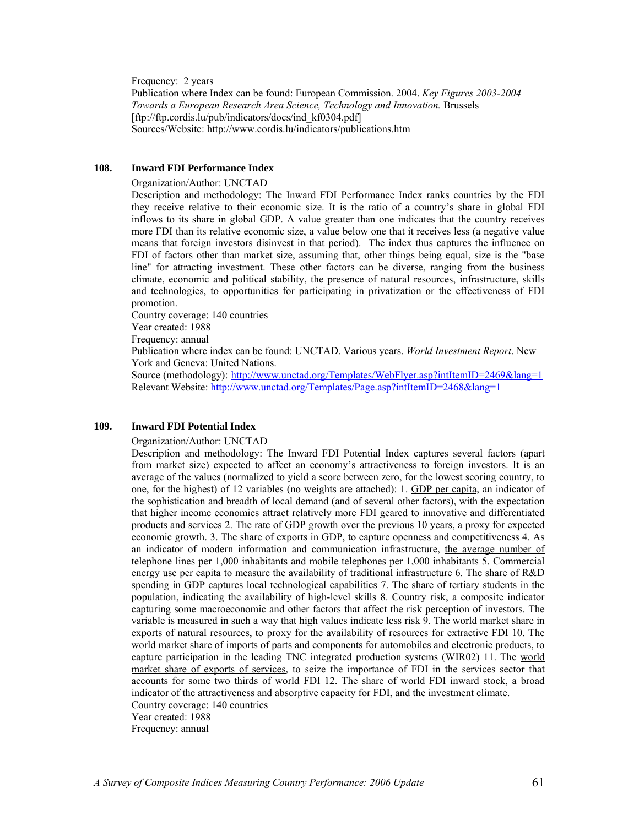Frequency: 2 years

Publication where Index can be found: European Commission. 2004. *Key Figures 2003-2004 Towards a European Research Area Science, Technology and Innovation.* Brussels [ftp://ftp.cordis.lu/pub/indicators/docs/ind\_kf0304.pdf] Sources/Website: http://www.cordis.lu/indicators/publications.htm

#### **108. Inward FDI Performance Index**

Organization/Author: UNCTAD

Description and methodology: The Inward FDI Performance Index ranks countries by the FDI they receive relative to their economic size. It is the ratio of a country's share in global FDI inflows to its share in global GDP. A value greater than one indicates that the country receives more FDI than its relative economic size, a value below one that it receives less (a negative value means that foreign investors disinvest in that period). The index thus captures the influence on FDI of factors other than market size, assuming that, other things being equal, size is the "base line" for attracting investment. These other factors can be diverse, ranging from the business climate, economic and political stability, the presence of natural resources, infrastructure, skills and technologies, to opportunities for participating in privatization or the effectiveness of FDI promotion.

Country coverage: 140 countries

Year created: 1988

Frequency: annual

Publication where index can be found: UNCTAD. Various years. *World Investment Report*. New York and Geneva: United Nations.

Source (methodology): http://www.unctad.org/Templates/WebFlyer.asp?intItemID=2469&lang=1 Relevant Website: http://www.unctad.org/Templates/Page.asp?intItemID=2468&lang=1

# **109. Inward FDI Potential Index**

Organization/Author: UNCTAD

Description and methodology: The Inward FDI Potential Index captures several factors (apart from market size) expected to affect an economy's attractiveness to foreign investors. It is an average of the values (normalized to yield a score between zero, for the lowest scoring country, to one, for the highest) of 12 variables (no weights are attached): 1. GDP per capita, an indicator of the sophistication and breadth of local demand (and of several other factors), with the expectation that higher income economies attract relatively more FDI geared to innovative and differentiated products and services 2. The rate of GDP growth over the previous 10 years, a proxy for expected economic growth. 3. The share of exports in GDP, to capture openness and competitiveness 4. As an indicator of modern information and communication infrastructure, the average number of telephone lines per 1,000 inhabitants and mobile telephones per 1,000 inhabitants 5. Commercial energy use per capita to measure the availability of traditional infrastructure 6. The share of R&D spending in GDP captures local technological capabilities 7. The share of tertiary students in the population, indicating the availability of high-level skills 8. Country risk, a composite indicator capturing some macroeconomic and other factors that affect the risk perception of investors. The variable is measured in such a way that high values indicate less risk 9. The world market share in exports of natural resources, to proxy for the availability of resources for extractive FDI 10. The world market share of imports of parts and components for automobiles and electronic products, to capture participation in the leading TNC integrated production systems (WIR02) 11. The world market share of exports of services, to seize the importance of FDI in the services sector that accounts for some two thirds of world FDI 12. The share of world FDI inward stock, a broad indicator of the attractiveness and absorptive capacity for FDI, and the investment climate. Country coverage: 140 countries Year created: 1988 Frequency: annual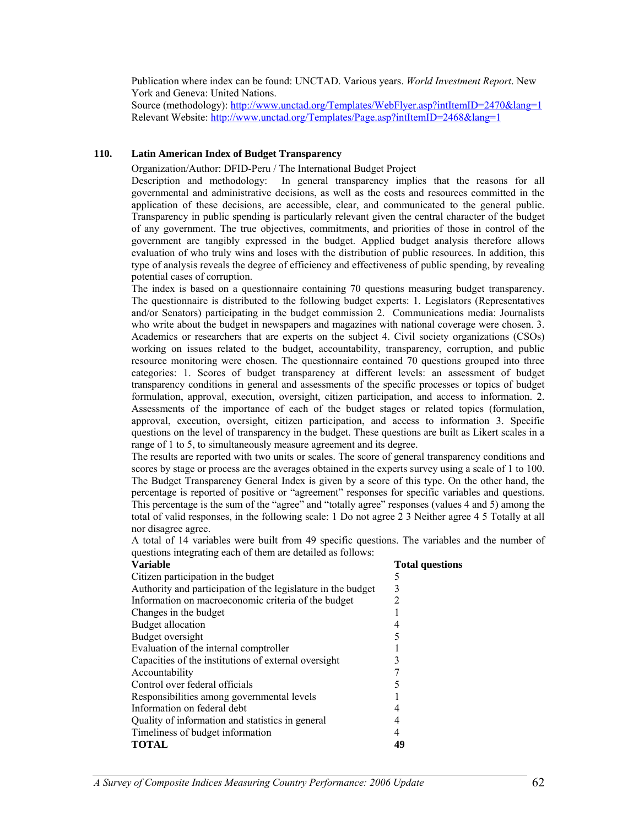Publication where index can be found: UNCTAD. Various years. *World Investment Report*. New York and Geneva: United Nations.

Source (methodology): http://www.unctad.org/Templates/WebFlyer.asp?intItemID=2470&lang=1 Relevant Website: http://www.unctad.org/Templates/Page.asp?intItemID=2468&lang=1

# **110. Latin American Index of Budget Transparency**

Organization/Author: DFID-Peru / The International Budget Project

Description and methodology: In general transparency implies that the reasons for all governmental and administrative decisions, as well as the costs and resources committed in the application of these decisions, are accessible, clear, and communicated to the general public. Transparency in public spending is particularly relevant given the central character of the budget of any government. The true objectives, commitments, and priorities of those in control of the government are tangibly expressed in the budget. Applied budget analysis therefore allows evaluation of who truly wins and loses with the distribution of public resources. In addition, this type of analysis reveals the degree of efficiency and effectiveness of public spending, by revealing potential cases of corruption.

The index is based on a questionnaire containing 70 questions measuring budget transparency. The questionnaire is distributed to the following budget experts: 1. Legislators (Representatives and/or Senators) participating in the budget commission 2. Communications media: Journalists who write about the budget in newspapers and magazines with national coverage were chosen. 3. Academics or researchers that are experts on the subject 4. Civil society organizations (CSOs) working on issues related to the budget, accountability, transparency, corruption, and public resource monitoring were chosen. The questionnaire contained 70 questions grouped into three categories: 1. Scores of budget transparency at different levels: an assessment of budget transparency conditions in general and assessments of the specific processes or topics of budget formulation, approval, execution, oversight, citizen participation, and access to information. 2. Assessments of the importance of each of the budget stages or related topics (formulation, approval, execution, oversight, citizen participation, and access to information 3. Specific questions on the level of transparency in the budget. These questions are built as Likert scales in a range of 1 to 5, to simultaneously measure agreement and its degree.

The results are reported with two units or scales. The score of general transparency conditions and scores by stage or process are the averages obtained in the experts survey using a scale of 1 to 100. The Budget Transparency General Index is given by a score of this type. On the other hand, the percentage is reported of positive or "agreement" responses for specific variables and questions. This percentage is the sum of the "agree" and "totally agree" responses (values 4 and 5) among the total of valid responses, in the following scale: 1 Do not agree 2 3 Neither agree 4 5 Totally at all nor disagree agree.

A total of 14 variables were built from 49 specific questions. The variables and the number of questions integrating each of them are detailed as follows:

| <b>Variable</b>                                              | <b>Total questions</b> |
|--------------------------------------------------------------|------------------------|
| Citizen participation in the budget                          | 5                      |
| Authority and participation of the legislature in the budget | 3                      |
| Information on macroeconomic criteria of the budget          |                        |
| Changes in the budget                                        |                        |
| <b>Budget allocation</b>                                     |                        |
| Budget oversight                                             | 5                      |
| Evaluation of the internal comptroller                       |                        |
| Capacities of the institutions of external oversight         |                        |
| Accountability                                               |                        |
| Control over federal officials                               |                        |
| Responsibilities among governmental levels                   |                        |
| Information on federal debt                                  |                        |
| Quality of information and statistics in general             |                        |
| Timeliness of budget information                             | 4                      |
| <b>TOTAL</b>                                                 | 49                     |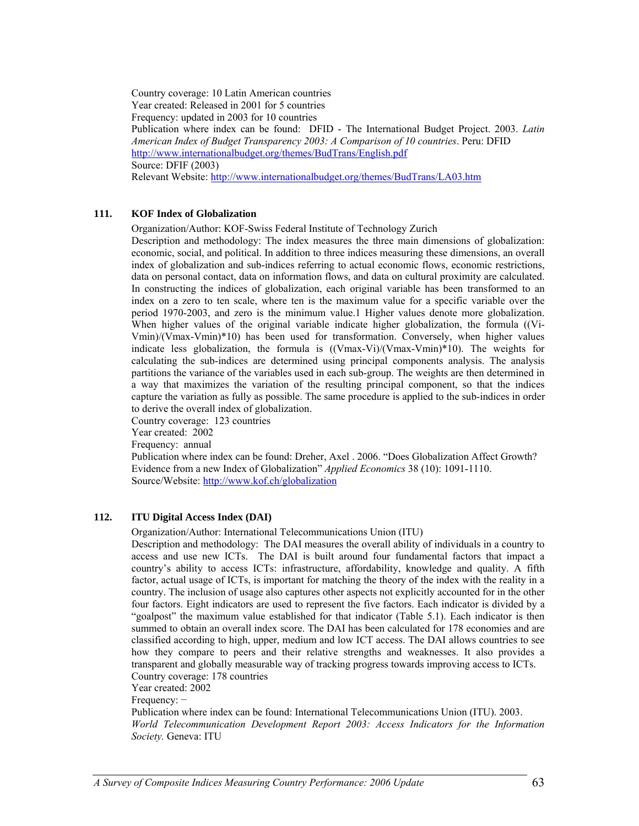Country coverage: 10 Latin American countries Year created: Released in 2001 for 5 countries Frequency: updated in 2003 for 10 countries Publication where index can be found: DFID - The International Budget Project. 2003. *Latin American Index of Budget Transparency 2003: A Comparison of 10 countries*. Peru: DFID http://www.internationalbudget.org/themes/BudTrans/English.pdf Source: DFIF (2003) Relevant Website: http://www.internationalbudget.org/themes/BudTrans/LA03.htm

# **111. KOF Index of Globalization**

Organization/Author: KOF-Swiss Federal Institute of Technology Zurich

Description and methodology: The index measures the three main dimensions of globalization: economic, social, and political. In addition to three indices measuring these dimensions, an overall index of globalization and sub-indices referring to actual economic flows, economic restrictions, data on personal contact, data on information flows, and data on cultural proximity are calculated. In constructing the indices of globalization, each original variable has been transformed to an index on a zero to ten scale, where ten is the maximum value for a specific variable over the period 1970-2003, and zero is the minimum value.1 Higher values denote more globalization. When higher values of the original variable indicate higher globalization, the formula ((Vi-Vmin)/(Vmax-Vmin)\*10) has been used for transformation. Conversely, when higher values indicate less globalization, the formula is ((Vmax-Vi)/(Vmax-Vmin)\*10). The weights for calculating the sub-indices are determined using principal components analysis. The analysis partitions the variance of the variables used in each sub-group. The weights are then determined in a way that maximizes the variation of the resulting principal component, so that the indices capture the variation as fully as possible. The same procedure is applied to the sub-indices in order to derive the overall index of globalization.

 Country coverage: 123 countries Year created: 2002 Frequency: annual Publication where index can be found: Dreher, Axel . 2006. "Does Globalization Affect Growth? Evidence from a new Index of Globalization" *Applied Economics* 38 (10): 1091-1110. Source/Website: http://www.kof.ch/globalization

# **112. ITU Digital Access Index (DAI)**

Organization/Author: International Telecommunications Union (ITU)

Description and methodology: The DAI measures the overall ability of individuals in a country to access and use new ICTs. The DAI is built around four fundamental factors that impact a country's ability to access ICTs: infrastructure, affordability, knowledge and quality. A fifth factor, actual usage of ICTs, is important for matching the theory of the index with the reality in a country. The inclusion of usage also captures other aspects not explicitly accounted for in the other four factors. Eight indicators are used to represent the five factors. Each indicator is divided by a "goalpost" the maximum value established for that indicator (Table 5.1). Each indicator is then summed to obtain an overall index score. The DAI has been calculated for 178 economies and are classified according to high, upper, medium and low ICT access. The DAI allows countries to see how they compare to peers and their relative strengths and weaknesses. It also provides a transparent and globally measurable way of tracking progress towards improving access to ICTs. Country coverage: 178 countries

Year created: 2002

Frequency: −

Publication where index can be found: International Telecommunications Union (ITU). 2003. *World Telecommunication Development Report 2003: Access Indicators for the Information Society.* Geneva: ITU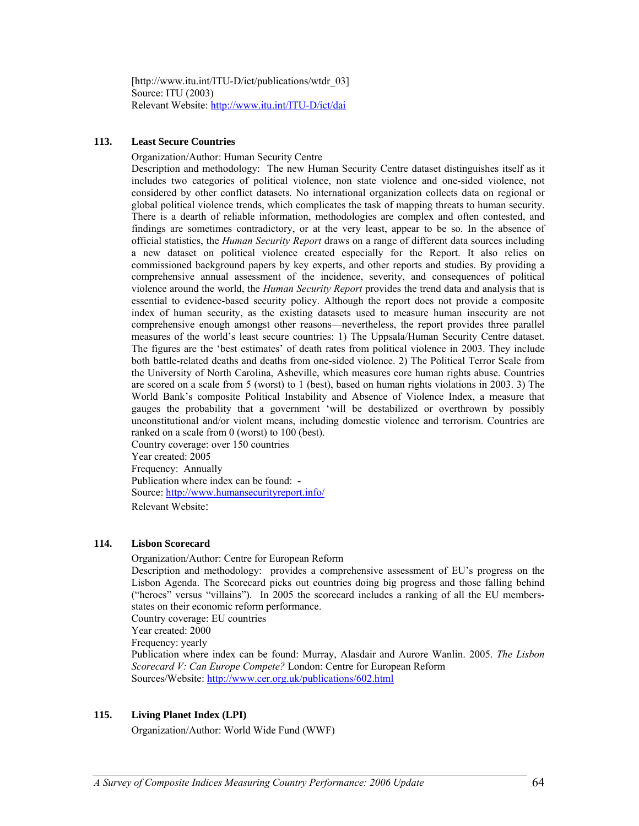[http://www.itu.int/ITU-D/ict/publications/wtdr\_03] Source: ITU (2003) Relevant Website: http://www.itu.int/ITU-D/ict/dai

### **113. Least Secure Countries**

Organization/Author: Human Security Centre

Description and methodology: The new Human Security Centre dataset distinguishes itself as it includes two categories of political violence, non state violence and one-sided violence, not considered by other conflict datasets. No international organization collects data on regional or global political violence trends, which complicates the task of mapping threats to human security. There is a dearth of reliable information, methodologies are complex and often contested, and findings are sometimes contradictory, or at the very least, appear to be so. In the absence of official statistics, the *Human Security Report* draws on a range of different data sources including a new dataset on political violence created especially for the Report. It also relies on commissioned background papers by key experts, and other reports and studies. By providing a comprehensive annual assessment of the incidence, severity, and consequences of political violence around the world, the *Human Security Report* provides the trend data and analysis that is essential to evidence-based security policy. Although the report does not provide a composite index of human security, as the existing datasets used to measure human insecurity are not comprehensive enough amongst other reasons—nevertheless, the report provides three parallel measures of the world's least secure countries: 1) The Uppsala/Human Security Centre dataset. The figures are the 'best estimates' of death rates from political violence in 2003. They include both battle-related deaths and deaths from one-sided violence. 2) The Political Terror Scale from the University of North Carolina, Asheville, which measures core human rights abuse. Countries are scored on a scale from 5 (worst) to 1 (best), based on human rights violations in 2003. 3) The World Bank's composite Political Instability and Absence of Violence Index, a measure that gauges the probability that a government 'will be destabilized or overthrown by possibly unconstitutional and/or violent means, including domestic violence and terrorism. Countries are ranked on a scale from 0 (worst) to 100 (best). Country coverage: over 150 countries Year created: 2005

 Frequency: Annually Publication where index can be found: - Source: http://www.humansecurityreport.info/ Relevant Website:

# **114. Lisbon Scorecard**

Organization/Author: Centre for European Reform

Description and methodology: provides a comprehensive assessment of EU's progress on the Lisbon Agenda. The Scorecard picks out countries doing big progress and those falling behind ("heroes" versus "villains"). In 2005 the scorecard includes a ranking of all the EU membersstates on their economic reform performance.

Country coverage: EU countries

Year created: 2000

Frequency: yearly

Publication where index can be found: Murray, Alasdair and Aurore Wanlin. 2005. *The Lisbon Scorecard V: Can Europe Compete?* London: Centre for European Reform Sources/Website: http://www.cer.org.uk/publications/602.html

# **115. Living Planet Index (LPI)**

Organization/Author: World Wide Fund (WWF)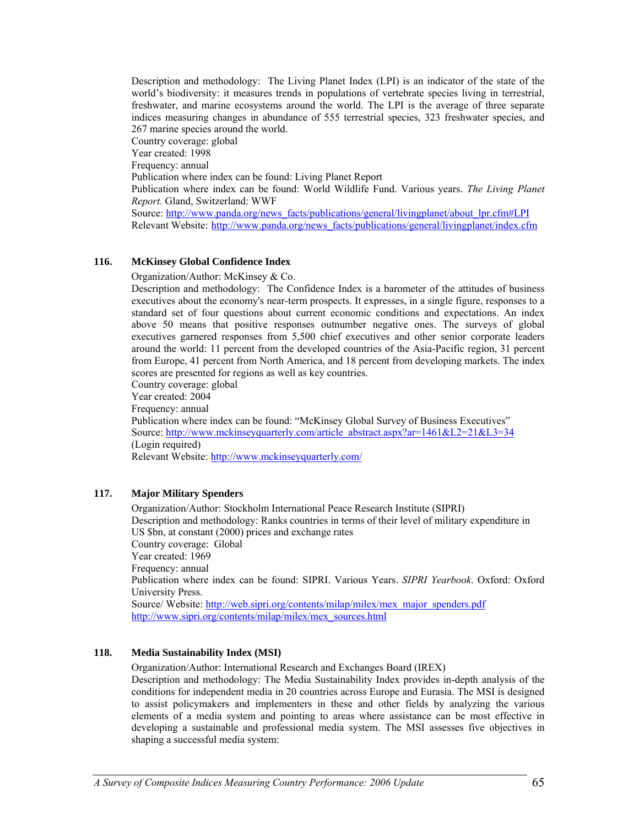Description and methodology: The Living Planet Index (LPI) is an indicator of the state of the world's biodiversity: it measures trends in populations of vertebrate species living in terrestrial, freshwater, and marine ecosystems around the world. The LPI is the average of three separate indices measuring changes in abundance of 555 terrestrial species, 323 freshwater species, and 267 marine species around the world. Country coverage: global Year created: 1998 Frequency: annual Publication where index can be found: Living Planet Report Publication where index can be found: World Wildlife Fund. Various years. *The Living Planet Report.* Gland, Switzerland: WWF Source: http://www.panda.org/news\_facts/publications/general/livingplanet/about\_lpr.cfm#LPI Relevant Website: http://www.panda.org/news\_facts/publications/general/livingplanet/index.cfm

# **116. McKinsey Global Confidence Index**

Organization/Author: McKinsey & Co.

Description and methodology: The Confidence Index is a barometer of the attitudes of business executives about the economy's near-term prospects. It expresses, in a single figure, responses to a standard set of four questions about current economic conditions and expectations. An index above 50 means that positive responses outnumber negative ones. The surveys of global executives garnered responses from 5,500 chief executives and other senior corporate leaders around the world: 11 percent from the developed countries of the Asia-Pacific region, 31 percent from Europe, 41 percent from North America, and 18 percent from developing markets. The index scores are presented for regions as well as key countries.

Country coverage: global

Year created: 2004 Frequency: annual Publication where index can be found: "McKinsey Global Survey of Business Executives" Source: http://www.mckinseyquarterly.com/article\_abstract.aspx?ar=1461&L2=21&L3=34 (Login required) Relevant Website: http://www.mckinseyquarterly.com/

# **117. Major Military Spenders**

Organization/Author: Stockholm International Peace Research Institute (SIPRI) Description and methodology: Ranks countries in terms of their level of military expenditure in US \$bn, at constant (2000) prices and exchange rates Country coverage: Global Year created: 1969 Frequency: annual Publication where index can be found: SIPRI. Various Years. *SIPRI Yearbook*. Oxford: Oxford University Press. Source/ Website: http://web.sipri.org/contents/milap/milex/mex\_major\_spenders.pdf http://www.sipri.org/contents/milap/milex/mex\_sources.html

# **118. Media Sustainability Index (MSI)**

Organization/Author: International Research and Exchanges Board (IREX) Description and methodology: The Media Sustainability Index provides in-depth analysis of the conditions for independent media in 20 countries across Europe and Eurasia. The MSI is designed to assist policymakers and implementers in these and other fields by analyzing the various elements of a media system and pointing to areas where assistance can be most effective in developing a sustainable and professional media system. The MSI assesses five objectives in shaping a successful media system: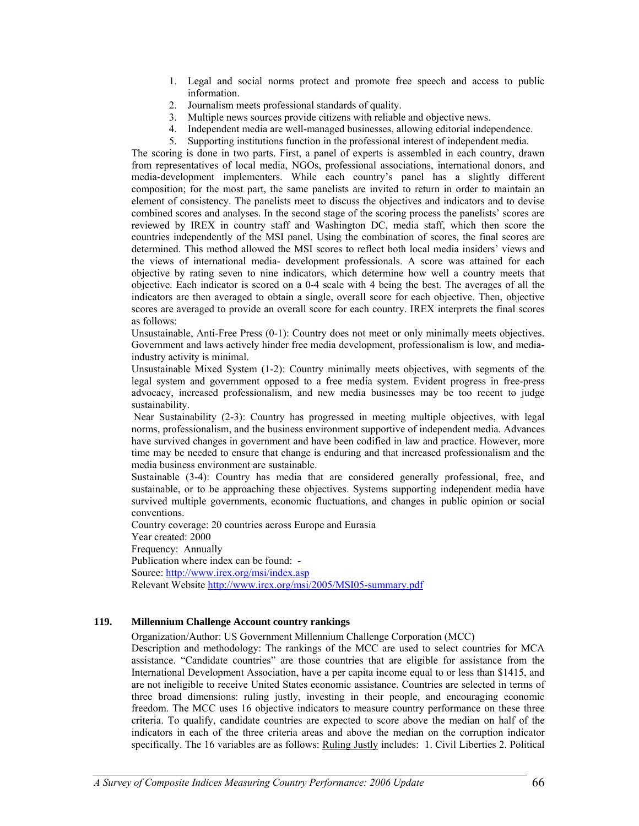- 1. Legal and social norms protect and promote free speech and access to public information.
- 2. Journalism meets professional standards of quality.
- 3. Multiple news sources provide citizens with reliable and objective news.
- 4. Independent media are well-managed businesses, allowing editorial independence.
- 5. Supporting institutions function in the professional interest of independent media.

The scoring is done in two parts. First, a panel of experts is assembled in each country, drawn from representatives of local media, NGOs, professional associations, international donors, and media-development implementers. While each country's panel has a slightly different composition; for the most part, the same panelists are invited to return in order to maintain an element of consistency. The panelists meet to discuss the objectives and indicators and to devise combined scores and analyses. In the second stage of the scoring process the panelists' scores are reviewed by IREX in country staff and Washington DC, media staff, which then score the countries independently of the MSI panel. Using the combination of scores, the final scores are determined. This method allowed the MSI scores to reflect both local media insiders' views and the views of international media- development professionals. A score was attained for each objective by rating seven to nine indicators, which determine how well a country meets that objective. Each indicator is scored on a 0-4 scale with 4 being the best. The averages of all the indicators are then averaged to obtain a single, overall score for each objective. Then, objective scores are averaged to provide an overall score for each country. IREX interprets the final scores as follows:

Unsustainable, Anti-Free Press (0-1): Country does not meet or only minimally meets objectives. Government and laws actively hinder free media development, professionalism is low, and mediaindustry activity is minimal.

Unsustainable Mixed System (1-2): Country minimally meets objectives, with segments of the legal system and government opposed to a free media system. Evident progress in free-press advocacy, increased professionalism, and new media businesses may be too recent to judge sustainability.

Near Sustainability (2-3): Country has progressed in meeting multiple objectives, with legal norms, professionalism, and the business environment supportive of independent media. Advances have survived changes in government and have been codified in law and practice. However, more time may be needed to ensure that change is enduring and that increased professionalism and the media business environment are sustainable.

Sustainable (3-4): Country has media that are considered generally professional, free, and sustainable, or to be approaching these objectives. Systems supporting independent media have survived multiple governments, economic fluctuations, and changes in public opinion or social conventions.

Country coverage: 20 countries across Europe and Eurasia Year created: 2000 Frequency: Annually Publication where index can be found: - Source: http://www.irex.org/msi/index.asp Relevant Website http://www.irex.org/msi/2005/MSI05-summary.pdf

# **119. Millennium Challenge Account country rankings**

Organization/Author: US Government Millennium Challenge Corporation (MCC)

Description and methodology: The rankings of the MCC are used to select countries for MCA assistance. "Candidate countries" are those countries that are eligible for assistance from the International Development Association, have a per capita income equal to or less than \$1415, and are not ineligible to receive United States economic assistance. Countries are selected in terms of three broad dimensions: ruling justly, investing in their people, and encouraging economic freedom. The MCC uses 16 objective indicators to measure country performance on these three criteria. To qualify, candidate countries are expected to score above the median on half of the indicators in each of the three criteria areas and above the median on the corruption indicator specifically. The 16 variables are as follows: Ruling Justly includes: 1. Civil Liberties 2. Political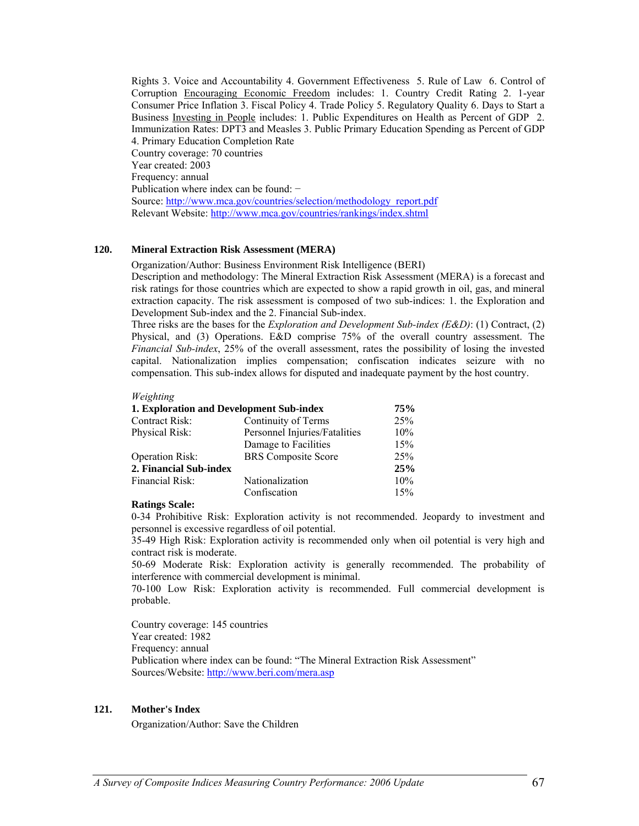Rights 3. Voice and Accountability 4. Government Effectiveness 5. Rule of Law 6. Control of Corruption Encouraging Economic Freedom includes: 1. Country Credit Rating 2. 1-year Consumer Price Inflation 3. Fiscal Policy 4. Trade Policy 5. Regulatory Quality 6. Days to Start a Business Investing in People includes: 1. Public Expenditures on Health as Percent of GDP 2. Immunization Rates: DPT3 and Measles 3. Public Primary Education Spending as Percent of GDP 4. Primary Education Completion Rate Country coverage: 70 countries Year created: 2003 Frequency: annual Publication where index can be found: − Source: http://www.mca.gov/countries/selection/methodology\_report.pdf Relevant Website: http://www.mca.gov/countries/rankings/index.shtml

# **120. Mineral Extraction Risk Assessment (MERA)**

Organization/Author: Business Environment Risk Intelligence (BERI)

Description and methodology: The Mineral Extraction Risk Assessment (MERA) is a forecast and risk ratings for those countries which are expected to show a rapid growth in oil, gas, and mineral extraction capacity. The risk assessment is composed of two sub-indices: 1. the Exploration and Development Sub-index and the 2. Financial Sub-index.

Three risks are the bases for the *Exploration and Development Sub-index (E&D)*: (1) Contract, (2) Physical, and (3) Operations. E&D comprise 75% of the overall country assessment. The *Financial Sub-index*, 25% of the overall assessment, rates the possibility of losing the invested capital. Nationalization implies compensation; confiscation indicates seizure with no compensation. This sub-index allows for disputed and inadequate payment by the host country.

#### *Weighting*

| 1. Exploration and Development Sub-index |                               | <b>75%</b> |
|------------------------------------------|-------------------------------|------------|
| Contract Risk:                           | Continuity of Terms           | 25%        |
| Physical Risk:                           | Personnel Injuries/Fatalities | 10%        |
|                                          | Damage to Facilities          | 15%        |
| <b>Operation Risk:</b>                   | <b>BRS</b> Composite Score    | 25%        |
| 2. Financial Sub-index                   |                               | 25%        |
| Financial Risk:                          | Nationalization               | 10%        |
|                                          | Confiscation                  | 15%        |

#### **Ratings Scale:**

0-34 Prohibitive Risk: Exploration activity is not recommended. Jeopardy to investment and personnel is excessive regardless of oil potential.

35-49 High Risk: Exploration activity is recommended only when oil potential is very high and contract risk is moderate.

50-69 Moderate Risk: Exploration activity is generally recommended. The probability of interference with commercial development is minimal.

70-100 Low Risk: Exploration activity is recommended. Full commercial development is probable.

Country coverage: 145 countries Year created: 1982 Frequency: annual Publication where index can be found: "The Mineral Extraction Risk Assessment" Sources/Website: http://www.beri.com/mera.asp

# **121. Mother's Index**

Organization/Author: Save the Children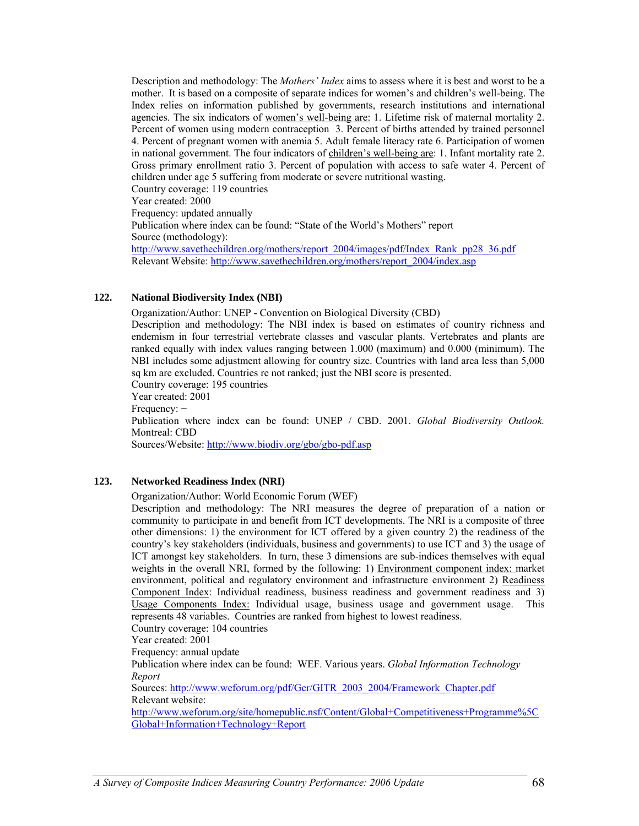Description and methodology: The *Mothers' Index* aims to assess where it is best and worst to be a mother. It is based on a composite of separate indices for women's and children's well-being. The Index relies on information published by governments, research institutions and international agencies. The six indicators of <u>women's well-being are:</u> 1. Lifetime risk of maternal mortality 2. Percent of women using modern contraception 3. Percent of births attended by trained personnel 4. Percent of pregnant women with anemia 5. Adult female literacy rate 6. Participation of women in national government. The four indicators of children's well-being are: 1. Infant mortality rate 2. Gross primary enrollment ratio 3. Percent of population with access to safe water 4. Percent of children under age 5 suffering from moderate or severe nutritional wasting. Country coverage: 119 countries

Year created: 2000

Frequency: updated annually Publication where index can be found: "State of the World's Mothers" report

Source (methodology):

http://www.savethechildren.org/mothers/report\_2004/images/pdf/Index\_Rank\_pp28\_36.pdf Relevant Website: http://www.savethechildren.org/mothers/report\_2004/index.asp

# **122. National Biodiversity Index (NBI)**

Organization/Author: UNEP - Convention on Biological Diversity (CBD)

Description and methodology: The NBI index is based on estimates of country richness and endemism in four terrestrial vertebrate classes and vascular plants. Vertebrates and plants are ranked equally with index values ranging between 1.000 (maximum) and 0.000 (minimum). The NBI includes some adjustment allowing for country size. Countries with land area less than 5,000 sq km are excluded. Countries re not ranked; just the NBI score is presented.

Country coverage: 195 countries

Year created: 2001 Frequency: − Publication where index can be found: UNEP / CBD. 2001. *Global Biodiversity Outlook.*  Montreal: CBD Sources/Website: http://www.biodiv.org/gbo/gbo-pdf.asp

# **123. Networked Readiness Index (NRI)**

Organization/Author: World Economic Forum (WEF)

Description and methodology: The NRI measures the degree of preparation of a nation or community to participate in and benefit from ICT developments. The NRI is a composite of three other dimensions: 1) the environment for ICT offered by a given country 2) the readiness of the country's key stakeholders (individuals, business and governments) to use ICT and 3) the usage of ICT amongst key stakeholders. In turn, these 3 dimensions are sub-indices themselves with equal weights in the overall NRI, formed by the following: 1) Environment component index: market environment, political and regulatory environment and infrastructure environment 2) Readiness Component Index: Individual readiness, business readiness and government readiness and 3) Usage Components Index: Individual usage, business usage and government usage. This represents 48 variables. Countries are ranked from highest to lowest readiness. Country coverage: 104 countries Year created: 2001

Frequency: annual update

Publication where index can be found: WEF. Various years. *Global Information Technology Report*

Sources: http://www.weforum.org/pdf/Gcr/GITR\_2003\_2004/Framework\_Chapter.pdf Relevant website:

http://www.weforum.org/site/homepublic.nsf/Content/Global+Competitiveness+Programme%5C Global+Information+Technology+Report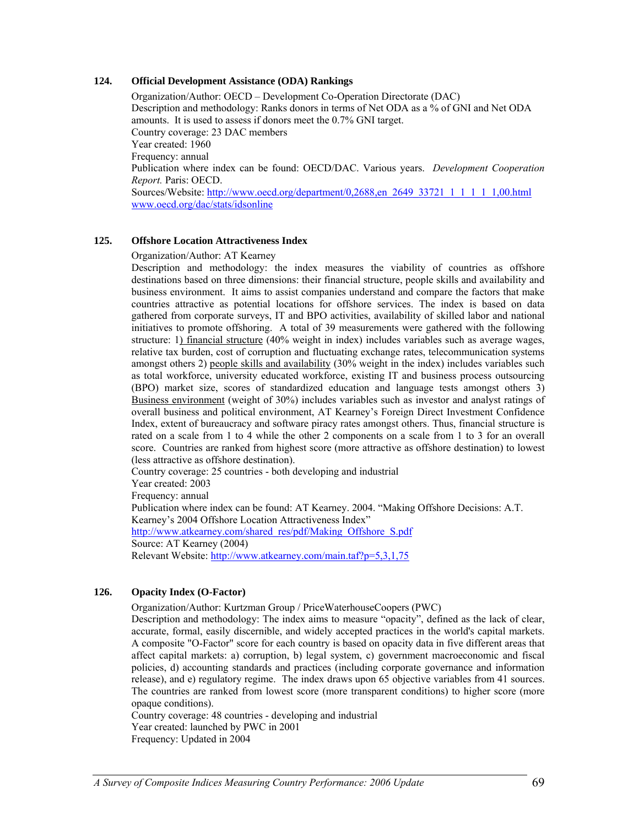# **124. Official Development Assistance (ODA) Rankings**

Organization/Author: OECD – Development Co-Operation Directorate (DAC) Description and methodology: Ranks donors in terms of Net ODA as a % of GNI and Net ODA amounts. It is used to assess if donors meet the 0.7% GNI target. Country coverage: 23 DAC members Year created: 1960 Frequency: annual Publication where index can be found: OECD/DAC. Various years. *Development Cooperation Report.* Paris: OECD. Sources/Website: http://www.oecd.org/department/0,2688,en\_2649\_33721\_1\_1\_1\_1\_1,00.html www.oecd.org/dac/stats/idsonline

# **125. Offshore Location Attractiveness Index**

#### Organization/Author: AT Kearney

Description and methodology: the index measures the viability of countries as offshore destinations based on three dimensions: their financial structure, people skills and availability and business environment. It aims to assist companies understand and compare the factors that make countries attractive as potential locations for offshore services. The index is based on data gathered from corporate surveys, IT and BPO activities, availability of skilled labor and national initiatives to promote offshoring. A total of 39 measurements were gathered with the following structure: 1) financial structure (40% weight in index) includes variables such as average wages, relative tax burden, cost of corruption and fluctuating exchange rates, telecommunication systems amongst others 2) people skills and availability (30% weight in the index) includes variables such as total workforce, university educated workforce, existing IT and business process outsourcing (BPO) market size, scores of standardized education and language tests amongst others 3) Business environment (weight of 30%) includes variables such as investor and analyst ratings of overall business and political environment, AT Kearney's Foreign Direct Investment Confidence Index, extent of bureaucracy and software piracy rates amongst others. Thus, financial structure is rated on a scale from 1 to 4 while the other 2 components on a scale from 1 to 3 for an overall score. Countries are ranked from highest score (more attractive as offshore destination) to lowest (less attractive as offshore destination).

 Country coverage: 25 countries - both developing and industrial Year created: 2003 Frequency: annual Publication where index can be found: AT Kearney. 2004. "Making Offshore Decisions: A.T. Kearney's 2004 Offshore Location Attractiveness Index" http://www.atkearney.com/shared\_res/pdf/Making\_Offshore\_S.pdf Source: AT Kearney (2004) Relevant Website: http://www.atkearney.com/main.taf?p=5,3,1,75

# **126. Opacity Index (O-Factor)**

Organization/Author: Kurtzman Group / PriceWaterhouseCoopers (PWC) Description and methodology: The index aims to measure "opacity", defined as the lack of clear, accurate, formal, easily discernible, and widely accepted practices in the world's capital markets. A composite "O-Factor" score for each country is based on opacity data in five different areas that affect capital markets: a) corruption, b) legal system, c) government macroeconomic and fiscal policies, d) accounting standards and practices (including corporate governance and information release), and e) regulatory regime. The index draws upon 65 objective variables from 41 sources. The countries are ranked from lowest score (more transparent conditions) to higher score (more opaque conditions).

 Country coverage: 48 countries - developing and industrial Year created: launched by PWC in 2001 Frequency: Updated in 2004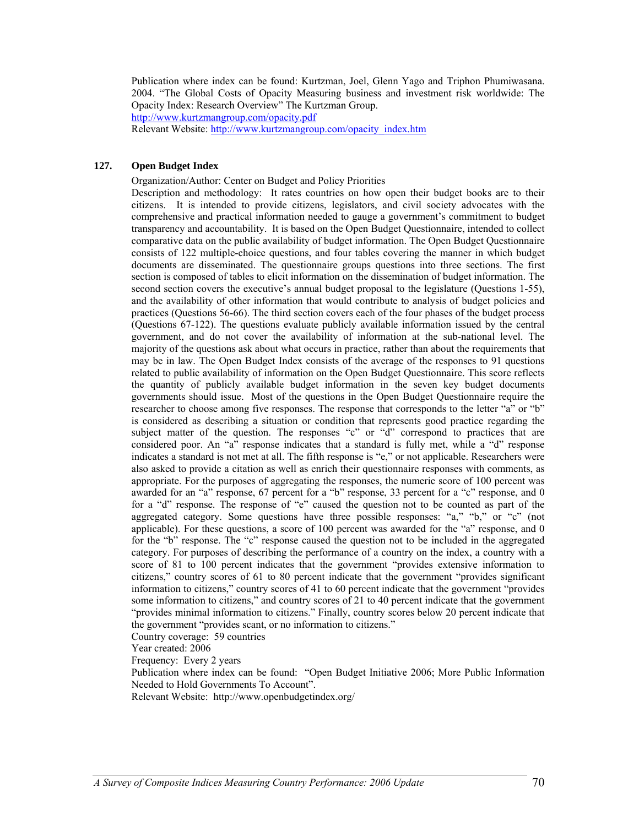Publication where index can be found: Kurtzman, Joel, Glenn Yago and Triphon Phumiwasana. 2004. "The Global Costs of Opacity Measuring business and investment risk worldwide: The Opacity Index: Research Overview" The Kurtzman Group. http://www.kurtzmangroup.com/opacity.pdf

Relevant Website: http://www.kurtzmangroup.com/opacity\_index.htm

#### **127. Open Budget Index**

Organization/Author: Center on Budget and Policy Priorities

Description and methodology: It rates countries on how open their budget books are to their citizens. It is intended to provide citizens, legislators, and civil society advocates with the comprehensive and practical information needed to gauge a government's commitment to budget transparency and accountability. It is based on the Open Budget Questionnaire, intended to collect comparative data on the public availability of budget information. The Open Budget Questionnaire consists of 122 multiple-choice questions, and four tables covering the manner in which budget documents are disseminated. The questionnaire groups questions into three sections. The first section is composed of tables to elicit information on the dissemination of budget information. The second section covers the executive's annual budget proposal to the legislature (Questions 1-55), and the availability of other information that would contribute to analysis of budget policies and practices (Questions 56-66). The third section covers each of the four phases of the budget process (Questions 67-122). The questions evaluate publicly available information issued by the central government, and do not cover the availability of information at the sub-national level. The majority of the questions ask about what occurs in practice, rather than about the requirements that may be in law. The Open Budget Index consists of the average of the responses to 91 questions related to public availability of information on the Open Budget Questionnaire. This score reflects the quantity of publicly available budget information in the seven key budget documents governments should issue. Most of the questions in the Open Budget Questionnaire require the researcher to choose among five responses. The response that corresponds to the letter "a" or "b" is considered as describing a situation or condition that represents good practice regarding the subject matter of the question. The responses "c" or "d" correspond to practices that are considered poor. An "a" response indicates that a standard is fully met, while a "d" response indicates a standard is not met at all. The fifth response is "e," or not applicable. Researchers were also asked to provide a citation as well as enrich their questionnaire responses with comments, as appropriate. For the purposes of aggregating the responses, the numeric score of 100 percent was awarded for an "a" response, 67 percent for a "b" response, 33 percent for a "c" response, and 0 for a "d" response. The response of "e" caused the question not to be counted as part of the aggregated category. Some questions have three possible responses: "a," "b," or "c" (not applicable). For these questions, a score of 100 percent was awarded for the "a" response, and 0 for the "b" response. The "c" response caused the question not to be included in the aggregated category. For purposes of describing the performance of a country on the index, a country with a score of 81 to 100 percent indicates that the government "provides extensive information to citizens," country scores of 61 to 80 percent indicate that the government "provides significant information to citizens," country scores of 41 to 60 percent indicate that the government "provides some information to citizens," and country scores of 21 to 40 percent indicate that the government "provides minimal information to citizens." Finally, country scores below 20 percent indicate that the government "provides scant, or no information to citizens." Country coverage: 59 countries

Year created: 2006

Frequency: Every 2 years

Publication where index can be found: "Open Budget Initiative 2006; More Public Information Needed to Hold Governments To Account".

Relevant Website: http://www.openbudgetindex.org/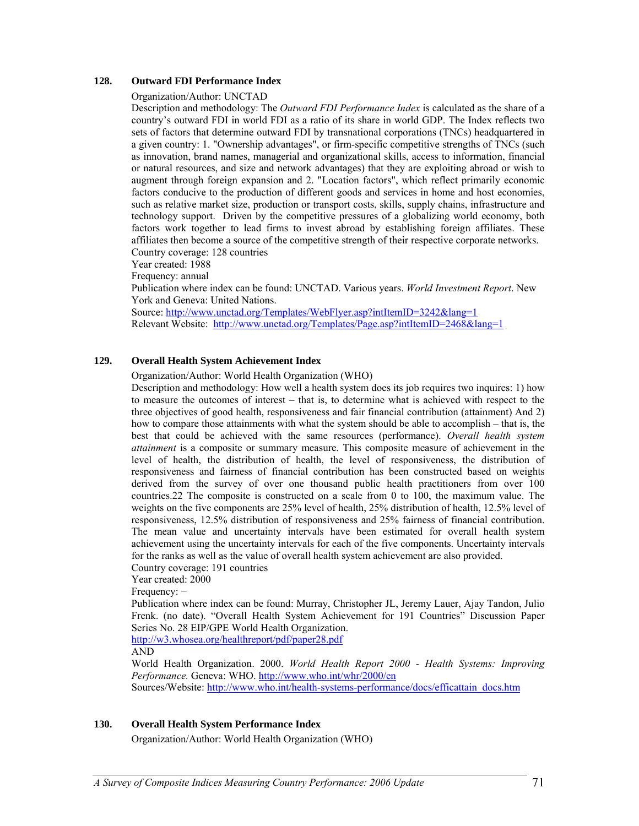# **128. Outward FDI Performance Index**

### Organization/Author: UNCTAD

Description and methodology: The *Outward FDI Performance Index* is calculated as the share of a country's outward FDI in world FDI as a ratio of its share in world GDP. The Index reflects two sets of factors that determine outward FDI by transnational corporations (TNCs) headquartered in a given country: 1. "Ownership advantages", or firm-specific competitive strengths of TNCs (such as innovation, brand names, managerial and organizational skills, access to information, financial or natural resources, and size and network advantages) that they are exploiting abroad or wish to augment through foreign expansion and 2. "Location factors", which reflect primarily economic factors conducive to the production of different goods and services in home and host economies, such as relative market size, production or transport costs, skills, supply chains, infrastructure and technology support. Driven by the competitive pressures of a globalizing world economy, both factors work together to lead firms to invest abroad by establishing foreign affiliates. These affiliates then become a source of the competitive strength of their respective corporate networks. Country coverage: 128 countries

Year created: 1988

Frequency: annual

Publication where index can be found: UNCTAD. Various years. *World Investment Report*. New York and Geneva: United Nations.

Source: http://www.unctad.org/Templates/WebFlyer.asp?intItemID=3242&lang=1 Relevant Website: http://www.unctad.org/Templates/Page.asp?intItemID=2468&lang=1

# **129. Overall Health System Achievement Index**

Organization/Author: World Health Organization (WHO)

Description and methodology: How well a health system does its job requires two inquires: 1) how to measure the outcomes of interest – that is, to determine what is achieved with respect to the three objectives of good health, responsiveness and fair financial contribution (attainment) And 2) how to compare those attainments with what the system should be able to accomplish – that is, the best that could be achieved with the same resources (performance). *Overall health system attainment* is a composite or summary measure. This composite measure of achievement in the level of health, the distribution of health, the level of responsiveness, the distribution of responsiveness and fairness of financial contribution has been constructed based on weights derived from the survey of over one thousand public health practitioners from over 100 countries.22 The composite is constructed on a scale from 0 to 100, the maximum value. The weights on the five components are 25% level of health, 25% distribution of health, 12.5% level of responsiveness, 12.5% distribution of responsiveness and 25% fairness of financial contribution. The mean value and uncertainty intervals have been estimated for overall health system achievement using the uncertainty intervals for each of the five components. Uncertainty intervals for the ranks as well as the value of overall health system achievement are also provided.

Country coverage: 191 countries

Frequency: −

Publication where index can be found: Murray, Christopher JL, Jeremy Lauer, Ajay Tandon, Julio Frenk. (no date). "Overall Health System Achievement for 191 Countries" Discussion Paper Series No. 28 EIP/GPE World Health Organization.

http://w3.whosea.org/healthreport/pdf/paper28.pdf

AND

World Health Organization. 2000. *World Health Report 2000 - Health Systems: Improving Performance.* Geneva: WHO. http://www.who.int/whr/2000/en Sources/Website: http://www.who.int/health-systems-performance/docs/efficattain\_docs.htm

# **130. Overall Health System Performance Index**

Organization/Author: World Health Organization (WHO)

Year created: 2000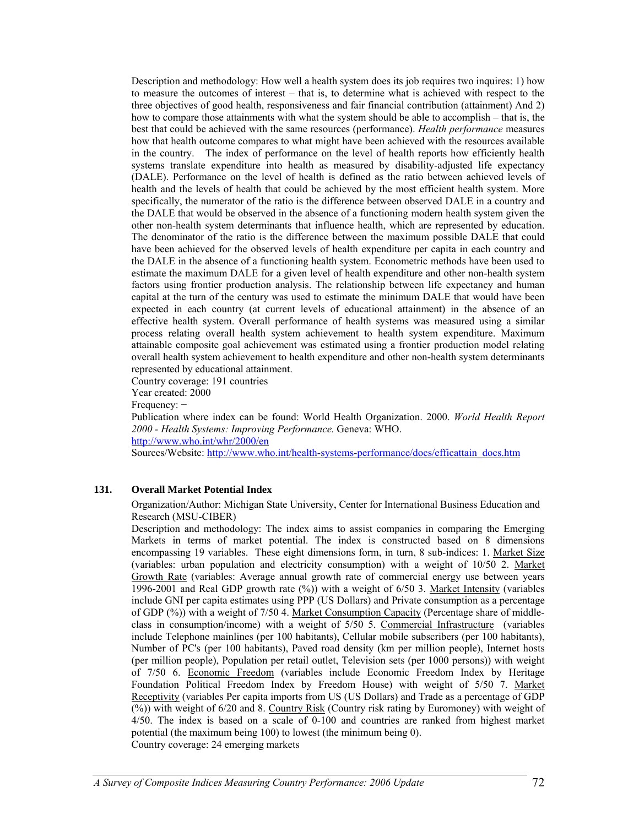Description and methodology: How well a health system does its job requires two inquires: 1) how to measure the outcomes of interest – that is, to determine what is achieved with respect to the three objectives of good health, responsiveness and fair financial contribution (attainment) And 2) how to compare those attainments with what the system should be able to accomplish – that is, the best that could be achieved with the same resources (performance). *Health performance* measures how that health outcome compares to what might have been achieved with the resources available in the country. The index of performance on the level of health reports how efficiently health systems translate expenditure into health as measured by disability-adjusted life expectancy (DALE). Performance on the level of health is defined as the ratio between achieved levels of health and the levels of health that could be achieved by the most efficient health system. More specifically, the numerator of the ratio is the difference between observed DALE in a country and the DALE that would be observed in the absence of a functioning modern health system given the other non-health system determinants that influence health, which are represented by education. The denominator of the ratio is the difference between the maximum possible DALE that could have been achieved for the observed levels of health expenditure per capita in each country and the DALE in the absence of a functioning health system. Econometric methods have been used to estimate the maximum DALE for a given level of health expenditure and other non-health system factors using frontier production analysis. The relationship between life expectancy and human capital at the turn of the century was used to estimate the minimum DALE that would have been expected in each country (at current levels of educational attainment) in the absence of an effective health system. Overall performance of health systems was measured using a similar process relating overall health system achievement to health system expenditure. Maximum attainable composite goal achievement was estimated using a frontier production model relating overall health system achievement to health expenditure and other non-health system determinants represented by educational attainment.

Country coverage: 191 countries

Year created: 2000

Frequency: −

Publication where index can be found: World Health Organization. 2000. *World Health Report 2000 - Health Systems: Improving Performance.* Geneva: WHO. http://www.who.int/whr/2000/en

Sources/Website: http://www.who.int/health-systems-performance/docs/efficattain\_docs.htm

# **131. Overall Market Potential Index**

Organization/Author: Michigan State University, Center for International Business Education and Research (MSU-CIBER)

Description and methodology: The index aims to assist companies in comparing the Emerging Markets in terms of market potential. The index is constructed based on 8 dimensions encompassing 19 variables. These eight dimensions form, in turn, 8 sub-indices: 1. Market Size (variables: urban population and electricity consumption) with a weight of 10/50 2. Market Growth Rate (variables: Average annual growth rate of commercial energy use between years 1996-2001 and Real GDP growth rate (%)) with a weight of 6/50 3. Market Intensity (variables include GNI per capita estimates using PPP (US Dollars) and Private consumption as a percentage of GDP (%)) with a weight of 7/50 4. Market Consumption Capacity (Percentage share of middleclass in consumption/income) with a weight of 5/50 5. Commercial Infrastructure (variables include Telephone mainlines (per 100 habitants), Cellular mobile subscribers (per 100 habitants), Number of PC's (per 100 habitants), Paved road density (km per million people), Internet hosts (per million people), Population per retail outlet, Television sets (per 1000 persons)) with weight of 7/50 6. Economic Freedom (variables include Economic Freedom Index by Heritage Foundation Political Freedom Index by Freedom House) with weight of 5/50 7. Market Receptivity (variables Per capita imports from US (US Dollars) and Trade as a percentage of GDP  $(%)$ ) with weight of  $6/20$  and 8. Country Risk (Country risk rating by Euromoney) with weight of 4/50. The index is based on a scale of 0-100 and countries are ranked from highest market potential (the maximum being 100) to lowest (the minimum being 0). Country coverage: 24 emerging markets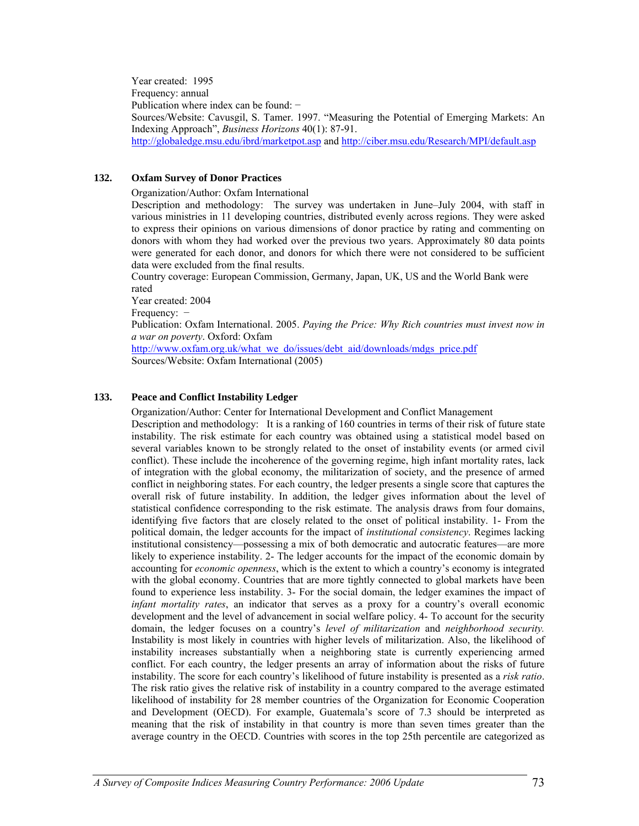Year created: 1995 Frequency: annual Publication where index can be found: − Sources/Website: Cavusgil, S. Tamer. 1997. "Measuring the Potential of Emerging Markets: An Indexing Approach", *Business Horizons* 40(1): 87-91. http://globaledge.msu.edu/ibrd/marketpot.asp and http://ciber.msu.edu/Research/MPI/default.asp

# **132. Oxfam Survey of Donor Practices**

Organization/Author: Oxfam International

Description and methodology: The survey was undertaken in June–July 2004, with staff in various ministries in 11 developing countries, distributed evenly across regions. They were asked to express their opinions on various dimensions of donor practice by rating and commenting on donors with whom they had worked over the previous two years. Approximately 80 data points were generated for each donor, and donors for which there were not considered to be sufficient data were excluded from the final results.

Country coverage: European Commission, Germany, Japan, UK, US and the World Bank were rated

Year created: 2004

Frequency: −

Publication: Oxfam International. 2005. *Paying the Price: Why Rich countries must invest now in a war on poverty*. Oxford: Oxfam

http://www.oxfam.org.uk/what\_we\_do/issues/debt\_aid/downloads/mdgs\_price.pdf Sources/Website: Oxfam International (2005)

# **133. Peace and Conflict Instability Ledger**

Organization/Author: Center for International Development and Conflict Management Description and methodology: It is a ranking of 160 countries in terms of their risk of future state instability. The risk estimate for each country was obtained using a statistical model based on several variables known to be strongly related to the onset of instability events (or armed civil conflict). These include the incoherence of the governing regime, high infant mortality rates, lack of integration with the global economy, the militarization of society, and the presence of armed conflict in neighboring states. For each country, the ledger presents a single score that captures the overall risk of future instability. In addition, the ledger gives information about the level of statistical confidence corresponding to the risk estimate. The analysis draws from four domains, identifying five factors that are closely related to the onset of political instability. 1- From the political domain, the ledger accounts for the impact of *institutional consistency*. Regimes lacking institutional consistency—possessing a mix of both democratic and autocratic features—are more likely to experience instability. 2- The ledger accounts for the impact of the economic domain by accounting for *economic openness*, which is the extent to which a country's economy is integrated with the global economy. Countries that are more tightly connected to global markets have been found to experience less instability. 3- For the social domain, the ledger examines the impact of *infant mortality rates*, an indicator that serves as a proxy for a country's overall economic development and the level of advancement in social welfare policy. 4- To account for the security domain, the ledger focuses on a country's *level of militarization* and *neighborhood security.*  Instability is most likely in countries with higher levels of militarization. Also, the likelihood of instability increases substantially when a neighboring state is currently experiencing armed conflict. For each country, the ledger presents an array of information about the risks of future instability. The score for each country's likelihood of future instability is presented as a *risk ratio*. The risk ratio gives the relative risk of instability in a country compared to the average estimated likelihood of instability for 28 member countries of the Organization for Economic Cooperation and Development (OECD). For example, Guatemala's score of 7.3 should be interpreted as meaning that the risk of instability in that country is more than seven times greater than the average country in the OECD. Countries with scores in the top 25th percentile are categorized as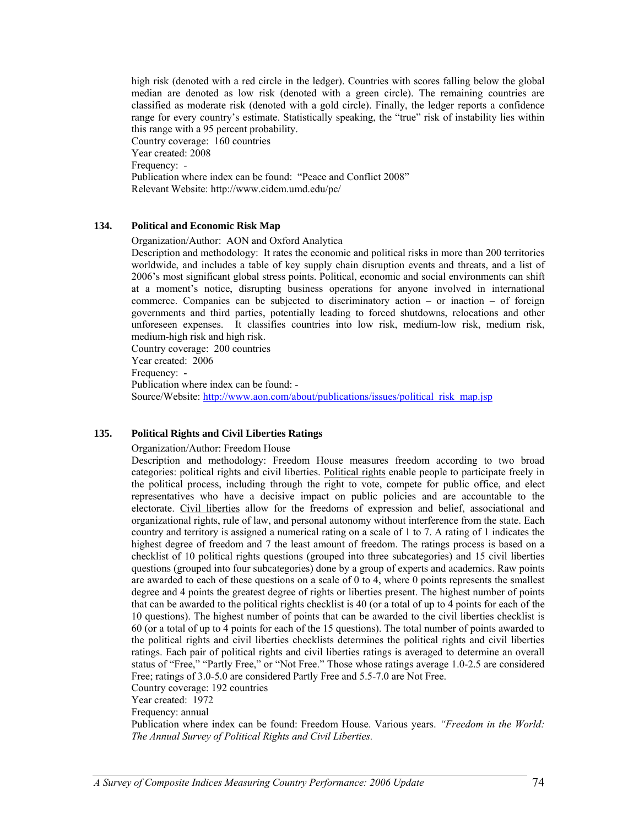high risk (denoted with a red circle in the ledger). Countries with scores falling below the global median are denoted as low risk (denoted with a green circle). The remaining countries are classified as moderate risk (denoted with a gold circle). Finally, the ledger reports a confidence range for every country's estimate. Statistically speaking, the "true" risk of instability lies within this range with a 95 percent probability. Country coverage: 160 countries Year created: 2008 Frequency: - Publication where index can be found: "Peace and Conflict 2008" Relevant Website: http://www.cidcm.umd.edu/pc/

### **134. Political and Economic Risk Map**

Organization/Author: AON and Oxford Analytica

Description and methodology: It rates the economic and political risks in more than 200 territories worldwide, and includes a table of key supply chain disruption events and threats, and a list of 2006's most significant global stress points. Political, economic and social environments can shift at a moment's notice, disrupting business operations for anyone involved in international commerce. Companies can be subjected to discriminatory action – or inaction – of foreign governments and third parties, potentially leading to forced shutdowns, relocations and other unforeseen expenses. It classifies countries into low risk, medium-low risk, medium risk, medium-high risk and high risk.

 Country coverage: 200 countries Year created: 2006 Frequency: - Publication where index can be found: - Source/Website: http://www.aon.com/about/publications/issues/political\_risk\_map.jsp

### **135. Political Rights and Civil Liberties Ratings**

Organization/Author: Freedom House

Description and methodology: Freedom House measures freedom according to two broad categories: political rights and civil liberties. Political rights enable people to participate freely in the political process, including through the right to vote, compete for public office, and elect representatives who have a decisive impact on public policies and are accountable to the electorate. Civil liberties allow for the freedoms of expression and belief, associational and organizational rights, rule of law, and personal autonomy without interference from the state. Each country and territory is assigned a numerical rating on a scale of 1 to 7. A rating of 1 indicates the highest degree of freedom and 7 the least amount of freedom. The ratings process is based on a checklist of 10 political rights questions (grouped into three subcategories) and 15 civil liberties questions (grouped into four subcategories) done by a group of experts and academics. Raw points are awarded to each of these questions on a scale of 0 to 4, where 0 points represents the smallest degree and 4 points the greatest degree of rights or liberties present. The highest number of points that can be awarded to the political rights checklist is 40 (or a total of up to 4 points for each of the 10 questions). The highest number of points that can be awarded to the civil liberties checklist is 60 (or a total of up to 4 points for each of the 15 questions). The total number of points awarded to the political rights and civil liberties checklists determines the political rights and civil liberties ratings. Each pair of political rights and civil liberties ratings is averaged to determine an overall status of "Free," "Partly Free," or "Not Free." Those whose ratings average 1.0-2.5 are considered Free; ratings of 3.0-5.0 are considered Partly Free and 5.5-7.0 are Not Free. Country coverage: 192 countries Year created: 1972 Frequency: annual Publication where index can be found: Freedom House. Various years. *"Freedom in the World:* 

*The Annual Survey of Political Rights and Civil Liberties.*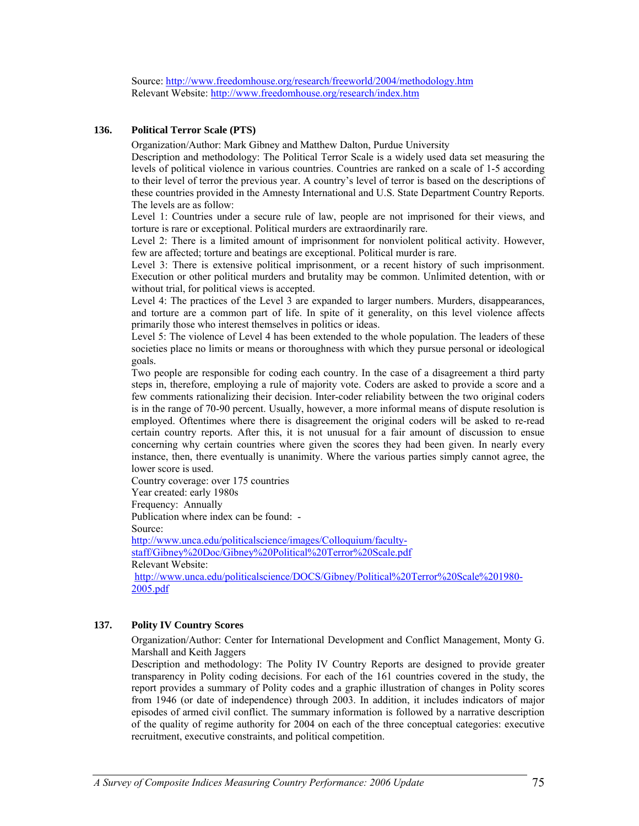Source: http://www.freedomhouse.org/research/freeworld/2004/methodology.htm Relevant Website: http://www.freedomhouse.org/research/index.htm

# **136. Political Terror Scale (PTS)**

Organization/Author: Mark Gibney and Matthew Dalton, Purdue University

Description and methodology: The Political Terror Scale is a widely used data set measuring the levels of political violence in various countries. Countries are ranked on a scale of 1-5 according to their level of terror the previous year. A country's level of terror is based on the descriptions of these countries provided in the Amnesty International and U.S. State Department Country Reports. The levels are as follow:

Level 1: Countries under a secure rule of law, people are not imprisoned for their views, and torture is rare or exceptional. Political murders are extraordinarily rare.

Level 2: There is a limited amount of imprisonment for nonviolent political activity. However, few are affected; torture and beatings are exceptional. Political murder is rare.

Level 3: There is extensive political imprisonment, or a recent history of such imprisonment. Execution or other political murders and brutality may be common. Unlimited detention, with or without trial, for political views is accepted.

Level 4: The practices of the Level 3 are expanded to larger numbers. Murders, disappearances, and torture are a common part of life. In spite of it generality, on this level violence affects primarily those who interest themselves in politics or ideas.

Level 5: The violence of Level 4 has been extended to the whole population. The leaders of these societies place no limits or means or thoroughness with which they pursue personal or ideological goals.

Two people are responsible for coding each country. In the case of a disagreement a third party steps in, therefore, employing a rule of majority vote. Coders are asked to provide a score and a few comments rationalizing their decision. Inter-coder reliability between the two original coders is in the range of 70-90 percent. Usually, however, a more informal means of dispute resolution is employed. Oftentimes where there is disagreement the original coders will be asked to re-read certain country reports. After this, it is not unusual for a fair amount of discussion to ensue concerning why certain countries where given the scores they had been given. In nearly every instance, then, there eventually is unanimity. Where the various parties simply cannot agree, the lower score is used.

 Country coverage: over 175 countries Year created: early 1980s Frequency: Annually Publication where index can be found: - Source: http://www.unca.edu/politicalscience/images/Colloquium/facultystaff/Gibney%20Doc/Gibney%20Political%20Terror%20Scale.pdf

Relevant Website:

http://www.unca.edu/politicalscience/DOCS/Gibney/Political%20Terror%20Scale%201980- 2005.pdf

## **137. Polity IV Country Scores**

Organization/Author: Center for International Development and Conflict Management, Monty G. Marshall and Keith Jaggers

Description and methodology: The Polity IV Country Reports are designed to provide greater transparency in Polity coding decisions. For each of the 161 countries covered in the study, the report provides a summary of Polity codes and a graphic illustration of changes in Polity scores from 1946 (or date of independence) through 2003. In addition, it includes indicators of major episodes of armed civil conflict. The summary information is followed by a narrative description of the quality of regime authority for 2004 on each of the three conceptual categories: executive recruitment, executive constraints, and political competition.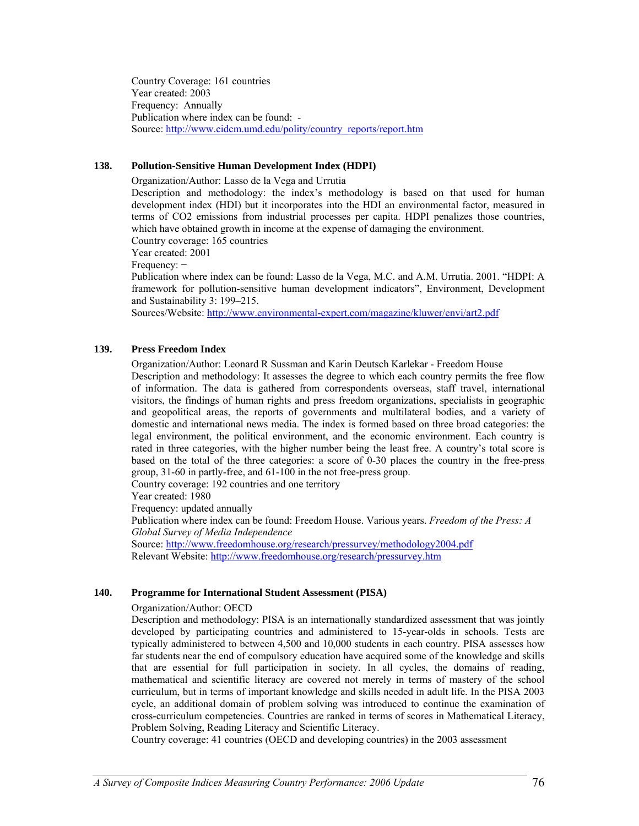Country Coverage: 161 countries Year created: 2003 Frequency: Annually Publication where index can be found: - Source: http://www.cidcm<u>.umd.edu/polity/country\_reports/report.htm</u>

## **138. Pollution-Sensitive Human Development Index (HDPI)**

Organization/Author: Lasso de la Vega and Urrutia

Description and methodology: the index's methodology is based on that used for human development index (HDI) but it incorporates into the HDI an environmental factor, measured in terms of CO2 emissions from industrial processes per capita. HDPI penalizes those countries, which have obtained growth in income at the expense of damaging the environment.

Country coverage: 165 countries

Year created: 2001

Frequency: −

Publication where index can be found: Lasso de la Vega, M.C. and A.M. Urrutia. 2001. "HDPI: A framework for pollution-sensitive human development indicators", Environment, Development and Sustainability 3: 199–215.

Sources/Website: http://www.environmental-expert.com/magazine/kluwer/envi/art2.pdf

## **139. Press Freedom Index**

Organization/Author: Leonard R Sussman and Karin Deutsch Karlekar - Freedom House

Description and methodology: It assesses the degree to which each country permits the free flow of information. The data is gathered from correspondents overseas, staff travel, international visitors, the findings of human rights and press freedom organizations, specialists in geographic and geopolitical areas, the reports of governments and multilateral bodies, and a variety of domestic and international news media. The index is formed based on three broad categories: the legal environment, the political environment, and the economic environment. Each country is rated in three categories, with the higher number being the least free. A country's total score is based on the total of the three categories: a score of 0-30 places the country in the free-press group, 31-60 in partly-free, and 61-100 in the not free-press group.

Country coverage: 192 countries and one territory

Year created: 1980

Frequency: updated annually

Publication where index can be found: Freedom House. Various years. *Freedom of the Press: A Global Survey of Media Independence* Source: http://www.freedomhouse.org/research/pressurvey/methodology2004.pdf

Relevant Website: http://www.freedomhouse.org/research/pressurvey.htm

# **140. Programme for International Student Assessment (PISA)**

## Organization/Author: OECD

Description and methodology: PISA is an internationally standardized assessment that was jointly developed by participating countries and administered to 15-year-olds in schools. Tests are typically administered to between 4,500 and 10,000 students in each country. PISA assesses how far students near the end of compulsory education have acquired some of the knowledge and skills that are essential for full participation in society. In all cycles, the domains of reading, mathematical and scientific literacy are covered not merely in terms of mastery of the school curriculum, but in terms of important knowledge and skills needed in adult life. In the PISA 2003 cycle, an additional domain of problem solving was introduced to continue the examination of cross-curriculum competencies. Countries are ranked in terms of scores in Mathematical Literacy, Problem Solving, Reading Literacy and Scientific Literacy.

Country coverage: 41 countries (OECD and developing countries) in the 2003 assessment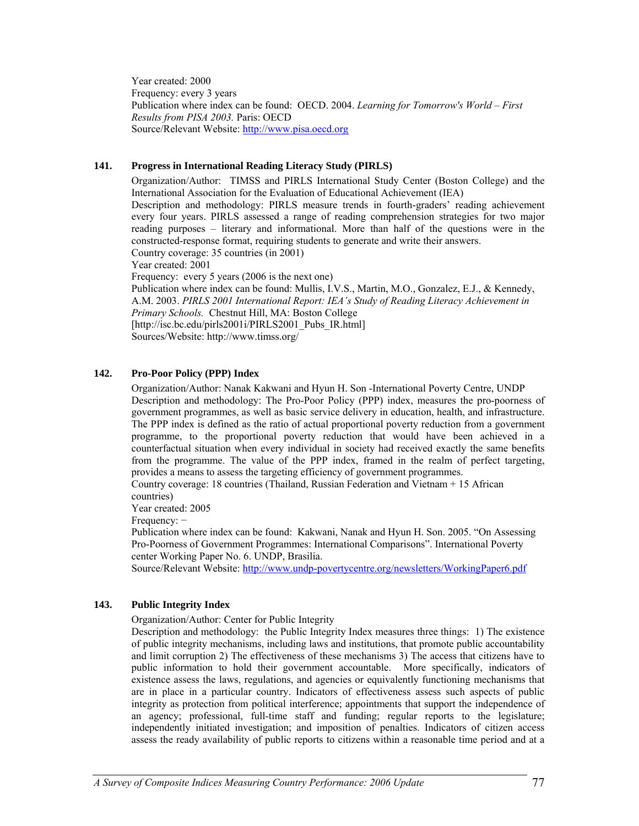Year created: 2000 Frequency: every 3 years Publication where index can be found: OECD. 2004. *Learning for Tomorrow's World – First Results from PISA 2003.* Paris: OECD Source/Relevant Website: http://www.pisa.oecd.org

## **141. Progress in International Reading Literacy Study (PIRLS)**

Organization/Author: TIMSS and PIRLS International Study Center (Boston College) and the International Association for the Evaluation of Educational Achievement (IEA) Description and methodology: PIRLS measure trends in fourth-graders' reading achievement every four years. PIRLS assessed a range of reading comprehension strategies for two major reading purposes – literary and informational. More than half of the questions were in the constructed-response format, requiring students to generate and write their answers. Country coverage: 35 countries (in 2001) Year created: 2001 Frequency: every 5 years (2006 is the next one) Publication where index can be found: Mullis, I.V.S., Martin, M.O., Gonzalez, E.J., & Kennedy, A.M. 2003. *PIRLS 2001 International Report: IEA's Study of Reading Literacy Achievement in Primary Schools.* Chestnut Hill, MA: Boston College [http://isc.bc.edu/pirls2001i/PIRLS2001\_Pubs\_IR.html] Sources/Website: http://www.timss.org/

## **142. Pro-Poor Policy (PPP) Index**

Organization/Author: Nanak Kakwani and Hyun H. Son -International Poverty Centre, UNDP Description and methodology: The Pro-Poor Policy (PPP) index, measures the pro-poorness of government programmes, as well as basic service delivery in education, health, and infrastructure. The PPP index is defined as the ratio of actual proportional poverty reduction from a government programme, to the proportional poverty reduction that would have been achieved in a counterfactual situation when every individual in society had received exactly the same benefits from the programme. The value of the PPP index, framed in the realm of perfect targeting, provides a means to assess the targeting efficiency of government programmes.

Country coverage: 18 countries (Thailand, Russian Federation and Vietnam + 15 African countries)

Year created: 2005

Frequency: −

Publication where index can be found: Kakwani, Nanak and Hyun H. Son. 2005. "On Assessing Pro-Poorness of Government Programmes: International Comparisons". International Poverty center Working Paper No. 6. UNDP, Brasilia.

Source/Relevant Website: http://www.undp-povertycentre.org/newsletters/WorkingPaper6.pdf

#### **143. Public Integrity Index**

Organization/Author: Center for Public Integrity

Description and methodology: the Public Integrity Index measures three things: 1) The existence of public integrity mechanisms, including laws and institutions, that promote public accountability and limit corruption 2) The effectiveness of these mechanisms 3) The access that citizens have to public information to hold their government accountable. More specifically, indicators of existence assess the laws, regulations, and agencies or equivalently functioning mechanisms that are in place in a particular country. Indicators of effectiveness assess such aspects of public integrity as protection from political interference; appointments that support the independence of an agency; professional, full-time staff and funding; regular reports to the legislature; independently initiated investigation; and imposition of penalties. Indicators of citizen access assess the ready availability of public reports to citizens within a reasonable time period and at a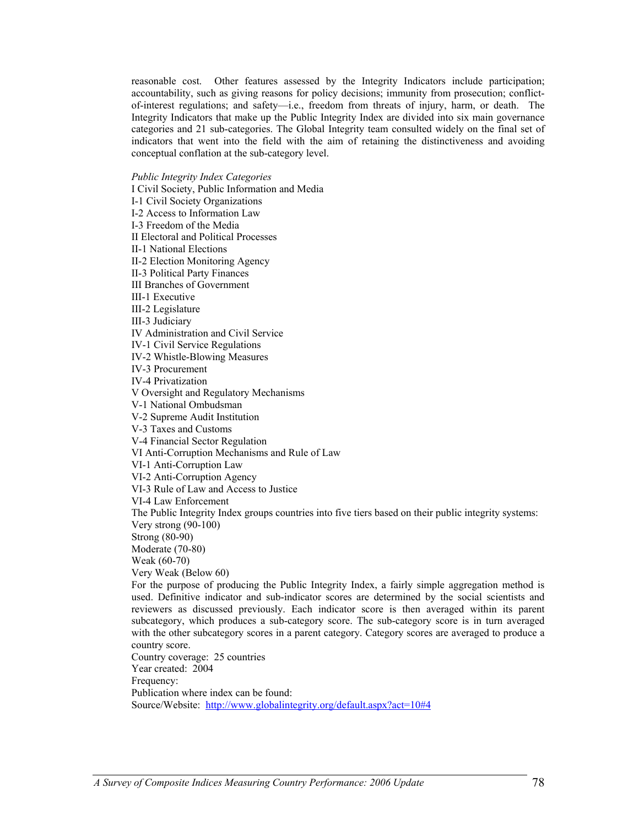reasonable cost. Other features assessed by the Integrity Indicators include participation; accountability, such as giving reasons for policy decisions; immunity from prosecution; conflictof-interest regulations; and safety—i.e., freedom from threats of injury, harm, or death. The Integrity Indicators that make up the Public Integrity Index are divided into six main governance categories and 21 sub-categories. The Global Integrity team consulted widely on the final set of indicators that went into the field with the aim of retaining the distinctiveness and avoiding conceptual conflation at the sub-category level.

*Public Integrity Index Categories* 

I Civil Society, Public Information and Media I-1 Civil Society Organizations I-2 Access to Information Law I-3 Freedom of the Media II Electoral and Political Processes II-1 National Elections II-2 Election Monitoring Agency II-3 Political Party Finances III Branches of Government III-1 Executive III-2 Legislature III-3 Judiciary IV Administration and Civil Service IV-1 Civil Service Regulations IV-2 Whistle-Blowing Measures IV-3 Procurement IV-4 Privatization V Oversight and Regulatory Mechanisms V-1 National Ombudsman V-2 Supreme Audit Institution V-3 Taxes and Customs V-4 Financial Sector Regulation VI Anti-Corruption Mechanisms and Rule of Law VI-1 Anti-Corruption Law VI-2 Anti-Corruption Agency VI-3 Rule of Law and Access to Justice VI-4 Law Enforcement The Public Integrity Index groups countries into five tiers based on their public integrity systems: Very strong (90-100) Strong (80-90) Moderate (70-80) Weak (60-70) Very Weak (Below 60) For the purpose of producing the Public Integrity Index, a fairly simple aggregation method is used. Definitive indicator and sub-indicator scores are determined by the social scientists and reviewers as discussed previously. Each indicator score is then averaged within its parent subcategory, which produces a sub-category score. The sub-category score is in turn averaged with the other subcategory scores in a parent category. Category scores are averaged to produce a country score. Country coverage: 25 countries Year created: 2004 Frequency: Publication where index can be found:

Source/Website: http://www.globalintegrity.org/default.aspx?act=10#4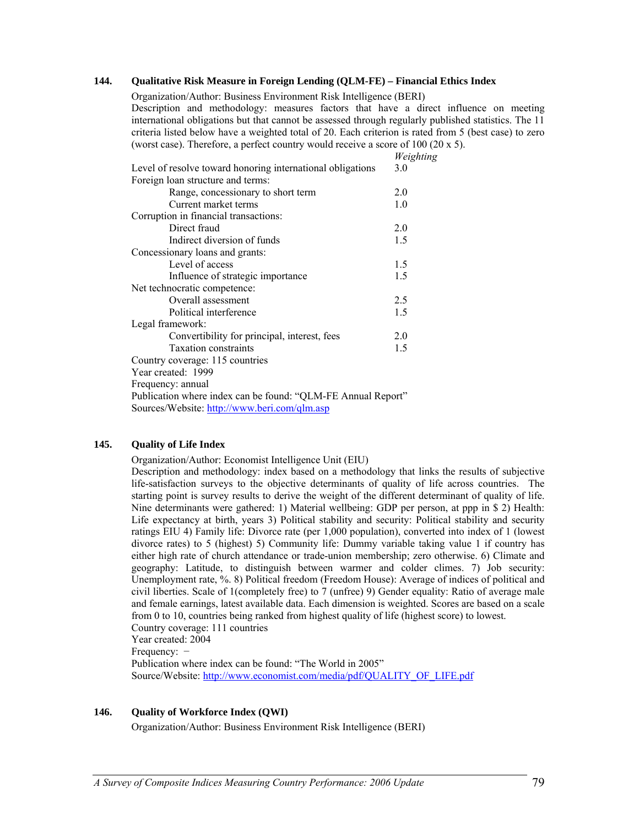# **144. Qualitative Risk Measure in Foreign Lending (QLM-FE) – Financial Ethics Index**

Organization/Author: Business Environment Risk Intelligence (BERI)

Description and methodology: measures factors that have a direct influence on meeting international obligations but that cannot be assessed through regularly published statistics. The 11 criteria listed below have a weighted total of 20. Each criterion is rated from 5 (best case) to zero (worst case). Therefore, a perfect country would receive a score of 100 (20 x 5).

# **145. Quality of Life Index**

Organization/Author: Economist Intelligence Unit (EIU)

Description and methodology: index based on a methodology that links the results of subjective life-satisfaction surveys to the objective determinants of quality of life across countries. The starting point is survey results to derive the weight of the different determinant of quality of life. Nine determinants were gathered: 1) Material wellbeing: GDP per person, at ppp in \$ 2) Health: Life expectancy at birth, years 3) Political stability and security: Political stability and security ratings EIU 4) Family life: Divorce rate (per 1,000 population), converted into index of 1 (lowest divorce rates) to 5 (highest) 5) Community life: Dummy variable taking value 1 if country has either high rate of church attendance or trade-union membership; zero otherwise. 6) Climate and geography: Latitude, to distinguish between warmer and colder climes. 7) Job security: Unemployment rate, %. 8) Political freedom (Freedom House): Average of indices of political and civil liberties. Scale of 1(completely free) to 7 (unfree) 9) Gender equality: Ratio of average male and female earnings, latest available data. Each dimension is weighted. Scores are based on a scale from 0 to 10, countries being ranked from highest quality of life (highest score) to lowest. Country coverage: 111 countries Year created: 2004 Frequency: −

Publication where index can be found: "The World in 2005" Source/Website: http://www.economist.com/media/pdf/QUALITY\_OF\_LIFE.pdf

# **146. Quality of Workforce Index (QWI)**

Organization/Author: Business Environment Risk Intelligence (BERI)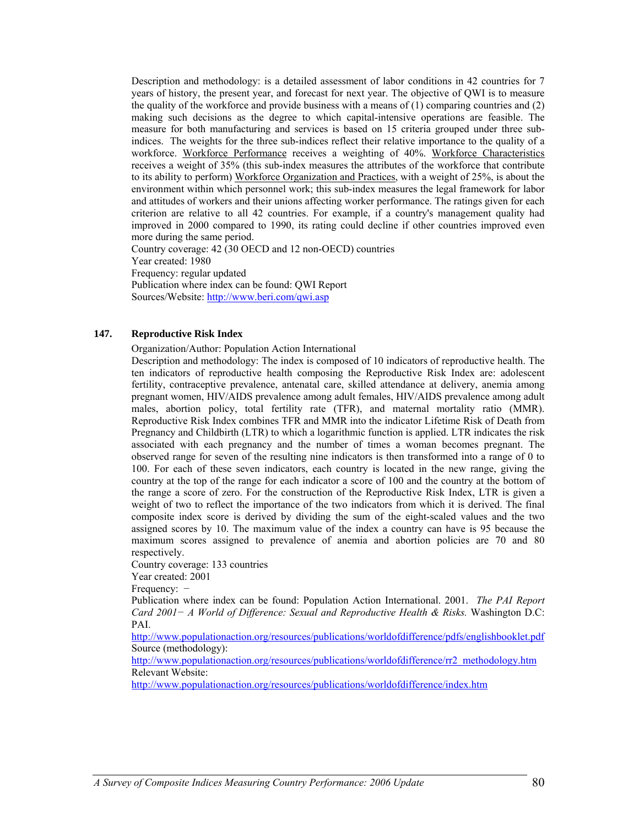Description and methodology: is a detailed assessment of labor conditions in 42 countries for 7 years of history, the present year, and forecast for next year. The objective of QWI is to measure the quality of the workforce and provide business with a means of  $(1)$  comparing countries and  $(2)$ making such decisions as the degree to which capital-intensive operations are feasible. The measure for both manufacturing and services is based on 15 criteria grouped under three subindices. The weights for the three sub-indices reflect their relative importance to the quality of a workforce. Workforce Performance receives a weighting of 40%. Workforce Characteristics receives a weight of 35% (this sub-index measures the attributes of the workforce that contribute to its ability to perform) Workforce Organization and Practices, with a weight of 25%, is about the environment within which personnel work; this sub-index measures the legal framework for labor and attitudes of workers and their unions affecting worker performance. The ratings given for each criterion are relative to all 42 countries. For example, if a country's management quality had improved in 2000 compared to 1990, its rating could decline if other countries improved even more during the same period.

 Country coverage: 42 (30 OECD and 12 non-OECD) countries Year created: 1980 Frequency: regular updated Publication where index can be found: QWI Report Sources/Website: http://www.beri.com/qwi.asp

### **147. Reproductive Risk Index**

Organization/Author: Population Action International

Description and methodology: The index is composed of 10 indicators of reproductive health. The ten indicators of reproductive health composing the Reproductive Risk Index are: adolescent fertility, contraceptive prevalence, antenatal care, skilled attendance at delivery, anemia among pregnant women, HIV/AIDS prevalence among adult females, HIV/AIDS prevalence among adult males, abortion policy, total fertility rate (TFR), and maternal mortality ratio (MMR). Reproductive Risk Index combines TFR and MMR into the indicator Lifetime Risk of Death from Pregnancy and Childbirth (LTR) to which a logarithmic function is applied. LTR indicates the risk associated with each pregnancy and the number of times a woman becomes pregnant. The observed range for seven of the resulting nine indicators is then transformed into a range of 0 to 100. For each of these seven indicators, each country is located in the new range, giving the country at the top of the range for each indicator a score of 100 and the country at the bottom of the range a score of zero. For the construction of the Reproductive Risk Index, LTR is given a weight of two to reflect the importance of the two indicators from which it is derived. The final composite index score is derived by dividing the sum of the eight-scaled values and the two assigned scores by 10. The maximum value of the index a country can have is 95 because the maximum scores assigned to prevalence of anemia and abortion policies are 70 and 80 respectively.

Country coverage: 133 countries

Year created: 2001

Frequency: −

Publication where index can be found: Population Action International. 2001. *The PAI Report Card 2001− A World of Difference: Sexual and Reproductive Health & Risks.* Washington D.C: PAI.

http://www.populationaction.org/resources/publications/worldofdifference/pdfs/englishbooklet.pdf Source (methodology):

http://www.populationaction.org/resources/publications/worldofdifference/rr2\_methodology.htm Relevant Website:

http://www.populationaction.org/resources/publications/worldofdifference/index.htm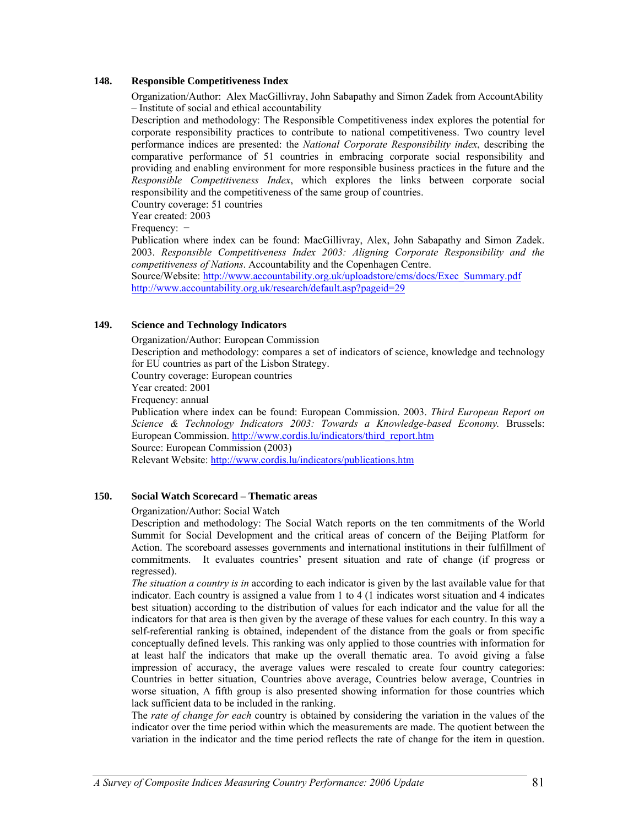## **148. Responsible Competitiveness Index**

Organization/Author: Alex MacGillivray, John Sabapathy and Simon Zadek from AccountAbility – Institute of social and ethical accountability

Description and methodology: The Responsible Competitiveness index explores the potential for corporate responsibility practices to contribute to national competitiveness. Two country level performance indices are presented: the *National Corporate Responsibility index*, describing the comparative performance of 51 countries in embracing corporate social responsibility and providing and enabling environment for more responsible business practices in the future and the *Responsible Competitiveness Index*, which explores the links between corporate social responsibility and the competitiveness of the same group of countries.

Country coverage: 51 countries

Year created: 2003

Frequency: −

Publication where index can be found: MacGillivray, Alex, John Sabapathy and Simon Zadek. 2003. *Responsible Competitiveness Index 2003: Aligning Corporate Responsibility and the competitiveness of Nations*. Accountability and the Copenhagen Centre.

 Source/Website: http://www.accountability.org.uk/uploadstore/cms/docs/Exec\_Summary.pdf http://www.accountability.org.uk/research/default.asp?pageid=29

## **149. Science and Technology Indicators**

Organization/Author: European Commission

Description and methodology: compares a set of indicators of science, knowledge and technology for EU countries as part of the Lisbon Strategy.

Country coverage: European countries

Year created: 2001

Frequency: annual

Publication where index can be found: European Commission. 2003. *Third European Report on Science & Technology Indicators 2003: Towards a Knowledge-based Economy.* Brussels: European Commission. http://www.cordis.lu/indicators/third\_report.htm Source: European Commission (2003)

Relevant Website: http://www.cordis.lu/indicators/publications.htm

# **150. Social Watch Scorecard – Thematic areas**

Organization/Author: Social Watch

Description and methodology: The Social Watch reports on the ten commitments of the World Summit for Social Development and the critical areas of concern of the Beijing Platform for Action. The scoreboard assesses governments and international institutions in their fulfillment of commitments. It evaluates countries' present situation and rate of change (if progress or regressed).

*The situation a country is in* according to each indicator is given by the last available value for that indicator. Each country is assigned a value from 1 to 4 (1 indicates worst situation and 4 indicates best situation) according to the distribution of values for each indicator and the value for all the indicators for that area is then given by the average of these values for each country. In this way a self-referential ranking is obtained, independent of the distance from the goals or from specific conceptually defined levels. This ranking was only applied to those countries with information for at least half the indicators that make up the overall thematic area. To avoid giving a false impression of accuracy, the average values were rescaled to create four country categories: Countries in better situation, Countries above average, Countries below average, Countries in worse situation, A fifth group is also presented showing information for those countries which lack sufficient data to be included in the ranking.

The *rate of change for each* country is obtained by considering the variation in the values of the indicator over the time period within which the measurements are made. The quotient between the variation in the indicator and the time period reflects the rate of change for the item in question.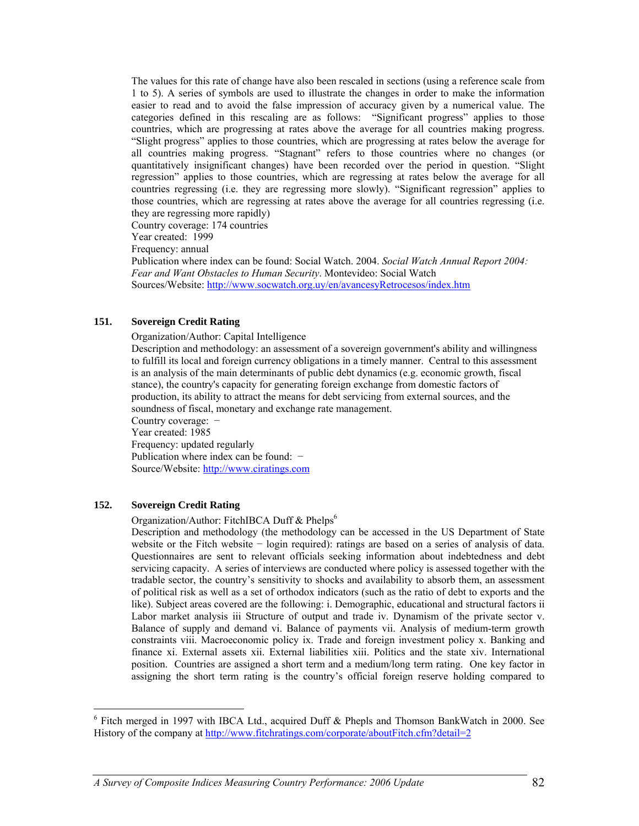The values for this rate of change have also been rescaled in sections (using a reference scale from 1 to 5). A series of symbols are used to illustrate the changes in order to make the information easier to read and to avoid the false impression of accuracy given by a numerical value. The categories defined in this rescaling are as follows: "Significant progress" applies to those countries, which are progressing at rates above the average for all countries making progress. "Slight progress" applies to those countries, which are progressing at rates below the average for all countries making progress. "Stagnant" refers to those countries where no changes (or quantitatively insignificant changes) have been recorded over the period in question. "Slight regression" applies to those countries, which are regressing at rates below the average for all countries regressing (i.e. they are regressing more slowly). "Significant regression" applies to those countries, which are regressing at rates above the average for all countries regressing (i.e. they are regressing more rapidly)

Country coverage: 174 countries

Year created: 1999

Frequency: annual

Publication where index can be found: Social Watch. 2004. *Social Watch Annual Report 2004: Fear and Want Obstacles to Human Security*. Montevideo: Social Watch Sources/Website: http://www.socwatch.org.uy/en/avancesyRetrocesos/index.htm

# **151. Sovereign Credit Rating**

Organization/Author: Capital Intelligence

Description and methodology: an assessment of a sovereign government's ability and willingness to fulfill its local and foreign currency obligations in a timely manner. Central to this assessment is an analysis of the main determinants of public debt dynamics (e.g. economic growth, fiscal stance), the country's capacity for generating foreign exchange from domestic factors of production, its ability to attract the means for debt servicing from external sources, and the soundness of fiscal, monetary and exchange rate management.

Country coverage: – Year created: 1985

Frequency: updated regularly Publication where index can be found: −

Source/Website: http://www.ciratings.com

# **152. Sovereign Credit Rating**

 $\overline{a}$ 

Organization/Author: FitchIBCA Duff & Phelps<sup>6</sup>

Description and methodology (the methodology can be accessed in the US Department of State website or the Fitch website − login required): ratings are based on a series of analysis of data. Questionnaires are sent to relevant officials seeking information about indebtedness and debt servicing capacity. A series of interviews are conducted where policy is assessed together with the tradable sector, the country's sensitivity to shocks and availability to absorb them, an assessment of political risk as well as a set of orthodox indicators (such as the ratio of debt to exports and the like). Subject areas covered are the following: i. Demographic, educational and structural factors ii Labor market analysis iii Structure of output and trade iv. Dynamism of the private sector v. Balance of supply and demand vi. Balance of payments vii. Analysis of medium-term growth constraints viii. Macroeconomic policy ix. Trade and foreign investment policy x. Banking and finance xi. External assets xii. External liabilities xiii. Politics and the state xiv. International position. Countries are assigned a short term and a medium/long term rating. One key factor in assigning the short term rating is the country's official foreign reserve holding compared to

<sup>&</sup>lt;sup>6</sup> Fitch merged in 1997 with IBCA Ltd., acquired Duff & Phepls and Thomson BankWatch in 2000. See History of the company at http://www.fitchratings.com/corporate/aboutFitch.cfm?detail=2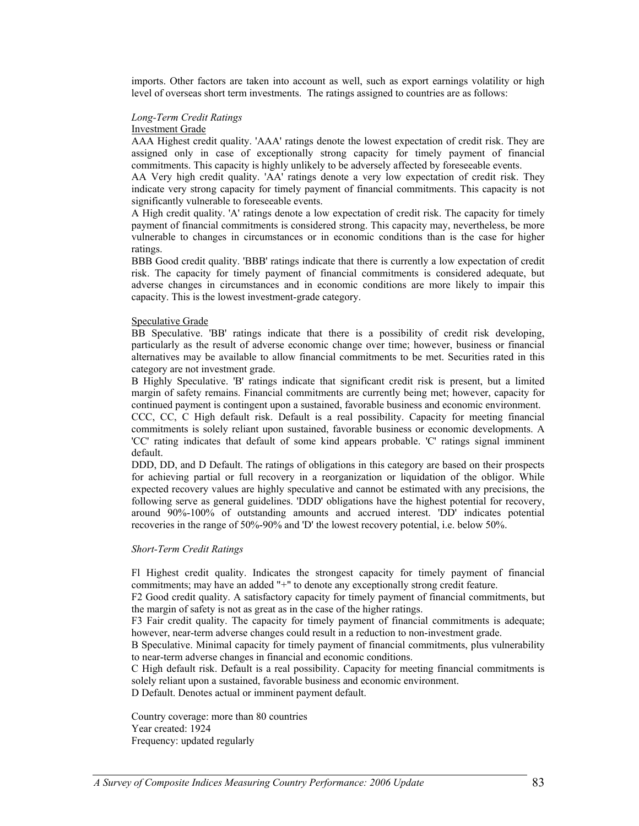imports. Other factors are taken into account as well, such as export earnings volatility or high level of overseas short term investments. The ratings assigned to countries are as follows:

### *Long-Term Credit Ratings*

#### Investment Grade

AAA Highest credit quality. 'AAA' ratings denote the lowest expectation of credit risk. They are assigned only in case of exceptionally strong capacity for timely payment of financial commitments. This capacity is highly unlikely to be adversely affected by foreseeable events.

AA Very high credit quality. 'AA' ratings denote a very low expectation of credit risk. They indicate very strong capacity for timely payment of financial commitments. This capacity is not significantly vulnerable to foreseeable events.

A High credit quality. 'A' ratings denote a low expectation of credit risk. The capacity for timely payment of financial commitments is considered strong. This capacity may, nevertheless, be more vulnerable to changes in circumstances or in economic conditions than is the case for higher ratings.

BBB Good credit quality. 'BBB' ratings indicate that there is currently a low expectation of credit risk. The capacity for timely payment of financial commitments is considered adequate, but adverse changes in circumstances and in economic conditions are more likely to impair this capacity. This is the lowest investment-grade category.

### Speculative Grade

BB Speculative. 'BB' ratings indicate that there is a possibility of credit risk developing, particularly as the result of adverse economic change over time; however, business or financial alternatives may be available to allow financial commitments to be met. Securities rated in this category are not investment grade.

B Highly Speculative. 'B' ratings indicate that significant credit risk is present, but a limited margin of safety remains. Financial commitments are currently being met; however, capacity for continued payment is contingent upon a sustained, favorable business and economic environment.

CCC, CC, C High default risk. Default is a real possibility. Capacity for meeting financial commitments is solely reliant upon sustained, favorable business or economic developments. A 'CC' rating indicates that default of some kind appears probable. 'C' ratings signal imminent default.

DDD, DD, and D Default. The ratings of obligations in this category are based on their prospects for achieving partial or full recovery in a reorganization or liquidation of the obligor. While expected recovery values are highly speculative and cannot be estimated with any precisions, the following serve as general guidelines. 'DDD' obligations have the highest potential for recovery, around 90%-100% of outstanding amounts and accrued interest. 'DD' indicates potential recoveries in the range of 50%-90% and 'D' the lowest recovery potential, i.e. below 50%.

#### *Short-Term Credit Ratings*

Fl Highest credit quality. Indicates the strongest capacity for timely payment of financial commitments; may have an added "+" to denote any exceptionally strong credit feature.

F2 Good credit quality. A satisfactory capacity for timely payment of financial commitments, but the margin of safety is not as great as in the case of the higher ratings.

F3 Fair credit quality. The capacity for timely payment of financial commitments is adequate; however, near-term adverse changes could result in a reduction to non-investment grade.

B Speculative. Minimal capacity for timely payment of financial commitments, plus vulnerability to near-term adverse changes in financial and economic conditions.

C High default risk. Default is a real possibility. Capacity for meeting financial commitments is solely reliant upon a sustained, favorable business and economic environment.

D Default. Denotes actual or imminent payment default.

Country coverage: more than 80 countries Year created: 1924 Frequency: updated regularly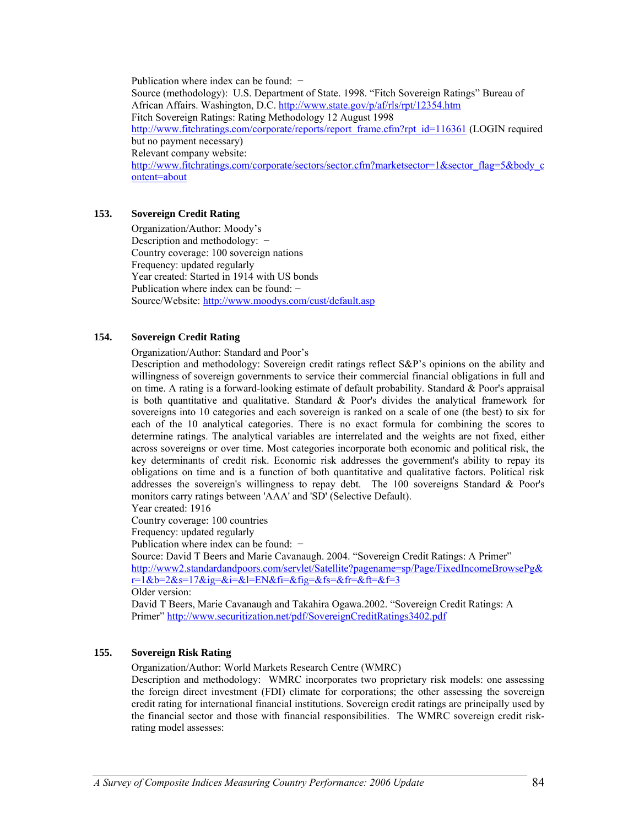Publication where index can be found: − Source (methodology): U.S. Department of State. 1998. "Fitch Sovereign Ratings" Bureau of African Affairs. Washington, D.C. http://www.state.gov/p/af/rls/rpt/12354.htm Fitch Sovereign Ratings: Rating Methodology 12 August 1998 http://www.fitchratings.com/corporate/reports/report\_frame.cfm?rpt\_id=116361 (LOGIN required but no payment necessary) Relevant company website: http://www.fitchratings.com/corporate/sectors/sector.cfm?marketsector=1&sector\_flag=5&body\_c ontent=about

# **153. Sovereign Credit Rating**

Organization/Author: Moody's Description and methodology:  $−$ Country coverage: 100 sovereign nations Frequency: updated regularly Year created: Started in 1914 with US bonds Publication where index can be found: − Source/Website: http://www.moodys.com/cust/default.asp

# **154. Sovereign Credit Rating**

Organization/Author: Standard and Poor's

Description and methodology: Sovereign credit ratings reflect S&P's opinions on the ability and willingness of sovereign governments to service their commercial financial obligations in full and on time. A rating is a forward-looking estimate of default probability. Standard  $\&$  Poor's appraisal is both quantitative and qualitative. Standard  $\&$  Poor's divides the analytical framework for sovereigns into 10 categories and each sovereign is ranked on a scale of one (the best) to six for each of the 10 analytical categories. There is no exact formula for combining the scores to determine ratings. The analytical variables are interrelated and the weights are not fixed, either across sovereigns or over time. Most categories incorporate both economic and political risk, the key determinants of credit risk. Economic risk addresses the government's ability to repay its obligations on time and is a function of both quantitative and qualitative factors. Political risk addresses the sovereign's willingness to repay debt. The 100 sovereigns Standard & Poor's monitors carry ratings between 'AAA' and 'SD' (Selective Default).

Year created: 1916

Country coverage: 100 countries

Frequency: updated regularly

Publication where index can be found: −

Source: David T Beers and Marie Cavanaugh. 2004. "Sovereign Credit Ratings: A Primer" http://www2.standardandpoors.com/servlet/Satellite?pagename=sp/Page/FixedIncomeBrowsePg&  $r=1$ &b=2&s=17&ig=&i=&l=EN&fi=&fig=&fs=&fr=&ft=&f=3

Older version:

David T Beers, Marie Cavanaugh and Takahira Ogawa.2002. "Sovereign Credit Ratings: A Primer" http://www.securitization.net/pdf/SovereignCreditRatings3402.pdf

# **155. Sovereign Risk Rating**

Organization/Author: World Markets Research Centre (WMRC)

Description and methodology: WMRC incorporates two proprietary risk models: one assessing the foreign direct investment (FDI) climate for corporations; the other assessing the sovereign credit rating for international financial institutions. Sovereign credit ratings are principally used by the financial sector and those with financial responsibilities. The WMRC sovereign credit riskrating model assesses: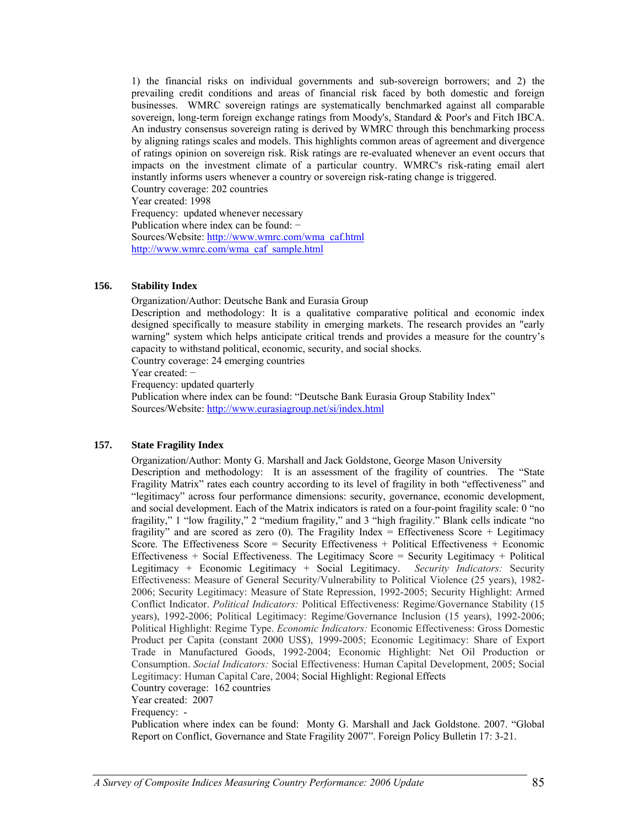1) the financial risks on individual governments and sub-sovereign borrowers; and 2) the prevailing credit conditions and areas of financial risk faced by both domestic and foreign businesses. WMRC sovereign ratings are systematically benchmarked against all comparable sovereign, long-term foreign exchange ratings from Moody's, Standard & Poor's and Fitch IBCA. An industry consensus sovereign rating is derived by WMRC through this benchmarking process by aligning ratings scales and models. This highlights common areas of agreement and divergence of ratings opinion on sovereign risk. Risk ratings are re-evaluated whenever an event occurs that impacts on the investment climate of a particular country. WMRC's risk-rating email alert instantly informs users whenever a country or sovereign risk-rating change is triggered. Country coverage: 202 countries

Year created: 1998

Frequency: updated whenever necessary

Publication where index can be found: −

Sources/Website: http://www.wmrc.com/wma\_caf.html http://www.wmrc.com/wma\_caf\_sample.html

### **156. Stability Index**

Organization/Author: Deutsche Bank and Eurasia Group

Description and methodology: It is a qualitative comparative political and economic index designed specifically to measure stability in emerging markets. The research provides an "early warning" system which helps anticipate critical trends and provides a measure for the country's capacity to withstand political, economic, security, and social shocks.

Country coverage: 24 emerging countries

Year created: −

Frequency: updated quarterly

Publication where index can be found: "Deutsche Bank Eurasia Group Stability Index" Sources/Website: http://www.eurasiagroup.net/si/index.html

## **157. State Fragility Index**

Organization/Author: Monty G. Marshall and Jack Goldstone, George Mason University Description and methodology: It is an assessment of the fragility of countries. The "State Fragility Matrix" rates each country according to its level of fragility in both "effectiveness" and "legitimacy" across four performance dimensions: security, governance, economic development, and social development. Each of the Matrix indicators is rated on a four-point fragility scale: 0 "no fragility," 1 "low fragility," 2 "medium fragility," and 3 "high fragility." Blank cells indicate "no fragility" and are scored as zero (0). The Fragility Index = Effectiveness Score + Legitimacy Score. The Effectiveness Score = Security Effectiveness + Political Effectiveness + Economic Effectiveness + Social Effectiveness. The Legitimacy Score = Security Legitimacy + Political Legitimacy + Economic Legitimacy + Social Legitimacy. *Security Indicators:* Security Effectiveness: Measure of General Security/Vulnerability to Political Violence (25 years), 1982- 2006; Security Legitimacy: Measure of State Repression, 1992-2005; Security Highlight: Armed Conflict Indicator. *Political Indicators:* Political Effectiveness: Regime/Governance Stability (15 years), 1992-2006; Political Legitimacy: Regime/Governance Inclusion (15 years), 1992-2006; Political Highlight: Regime Type. *Economic Indicators:* Economic Effectiveness: Gross Domestic Product per Capita (constant 2000 US\$), 1999-2005; Economic Legitimacy: Share of Export Trade in Manufactured Goods, 1992-2004; Economic Highlight: Net Oil Production or Consumption. *Social Indicators:* Social Effectiveness: Human Capital Development, 2005; Social Legitimacy: Human Capital Care, 2004; Social Highlight: Regional Effects Country coverage: 162 countries Year created: 2007 Frequency: -

Publication where index can be found: Monty G. Marshall and Jack Goldstone. 2007. "Global Report on Conflict, Governance and State Fragility 2007". Foreign Policy Bulletin 17: 3-21.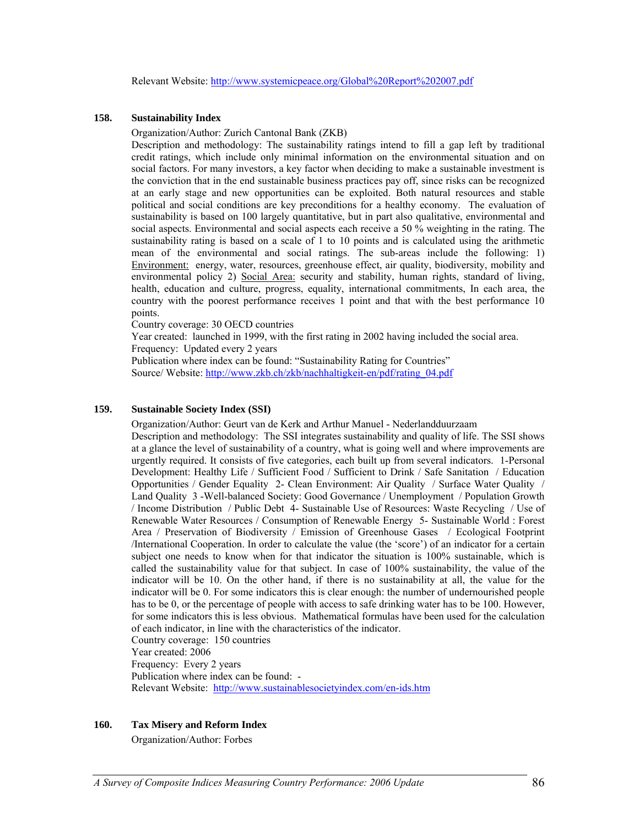Relevant Website: http://www.systemicpeace.org/Global%20Report%202007.pdf

### **158. Sustainability Index**

Organization/Author: Zurich Cantonal Bank (ZKB)

Description and methodology: The sustainability ratings intend to fill a gap left by traditional credit ratings, which include only minimal information on the environmental situation and on social factors. For many investors, a key factor when deciding to make a sustainable investment is the conviction that in the end sustainable business practices pay off, since risks can be recognized at an early stage and new opportunities can be exploited. Both natural resources and stable political and social conditions are key preconditions for a healthy economy. The evaluation of sustainability is based on 100 largely quantitative, but in part also qualitative, environmental and social aspects. Environmental and social aspects each receive a 50 % weighting in the rating. The sustainability rating is based on a scale of 1 to 10 points and is calculated using the arithmetic mean of the environmental and social ratings. The sub-areas include the following: 1) Environment: energy, water, resources, greenhouse effect, air quality, biodiversity, mobility and environmental policy 2) Social Area: security and stability, human rights, standard of living, health, education and culture, progress, equality, international commitments, In each area, the country with the poorest performance receives 1 point and that with the best performance 10 points.

Country coverage: 30 OECD countries

Year created: launched in 1999, with the first rating in 2002 having included the social area. Frequency: Updated every 2 years

Publication where index can be found: "Sustainability Rating for Countries" Source/ Website: http://www.zkb.ch/zkb/nachhaltigkeit-en/pdf/rating\_04.pdf

### **159. Sustainable Society Index (SSI)**

Organization/Author: Geurt van de Kerk and Arthur Manuel - Nederlandduurzaam Description and methodology: The SSI integrates sustainability and quality of life. The SSI shows at a glance the level of sustainability of a country, what is going well and where improvements are urgently required. It consists of five categories, each built up from several indicators. 1-Personal Development: Healthy Life / Sufficient Food / Sufficient to Drink / Safe Sanitation / Education Opportunities / Gender Equality 2- Clean Environment: Air Quality / Surface Water Quality / Land Quality 3 -Well-balanced Society: Good Governance / Unemployment / Population Growth / Income Distribution / Public Debt 4- Sustainable Use of Resources: Waste Recycling / Use of Renewable Water Resources / Consumption of Renewable Energy 5- Sustainable World : Forest Area / Preservation of Biodiversity / Emission of Greenhouse Gases / Ecological Footprint /International Cooperation. In order to calculate the value (the 'score') of an indicator for a certain subject one needs to know when for that indicator the situation is  $100\%$  sustainable, which is called the sustainability value for that subject. In case of 100% sustainability, the value of the indicator will be 10. On the other hand, if there is no sustainability at all, the value for the indicator will be 0. For some indicators this is clear enough: the number of undernourished people has to be 0, or the percentage of people with access to safe drinking water has to be 100. However, for some indicators this is less obvious. Mathematical formulas have been used for the calculation of each indicator, in line with the characteristics of the indicator. Country coverage: 150 countries

Year created: 2006

Frequency: Every 2 years

Publication where index can be found: - Relevant Website: http://www.sustainablesocietyindex.com/en-ids.htm

#### **160. Tax Misery and Reform Index**

Organization/Author: Forbes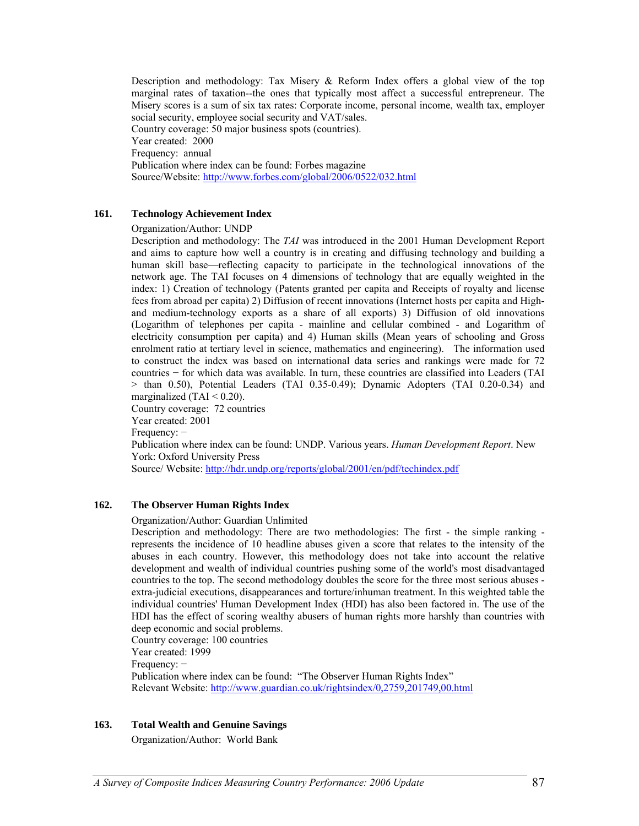Description and methodology: Tax Misery & Reform Index offers a global view of the top marginal rates of taxation--the ones that typically most affect a successful entrepreneur. The Misery scores is a sum of six tax rates: Corporate income, personal income, wealth tax, employer social security, employee social security and VAT/sales. Country coverage: 50 major business spots (countries). Year created: 2000 Frequency: annual Publication where index can be found: Forbes magazine Source/Website: http://www.forbes.com/global/2006/0522/032.html

### **161. Technology Achievement Index**

Organization/Author: UNDP

Description and methodology: The *TAI* was introduced in the 2001 Human Development Report and aims to capture how well a country is in creating and diffusing technology and building a human skill base—reflecting capacity to participate in the technological innovations of the network age. The TAI focuses on 4 dimensions of technology that are equally weighted in the index: 1) Creation of technology (Patents granted per capita and Receipts of royalty and license fees from abroad per capita) 2) Diffusion of recent innovations (Internet hosts per capita and Highand medium-technology exports as a share of all exports) 3) Diffusion of old innovations (Logarithm of telephones per capita - mainline and cellular combined - and Logarithm of electricity consumption per capita) and 4) Human skills (Mean years of schooling and Gross enrolment ratio at tertiary level in science, mathematics and engineering). The information used to construct the index was based on international data series and rankings were made for 72 countries − for which data was available. In turn, these countries are classified into Leaders (TAI > than 0.50), Potential Leaders (TAI 0.35-0.49); Dynamic Adopters (TAI 0.20-0.34) and marginalized (TAI  $< 0.20$ ).

Country coverage: 72 countries Year created: 2001 Frequency: − Publication where index can be found: UNDP. Various years. *Human Development Report*. New York: Oxford University Press Source/ Website: http://hdr.undp.org/reports/global/2001/en/pdf/techindex.pdf

#### **162. The Observer Human Rights Index**

#### Organization/Author: Guardian Unlimited

Description and methodology: There are two methodologies: The first - the simple ranking represents the incidence of 10 headline abuses given a score that relates to the intensity of the abuses in each country. However, this methodology does not take into account the relative development and wealth of individual countries pushing some of the world's most disadvantaged countries to the top. The second methodology doubles the score for the three most serious abuses extra-judicial executions, disappearances and torture/inhuman treatment. In this weighted table the individual countries' Human Development Index (HDI) has also been factored in. The use of the HDI has the effect of scoring wealthy abusers of human rights more harshly than countries with deep economic and social problems.

Country coverage: 100 countries Year created: 1999 Frequency: − Publication where index can be found: "The Observer Human Rights Index" Relevant Website: http://www.guardian.co.uk/rightsindex/0,2759,201749,00.html

#### **163. Total Wealth and Genuine Savings**

Organization/Author: World Bank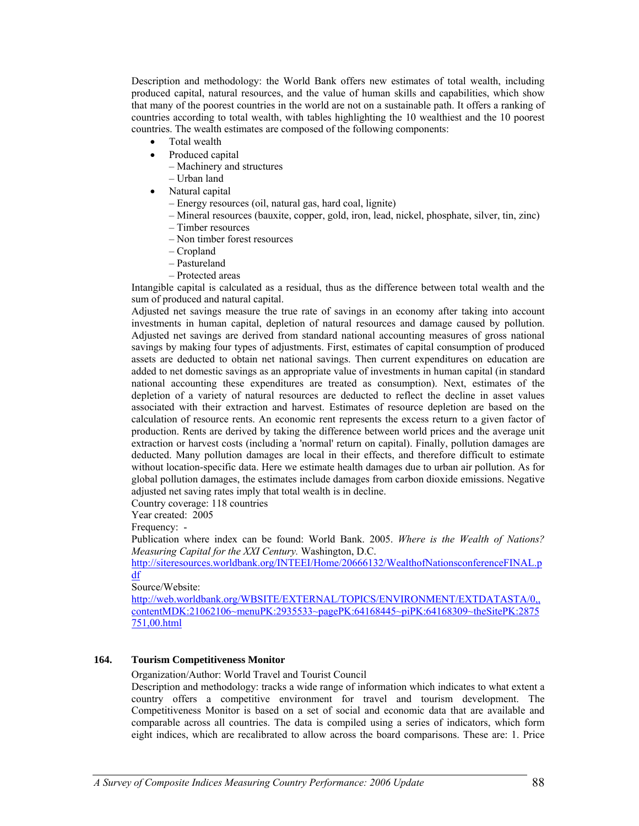Description and methodology: the World Bank offers new estimates of total wealth, including produced capital, natural resources, and the value of human skills and capabilities, which show that many of the poorest countries in the world are not on a sustainable path. It offers a ranking of countries according to total wealth, with tables highlighting the 10 wealthiest and the 10 poorest countries. The wealth estimates are composed of the following components:

- Total wealth
- Produced capital
	- Machinery and structures
	- Urban land
- Natural capital
	- Energy resources (oil, natural gas, hard coal, lignite)
	- Mineral resources (bauxite, copper, gold, iron, lead, nickel, phosphate, silver, tin, zinc)
	- Timber resources
	- Non timber forest resources
	- Cropland
	- Pastureland
	- Protected areas

Intangible capital is calculated as a residual, thus as the difference between total wealth and the sum of produced and natural capital.

Adjusted net savings measure the true rate of savings in an economy after taking into account investments in human capital, depletion of natural resources and damage caused by pollution. Adjusted net savings are derived from standard national accounting measures of gross national savings by making four types of adjustments. First, estimates of capital consumption of produced assets are deducted to obtain net national savings. Then current expenditures on education are added to net domestic savings as an appropriate value of investments in human capital (in standard national accounting these expenditures are treated as consumption). Next, estimates of the depletion of a variety of natural resources are deducted to reflect the decline in asset values associated with their extraction and harvest. Estimates of resource depletion are based on the calculation of resource rents. An economic rent represents the excess return to a given factor of production. Rents are derived by taking the difference between world prices and the average unit extraction or harvest costs (including a 'normal' return on capital). Finally, pollution damages are deducted. Many pollution damages are local in their effects, and therefore difficult to estimate without location-specific data. Here we estimate health damages due to urban air pollution. As for global pollution damages, the estimates include damages from carbon dioxide emissions. Negative adjusted net saving rates imply that total wealth is in decline.

Country coverage: 118 countries

Year created: 2005

Frequency: -

Publication where index can be found: World Bank. 2005. *Where is the Wealth of Nations? Measuring Capital for the XXI Century.* Washington, D.C.

http://siteresources.worldbank.org/INTEEI/Home/20666132/WealthofNationsconferenceFINAL.p df

Source/Website:

http://web.worldbank.org/WBSITE/EXTERNAL/TOPICS/ENVIRONMENT/EXTDATASTA/0,, contentMDK:21062106~menuPK:2935533~pagePK:64168445~piPK:64168309~theSitePK:2875 751,00.html

# **164. Tourism Competitiveness Monitor**

Organization/Author: World Travel and Tourist Council

Description and methodology: tracks a wide range of information which indicates to what extent a country offers a competitive environment for travel and tourism development. The Competitiveness Monitor is based on a set of social and economic data that are available and comparable across all countries. The data is compiled using a series of indicators, which form eight indices, which are recalibrated to allow across the board comparisons. These are: 1. Price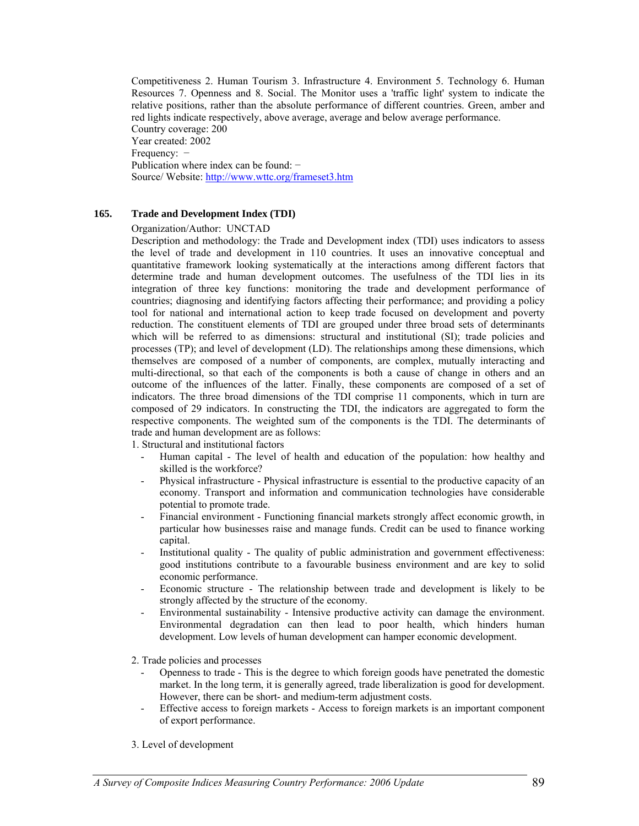Competitiveness 2. Human Tourism 3. Infrastructure 4. Environment 5. Technology 6. Human Resources 7. Openness and 8. Social. The Monitor uses a 'traffic light' system to indicate the relative positions, rather than the absolute performance of different countries. Green, amber and red lights indicate respectively, above average, average and below average performance. Country coverage: 200 Year created: 2002 Frequency: − Publication where index can be found: -Source/ Website: http://www.wttc.org/frameset3.htm

# **165. Trade and Development Index (TDI)**

#### Organization/Author: UNCTAD

Description and methodology: the Trade and Development index (TDI) uses indicators to assess the level of trade and development in 110 countries. It uses an innovative conceptual and quantitative framework looking systematically at the interactions among different factors that determine trade and human development outcomes. The usefulness of the TDI lies in its integration of three key functions: monitoring the trade and development performance of countries; diagnosing and identifying factors affecting their performance; and providing a policy tool for national and international action to keep trade focused on development and poverty reduction. The constituent elements of TDI are grouped under three broad sets of determinants which will be referred to as dimensions: structural and institutional (SI); trade policies and processes (TP); and level of development (LD). The relationships among these dimensions, which themselves are composed of a number of components, are complex, mutually interacting and multi-directional, so that each of the components is both a cause of change in others and an outcome of the influences of the latter. Finally, these components are composed of a set of indicators. The three broad dimensions of the TDI comprise 11 components, which in turn are composed of 29 indicators. In constructing the TDI, the indicators are aggregated to form the respective components. The weighted sum of the components is the TDI. The determinants of trade and human development are as follows:

1. Structural and institutional factors

- Human capital The level of health and education of the population: how healthy and skilled is the workforce?
- Physical infrastructure Physical infrastructure is essential to the productive capacity of an economy. Transport and information and communication technologies have considerable potential to promote trade.
- Financial environment Functioning financial markets strongly affect economic growth, in particular how businesses raise and manage funds. Credit can be used to finance working capital.
- Institutional quality The quality of public administration and government effectiveness: good institutions contribute to a favourable business environment and are key to solid economic performance.
- Economic structure The relationship between trade and development is likely to be strongly affected by the structure of the economy.
- Environmental sustainability Intensive productive activity can damage the environment. Environmental degradation can then lead to poor health, which hinders human development. Low levels of human development can hamper economic development.
- 2. Trade policies and processes
	- Openness to trade This is the degree to which foreign goods have penetrated the domestic market. In the long term, it is generally agreed, trade liberalization is good for development. However, there can be short- and medium-term adjustment costs.
	- Effective access to foreign markets Access to foreign markets is an important component of export performance.

3. Level of development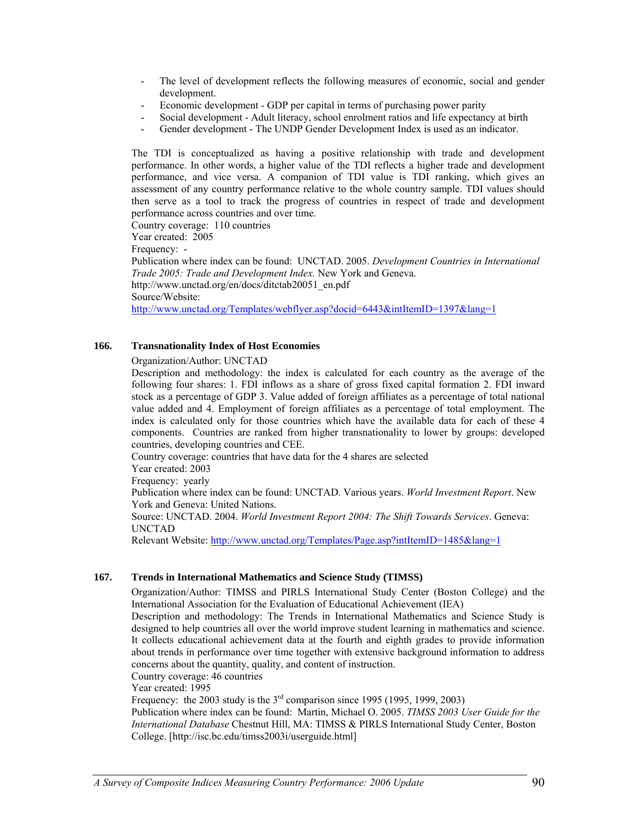- The level of development reflects the following measures of economic, social and gender development.
- Economic development GDP per capital in terms of purchasing power parity
- Social development Adult literacy, school enrolment ratios and life expectancy at birth
- Gender development The UNDP Gender Development Index is used as an indicator.

The TDI is conceptualized as having a positive relationship with trade and development performance. In other words, a higher value of the TDI reflects a higher trade and development performance, and vice versa. A companion of TDI value is TDI ranking, which gives an assessment of any country performance relative to the whole country sample. TDI values should then serve as a tool to track the progress of countries in respect of trade and development performance across countries and over time.

 Country coverage: 110 countries Year created: 2005 Frequency: - Publication where index can be found: UNCTAD. 2005. *Development Countries in International Trade 2005: Trade and Development Index.* New York and Geneva. http://www.unctad.org/en/docs/ditctab20051\_en.pdf Source/Website: http://www.unctad.org/Templates/webflyer.asp?docid=6443&intItemID=1397&lang=1

## **166. Transnationality Index of Host Economies**

#### Organization/Author: UNCTAD

Description and methodology: the index is calculated for each country as the average of the following four shares: 1. FDI inflows as a share of gross fixed capital formation 2. FDI inward stock as a percentage of GDP 3. Value added of foreign affiliates as a percentage of total national value added and 4. Employment of foreign affiliates as a percentage of total employment. The index is calculated only for those countries which have the available data for each of these 4 components. Countries are ranked from higher transnationality to lower by groups: developed countries, developing countries and CEE.

Country coverage: countries that have data for the 4 shares are selected

Year created: 2003

Frequency: yearly

Publication where index can be found: UNCTAD. Various years. *World Investment Report*. New York and Geneva: United Nations.

Source: UNCTAD. 2004. *World Investment Report 2004: The Shift Towards Services*. Geneva: UNCTAD

Relevant Website: http://www.unctad.org/Templates/Page.asp?intItemID=1485&lang=1

### **167. Trends in International Mathematics and Science Study (TIMSS)**

Organization/Author: TIMSS and PIRLS International Study Center (Boston College) and the International Association for the Evaluation of Educational Achievement (IEA)

Description and methodology: The Trends in International Mathematics and Science Study is designed to help countries all over the world improve student learning in mathematics and science. It collects educational achievement data at the fourth and eighth grades to provide information about trends in performance over time together with extensive background information to address concerns about the quantity, quality, and content of instruction.

Country coverage: 46 countries

Year created: 1995

Frequency: the 2003 study is the  $3<sup>rd</sup>$  comparison since 1995 (1995, 1999, 2003)

Publication where index can be found: Martin, Michael O. 2005. *TIMSS 2003 User Guide for the International Database* Chestnut Hill, MA: TIMSS & PIRLS International Study Center, Boston College. [http://isc.bc.edu/timss2003i/userguide.html]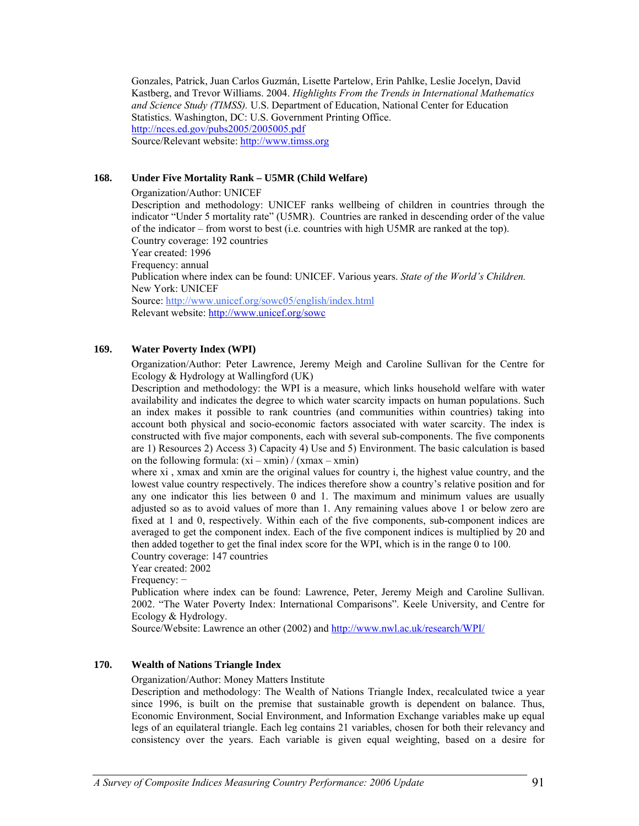Gonzales, Patrick, Juan Carlos Guzmán, Lisette Partelow, Erin Pahlke, Leslie Jocelyn, David Kastberg, and Trevor Williams. 2004. *Highlights From the Trends in International Mathematics and Science Study (TIMSS).* U.S. Department of Education, National Center for Education Statistics. Washington, DC: U.S. Government Printing Office. http://nces.ed.gov/pubs2005/2005005.pdf Source/Relevant website: http://www.timss.org

# **168. Under Five Mortality Rank – U5MR (Child Welfare)**

 Organization/Author: UNICEF Description and methodology: UNICEF ranks wellbeing of children in countries through the indicator "Under 5 mortality rate" (U5MR). Countries are ranked in descending order of the value of the indicator – from worst to best (i.e. countries with high U5MR are ranked at the top). Country coverage: 192 countries Year created: 1996 Frequency: annual Publication where index can be found: UNICEF. Various years. *State of the World's Children.*  New York: UNICEF Source: http://www.unicef.org/sowc05/english/index.html Relevant website: http://www.unicef.org/sowc

# **169. Water Poverty Index (WPI)**

Organization/Author: Peter Lawrence, Jeremy Meigh and Caroline Sullivan for the Centre for Ecology & Hydrology at Wallingford (UK)

Description and methodology: the WPI is a measure, which links household welfare with water availability and indicates the degree to which water scarcity impacts on human populations. Such an index makes it possible to rank countries (and communities within countries) taking into account both physical and socio-economic factors associated with water scarcity. The index is constructed with five major components, each with several sub-components. The five components are 1) Resources 2) Access 3) Capacity 4) Use and 5) Environment. The basic calculation is based on the following formula:  $(xi - xmin) / (xmax - xmin)$ 

where xi, xmax and xmin are the original values for country i, the highest value country, and the lowest value country respectively. The indices therefore show a country's relative position and for any one indicator this lies between 0 and 1. The maximum and minimum values are usually adjusted so as to avoid values of more than 1. Any remaining values above 1 or below zero are fixed at 1 and 0, respectively. Within each of the five components, sub-component indices are averaged to get the component index. Each of the five component indices is multiplied by 20 and then added together to get the final index score for the WPI, which is in the range 0 to 100.

Country coverage: 147 countries

Year created: 2002

Frequency: −

Publication where index can be found: Lawrence, Peter, Jeremy Meigh and Caroline Sullivan. 2002. "The Water Poverty Index: International Comparisons". Keele University, and Centre for Ecology & Hydrology.

Source/Website: Lawrence an other (2002) and http://www.nwl.ac.uk/research/WPI/

# **170. Wealth of Nations Triangle Index**

Organization/Author: Money Matters Institute

Description and methodology: The Wealth of Nations Triangle Index, recalculated twice a year since 1996, is built on the premise that sustainable growth is dependent on balance. Thus, Economic Environment, Social Environment, and Information Exchange variables make up equal legs of an equilateral triangle. Each leg contains 21 variables, chosen for both their relevancy and consistency over the years. Each variable is given equal weighting, based on a desire for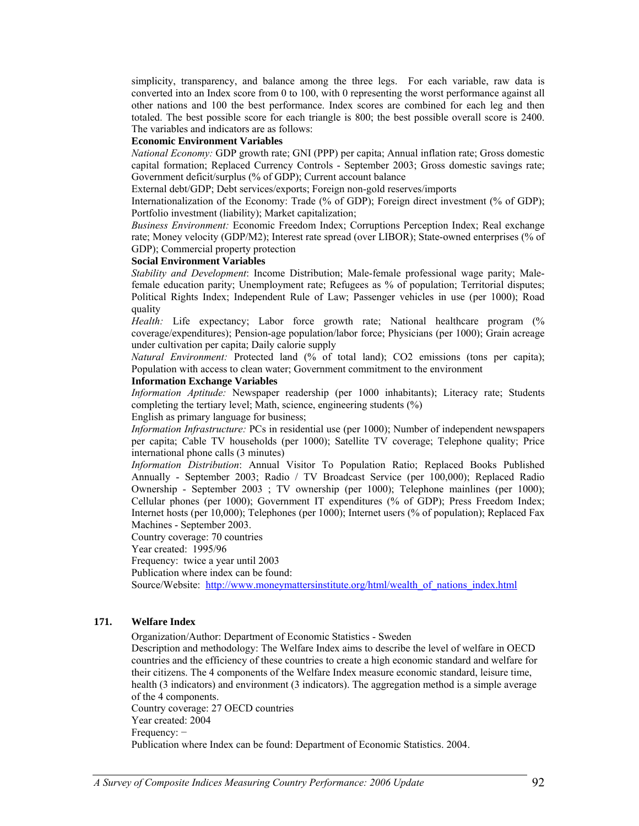simplicity, transparency, and balance among the three legs. For each variable, raw data is converted into an Index score from 0 to 100, with 0 representing the worst performance against all other nations and 100 the best performance. Index scores are combined for each leg and then totaled. The best possible score for each triangle is 800; the best possible overall score is 2400. The variables and indicators are as follows:

### **Economic Environment Variables**

*National Economy:* GDP growth rate; GNI (PPP) per capita; Annual inflation rate; Gross domestic capital formation; Replaced Currency Controls - September 2003; Gross domestic savings rate; Government deficit/surplus (% of GDP); Current account balance

External debt/GDP; Debt services/exports; Foreign non-gold reserves/imports

Internationalization of the Economy: Trade (% of GDP); Foreign direct investment (% of GDP); Portfolio investment (liability); Market capitalization;

*Business Environment:* Economic Freedom Index; Corruptions Perception Index; Real exchange rate; Money velocity (GDP/M2); Interest rate spread (over LIBOR); State-owned enterprises (% of GDP); Commercial property protection

#### **Social Environment Variables**

*Stability and Development*: Income Distribution; Male-female professional wage parity; Malefemale education parity; Unemployment rate; Refugees as % of population; Territorial disputes; Political Rights Index; Independent Rule of Law; Passenger vehicles in use (per 1000); Road quality

*Health:* Life expectancy; Labor force growth rate; National healthcare program (%) coverage/expenditures); Pension-age population/labor force; Physicians (per 1000); Grain acreage under cultivation per capita; Daily calorie supply

*Natural Environment:* Protected land (% of total land); CO2 emissions (tons per capita); Population with access to clean water; Government commitment to the environment

### **Information Exchange Variables**

*Information Aptitude:* Newspaper readership (per 1000 inhabitants); Literacy rate; Students completing the tertiary level; Math, science, engineering students (%)

English as primary language for business;

*Information Infrastructure:* PCs in residential use (per 1000); Number of independent newspapers per capita; Cable TV households (per 1000); Satellite TV coverage; Telephone quality; Price international phone calls (3 minutes)

*Information Distribution*: Annual Visitor To Population Ratio; Replaced Books Published Annually - September 2003; Radio / TV Broadcast Service (per 100,000); Replaced Radio Ownership - September 2003 ; TV ownership (per 1000); Telephone mainlines (per 1000); Cellular phones (per 1000); Government IT expenditures (% of GDP); Press Freedom Index; Internet hosts (per 10,000); Telephones (per 1000); Internet users (% of population); Replaced Fax Machines - September 2003.

Country coverage: 70 countries

Year created: 1995/96

Frequency: twice a year until 2003

Publication where index can be found:

Source/Website: http://www.moneymattersinstitute.org/html/wealth\_of\_nations\_index.html

## **171. Welfare Index**

Organization/Author: Department of Economic Statistics - Sweden

Description and methodology: The Welfare Index aims to describe the level of welfare in OECD countries and the efficiency of these countries to create a high economic standard and welfare for their citizens. The 4 components of the Welfare Index measure economic standard, leisure time, health (3 indicators) and environment (3 indicators). The aggregation method is a simple average of the 4 components.

Country coverage: 27 OECD countries Year created: 2004 Frequency: − Publication where Index can be found: Department of Economic Statistics. 2004.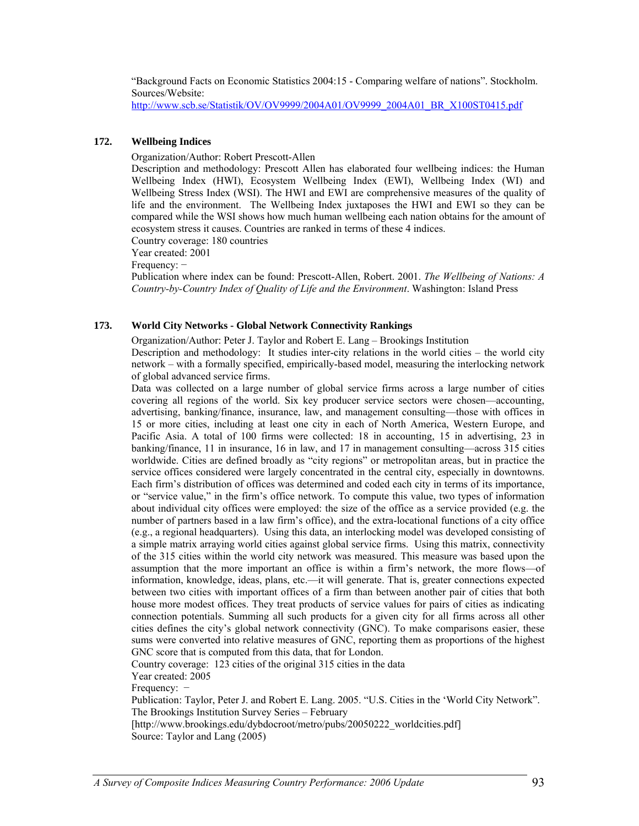"Background Facts on Economic Statistics 2004:15 - Comparing welfare of nations". Stockholm. Sources/Website:

http://www.scb.se/Statistik/OV/OV9999/2004A01/OV9999\_2004A01\_BR\_X100ST0415.pdf

# **172. Wellbeing Indices**

Organization/Author: Robert Prescott-Allen

Description and methodology: Prescott Allen has elaborated four wellbeing indices: the Human Wellbeing Index (HWI), Ecosystem Wellbeing Index (EWI), Wellbeing Index (WI) and Wellbeing Stress Index (WSI). The HWI and EWI are comprehensive measures of the quality of life and the environment. The Wellbeing Index juxtaposes the HWI and EWI so they can be compared while the WSI shows how much human wellbeing each nation obtains for the amount of ecosystem stress it causes. Countries are ranked in terms of these 4 indices.

Country coverage: 180 countries

Year created: 2001

Frequency: −

Publication where index can be found: Prescott-Allen, Robert. 2001. *The Wellbeing of Nations: A Country-by-Country Index of Quality of Life and the Environment*. Washington: Island Press

# **173. World City Networks - Global Network Connectivity Rankings**

Organization/Author: Peter J. Taylor and Robert E. Lang – Brookings Institution Description and methodology: It studies inter-city relations in the world cities – the world city network – with a formally specified, empirically-based model, measuring the interlocking network of global advanced service firms.

Data was collected on a large number of global service firms across a large number of cities covering all regions of the world. Six key producer service sectors were chosen—accounting, advertising, banking/finance, insurance, law, and management consulting—those with offices in 15 or more cities, including at least one city in each of North America, Western Europe, and Pacific Asia. A total of 100 firms were collected: 18 in accounting, 15 in advertising, 23 in banking/finance, 11 in insurance, 16 in law, and 17 in management consulting—across 315 cities worldwide. Cities are defined broadly as "city regions" or metropolitan areas, but in practice the service offices considered were largely concentrated in the central city, especially in downtowns. Each firm's distribution of offices was determined and coded each city in terms of its importance, or "service value," in the firm's office network. To compute this value, two types of information about individual city offices were employed: the size of the office as a service provided (e.g. the number of partners based in a law firm's office), and the extra-locational functions of a city office (e.g., a regional headquarters). Using this data, an interlocking model was developed consisting of a simple matrix arraying world cities against global service firms. Using this matrix, connectivity of the 315 cities within the world city network was measured. This measure was based upon the assumption that the more important an office is within a firm's network, the more flows—of information, knowledge, ideas, plans, etc.—it will generate. That is, greater connections expected between two cities with important offices of a firm than between another pair of cities that both house more modest offices. They treat products of service values for pairs of cities as indicating connection potentials. Summing all such products for a given city for all firms across all other cities defines the city's global network connectivity (GNC). To make comparisons easier, these sums were converted into relative measures of GNC, reporting them as proportions of the highest GNC score that is computed from this data, that for London.

Country coverage: 123 cities of the original 315 cities in the data

Year created: 2005

Frequency: −

Publication: Taylor, Peter J. and Robert E. Lang. 2005. "U.S. Cities in the 'World City Network". The Brookings Institution Survey Series – February

[http://www.brookings.edu/dybdocroot/metro/pubs/20050222\_worldcities.pdf] Source: Taylor and Lang (2005)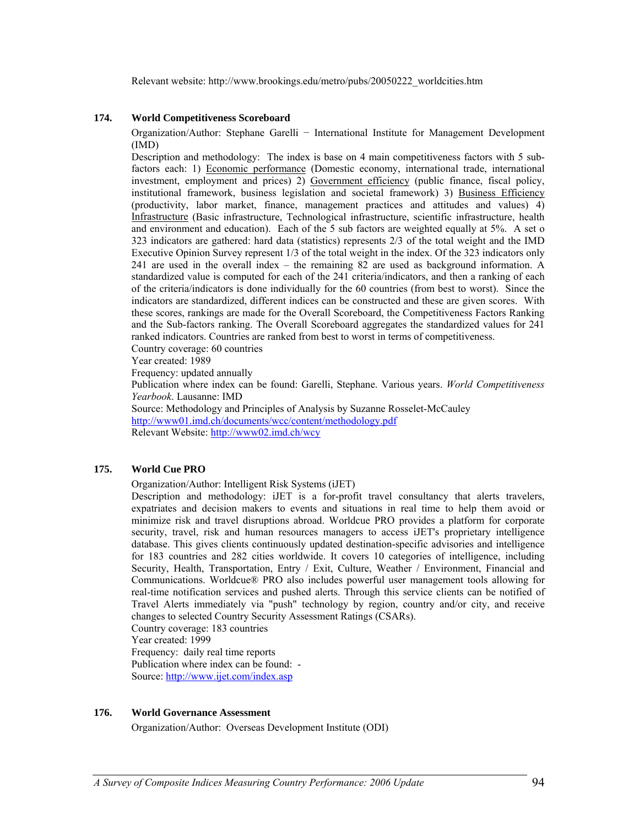Relevant website: http://www.brookings.edu/metro/pubs/20050222\_worldcities.htm

# **174. World Competitiveness Scoreboard**

Organization/Author: Stephane Garelli − International Institute for Management Development (IMD)

Description and methodology: The index is base on 4 main competitiveness factors with 5 subfactors each: 1) Economic performance (Domestic economy, international trade, international investment, employment and prices) 2) Government efficiency (public finance, fiscal policy, institutional framework, business legislation and societal framework) 3) Business Efficiency (productivity, labor market, finance, management practices and attitudes and values) 4) Infrastructure (Basic infrastructure, Technological infrastructure, scientific infrastructure, health and environment and education). Each of the 5 sub factors are weighted equally at 5%. A set o 323 indicators are gathered: hard data (statistics) represents 2/3 of the total weight and the IMD Executive Opinion Survey represent 1/3 of the total weight in the index. Of the 323 indicators only 241 are used in the overall index – the remaining 82 are used as background information. A standardized value is computed for each of the 241 criteria/indicators, and then a ranking of each of the criteria/indicators is done individually for the 60 countries (from best to worst). Since the indicators are standardized, different indices can be constructed and these are given scores. With these scores, rankings are made for the Overall Scoreboard, the Competitiveness Factors Ranking and the Sub-factors ranking. The Overall Scoreboard aggregates the standardized values for 241 ranked indicators. Countries are ranked from best to worst in terms of competitiveness.

Country coverage: 60 countries

Year created: 1989

Frequency: updated annually

Publication where index can be found: Garelli, Stephane. Various years. *World Competitiveness Yearbook*. Lausanne: IMD Source: Methodology and Principles of Analysis by Suzanne Rosselet-McCauley

http://www01.imd.ch/documents/wcc/content/methodology.pdf

Relevant Website: http://www02.imd.ch/wcy

## **175. World Cue PRO**

Organization/Author: Intelligent Risk Systems (iJET)

Description and methodology: iJET is a for-profit travel consultancy that alerts travelers, expatriates and decision makers to events and situations in real time to help them avoid or minimize risk and travel disruptions abroad. Worldcue PRO provides a platform for corporate security, travel, risk and human resources managers to access iJET's proprietary intelligence database. This gives clients continuously updated destination-specific advisories and intelligence for 183 countries and 282 cities worldwide. It covers 10 categories of intelligence, including Security, Health, Transportation, Entry / Exit, Culture, Weather / Environment, Financial and Communications. Worldcue® PRO also includes powerful user management tools allowing for real-time notification services and pushed alerts. Through this service clients can be notified of Travel Alerts immediately via "push" technology by region, country and/or city, and receive changes to selected Country Security Assessment Ratings (CSARs).

 Country coverage: 183 countries Year created: 1999 Frequency: daily real time reports Publication where index can be found: - Source: http://www.ijet.com/index.asp

#### **176. World Governance Assessment**

Organization/Author: Overseas Development Institute (ODI)